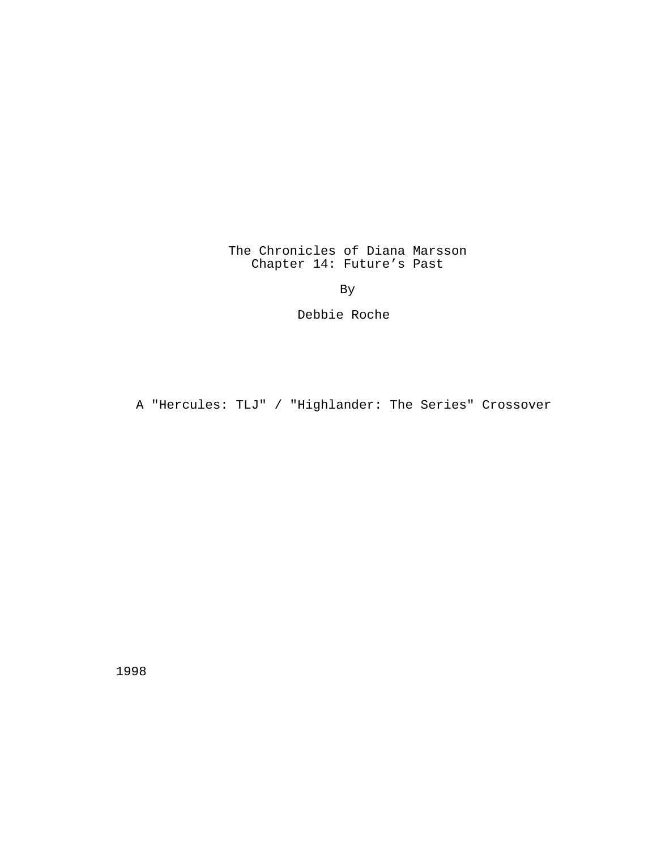The Chronicles of Diana Marsson Chapter 14: Future's Past

By

Debbie Roche

A "Hercules: TLJ" / "Highlander: The Series" Crossover

1998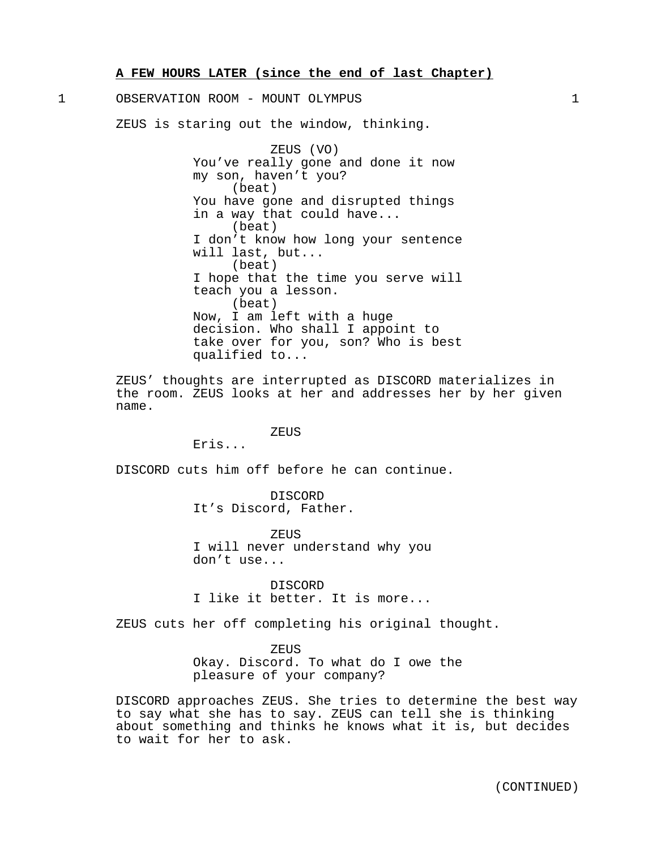**A FEW HOURS LATER (since the end of last Chapter)**

1 OBSERVATION ROOM - MOUNT OLYMPUS 1

ZEUS is staring out the window, thinking.

ZEUS (VO) You've really gone and done it now my son, haven't you? (beat) You have gone and disrupted things in a way that could have... (beat) I don't know how long your sentence will last, but... (beat) I hope that the time you serve will teach you a lesson. (beat) Now, I am left with a huge decision. Who shall I appoint to take over for you, son? Who is best qualified to...

ZEUS' thoughts are interrupted as DISCORD materializes in the room. ZEUS looks at her and addresses her by her given name.

#### ZEUS

Eris...

DISCORD cuts him off before he can continue.

DISCORD It's Discord, Father.

ZEUS I will never understand why you don't use...

DISCORD I like it better. It is more...

ZEUS cuts her off completing his original thought.

ZEUS Okay. Discord. To what do I owe the pleasure of your company?

DISCORD approaches ZEUS. She tries to determine the best way to say what she has to say. ZEUS can tell she is thinking about something and thinks he knows what it is, but decides to wait for her to ask.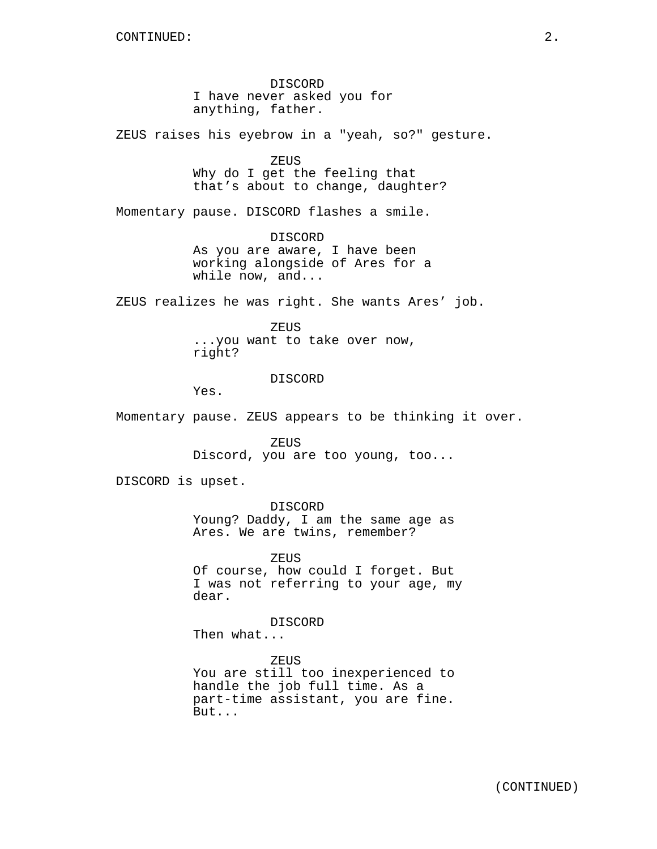DISCORD I have never asked you for anything, father.

ZEUS raises his eyebrow in a "yeah, so?" gesture.

ZEUS Why do I get the feeling that that's about to change, daughter?

Momentary pause. DISCORD flashes a smile.

DISCORD As you are aware, I have been working alongside of Ares for a while now, and...

ZEUS realizes he was right. She wants Ares' job.

ZEUS ...you want to take over now, right?

DISCORD

Yes.

Momentary pause. ZEUS appears to be thinking it over.

ZEUS Discord, you are too young, too...

DISCORD is upset.

DISCORD Young? Daddy, I am the same age as Ares. We are twins, remember?

ZEUS Of course, how could I forget. But I was not referring to your age, my dear.

DISCORD

Then what...

ZEUS You are still too inexperienced to handle the job full time. As a part-time assistant, you are fine. But...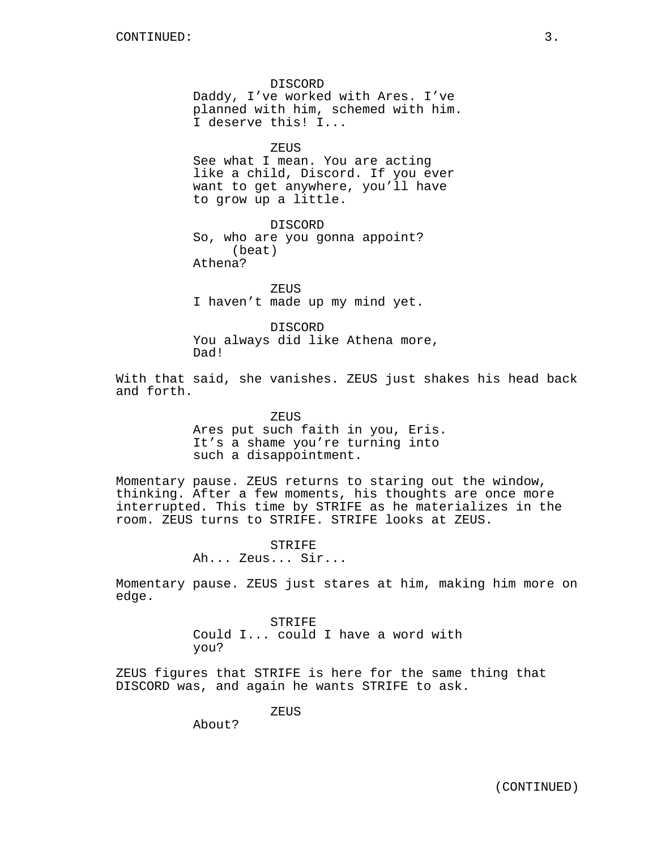DISCORD Daddy, I've worked with Ares. I've planned with him, schemed with him. I deserve this! I...

**ZEUS** 

See what I mean. You are acting like a child, Discord. If you ever want to get anywhere, you'll have to grow up a little.

DISCORD So, who are you gonna appoint? (beat) Athena?

ZEUS I haven't made up my mind yet.

DISCORD You always did like Athena more, Dad!

With that said, she vanishes. ZEUS just shakes his head back and forth.

> ZEUS Ares put such faith in you, Eris. It's a shame you're turning into such a disappointment.

Momentary pause. ZEUS returns to staring out the window, thinking. After a few moments, his thoughts are once more interrupted. This time by STRIFE as he materializes in the room. ZEUS turns to STRIFE. STRIFE looks at ZEUS.

> STRIFE Ah... Zeus... Sir...

Momentary pause. ZEUS just stares at him, making him more on edge.

> STRIFE Could I... could I have a word with you?

ZEUS figures that STRIFE is here for the same thing that DISCORD was, and again he wants STRIFE to ask.

ZEUS

About?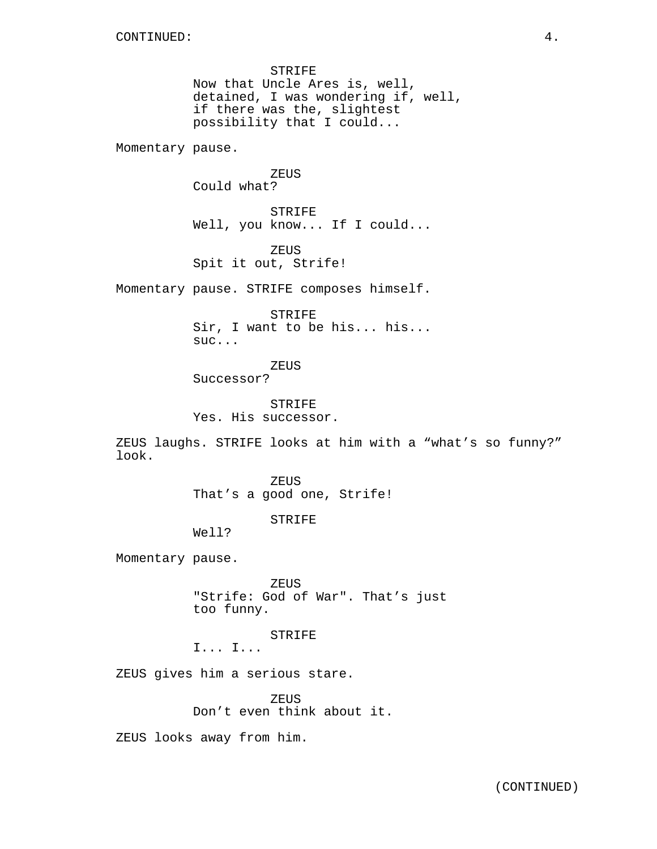STRIFE Now that Uncle Ares is, well, detained, I was wondering if, well, if there was the, slightest possibility that I could...

Momentary pause.

**ZEUS** Could what?

STRIFE Well, you know... If I could...

ZEUS Spit it out, Strife!

Momentary pause. STRIFE composes himself.

**STRIFE** Sir, I want to be his... his... suc...

ZEUS

Successor?

STRIFE Yes. His successor.

ZEUS laughs. STRIFE looks at him with a "what's so funny?" look.

> ZEUS That's a good one, Strife!

> > STRIFE

Well?

Momentary pause.

ZEUS "Strife: God of War". That's just too funny.

STRIFE

I... I...

ZEUS gives him a serious stare.

ZEUS Don't even think about it.

ZEUS looks away from him.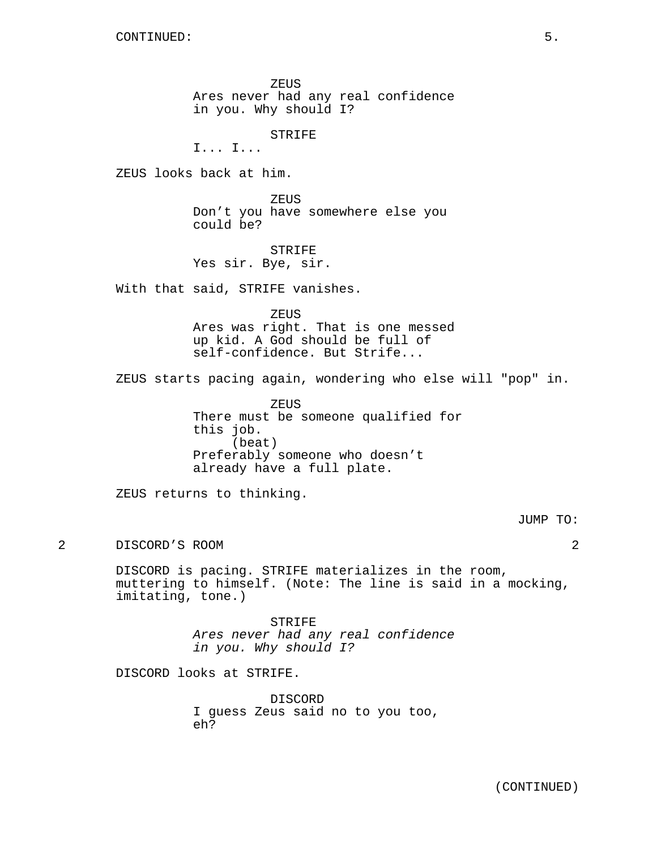ZEUS Ares never had any real confidence in you. Why should I?

STRIFE

I... I...

ZEUS looks back at him.

ZEUS Don't you have somewhere else you could be?

STRIFE Yes sir. Bye, sir.

With that said, STRIFE vanishes.

ZEUS

Ares was right. That is one messed up kid. A God should be full of self-confidence. But Strife...

ZEUS starts pacing again, wondering who else will "pop" in.

ZEUS There must be someone qualified for this job. (beat) Preferably someone who doesn't already have a full plate.

ZEUS returns to thinking.

JUMP TO:

2 DISCORD'S ROOM 2

DISCORD is pacing. STRIFE materializes in the room, muttering to himself. (Note: The line is said in a mocking, imitating, tone.)

> STRIFE Ares never had any real confidence in you. Why should I?

DISCORD looks at STRIFE.

DISCORD I guess Zeus said no to you too, eh?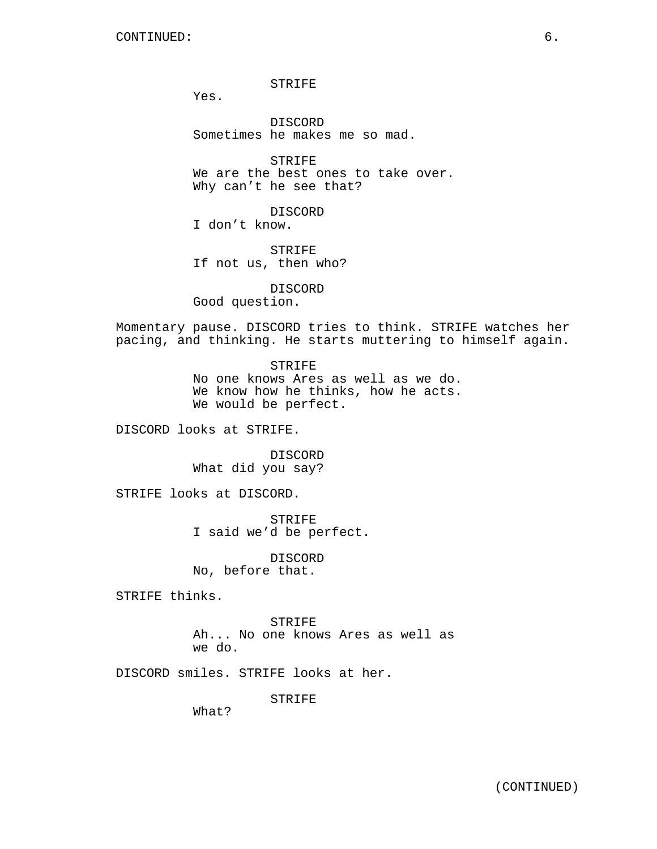STRIFE

Yes.

DISCORD Sometimes he makes me so mad.

STRIFE We are the best ones to take over. Why can't he see that?

DISCORD I don't know.

STRIFE If not us, then who?

DISCORD Good question.

Momentary pause. DISCORD tries to think. STRIFE watches her pacing, and thinking. He starts muttering to himself again.

> STRIFE No one knows Ares as well as we do. We know how he thinks, how he acts. We would be perfect.

DISCORD looks at STRIFE.

DISCORD What did you say?

STRIFE looks at DISCORD.

STRIFE I said we'd be perfect.

DISCORD No, before that.

STRIFE thinks.

STRIFE Ah... No one knows Ares as well as we do.

DISCORD smiles. STRIFE looks at her.

STRIFE

What?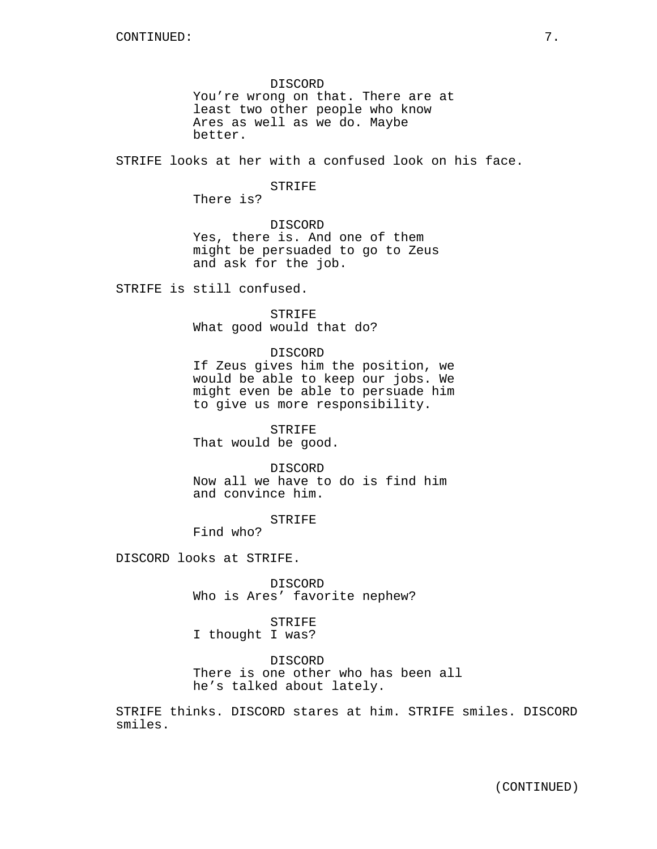DISCORD You're wrong on that. There are at least two other people who know Ares as well as we do. Maybe better.

STRIFE looks at her with a confused look on his face.

#### STRIFE

There is?

### DISCORD

Yes, there is. And one of them might be persuaded to go to Zeus and ask for the job.

STRIFE is still confused.

STRIFE What good would that do?

### DISCORD

If Zeus gives him the position, we would be able to keep our jobs. We might even be able to persuade him to give us more responsibility.

STRIFE That would be good.

DISCORD

Now all we have to do is find him and convince him.

STRIFE

Find who?

DISCORD looks at STRIFE.

DISCORD Who is Ares' favorite nephew?

STRIFE I thought I was?

DISCORD There is one other who has been all he's talked about lately.

STRIFE thinks. DISCORD stares at him. STRIFE smiles. DISCORD smiles.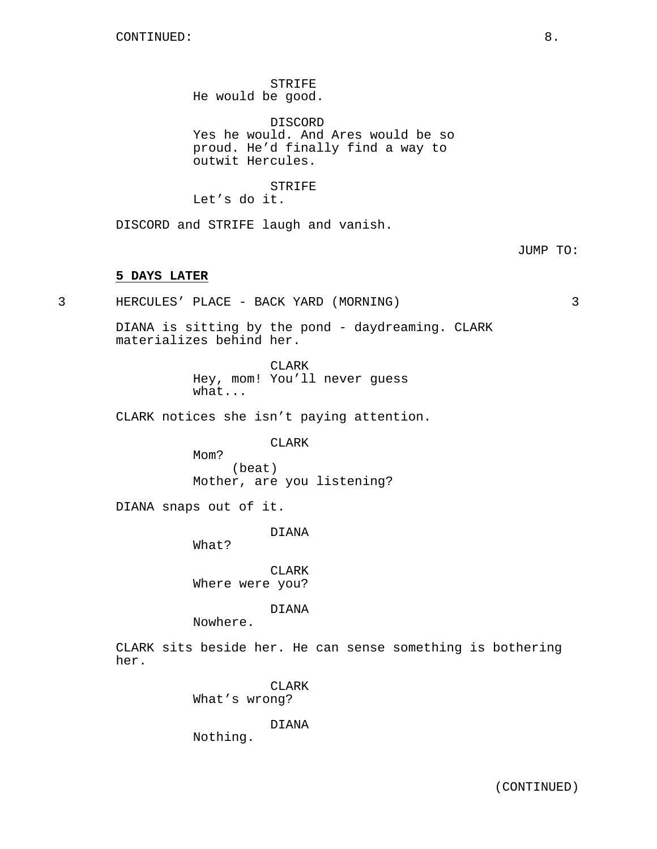STRIFE He would be good.

DISCORD Yes he would. And Ares would be so proud. He'd finally find a way to outwit Hercules.

STRIFE Let's do it.

DISCORD and STRIFE laugh and vanish.

## JUMP TO:

## **5 DAYS LATER**

3 HERCULES' PLACE - BACK YARD (MORNING) 3

DIANA is sitting by the pond - daydreaming. CLARK materializes behind her.

> **CLARK** Hey, mom! You'll never guess what...

CLARK notices she isn't paying attention.

CLARK

Mom? (beat) Mother, are you listening?

DIANA snaps out of it.

DIANA

What?

CLARK Where were you?

DIANA

Nowhere.

CLARK sits beside her. He can sense something is bothering her.

CLARK

What's wrong?

DIANA

Nothing.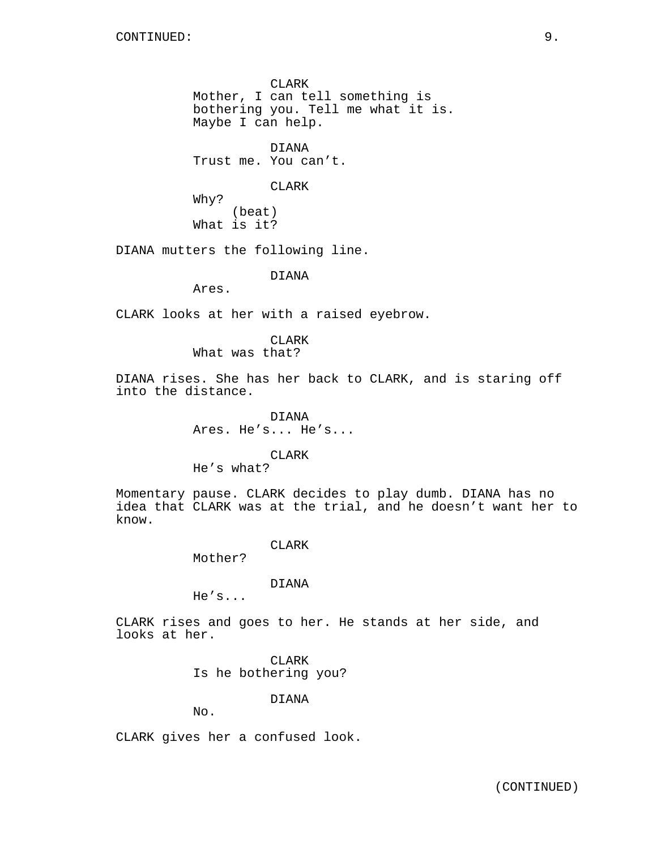CLARK Mother, I can tell something is bothering you. Tell me what it is. Maybe I can help.

DIANA Trust me. You can't.

### CLARK

Why? (beat) What is it?

DIANA mutters the following line.

## DIANA

Ares.

CLARK looks at her with a raised eyebrow.

CLARK What was that?

DIANA rises. She has her back to CLARK, and is staring off into the distance.

> DIANA Ares. He's... He's...

> > CLARK

He's what?

Momentary pause. CLARK decides to play dumb. DIANA has no idea that CLARK was at the trial, and he doesn't want her to know.

### CLARK

Mother?

## DIANA

He's...

CLARK rises and goes to her. He stands at her side, and looks at her.

> CLARK Is he bothering you?

> > DIANA

No.

CLARK gives her a confused look.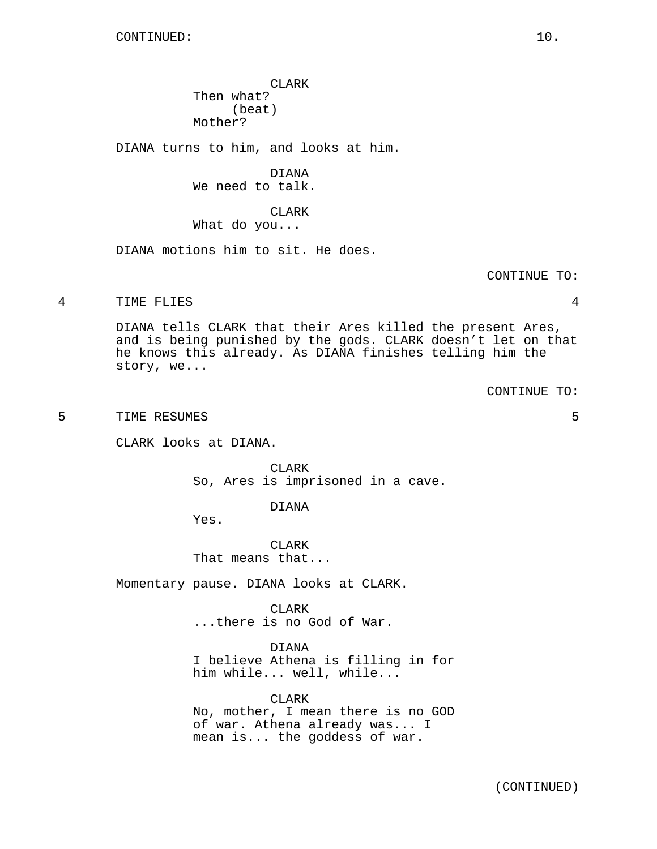CLARK Then what? (beat) Mother?

DIANA turns to him, and looks at him.

DIANA We need to talk.

CLARK What do you...

DIANA motions him to sit. He does.

CONTINUE TO:

4 TIME FLIES 4

DIANA tells CLARK that their Ares killed the present Ares, and is being punished by the gods. CLARK doesn't let on that he knows this already. As DIANA finishes telling him the story, we...

CONTINUE TO:

5 TIME RESUMES 5

CLARK looks at DIANA.

CLARK So, Ares is imprisoned in a cave.

DIANA

Yes.

CLARK That means that...

Momentary pause. DIANA looks at CLARK.

**CLARK** ...there is no God of War.

DIANA

I believe Athena is filling in for him while... well, while...

CLARK No, mother, I mean there is no GOD of war. Athena already was... I mean is... the goddess of war.

(CONTINUED)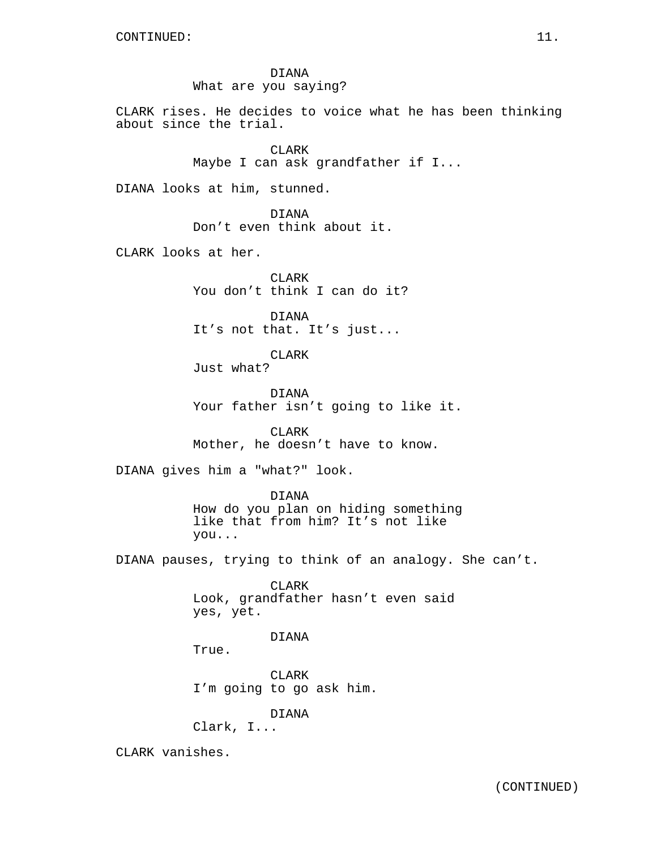DIANA What are you saying?

CLARK rises. He decides to voice what he has been thinking about since the trial.

> CLARK Maybe I can ask grandfather if I...

DIANA looks at him, stunned.

DIANA Don't even think about it.

CLARK looks at her.

CLARK You don't think I can do it?

DIANA It's not that. It's just...

CLARK Just what?

DIANA Your father isn't going to like it.

CLARK Mother, he doesn't have to know.

DIANA gives him a "what?" look.

DIANA How do you plan on hiding something like that from him? It's not like you...

DIANA pauses, trying to think of an analogy. She can't.

CLARK Look, grandfather hasn't even said yes, yet.

# DIANA

True.

CLARK I'm going to go ask him.

DIANA

Clark, I...

CLARK vanishes.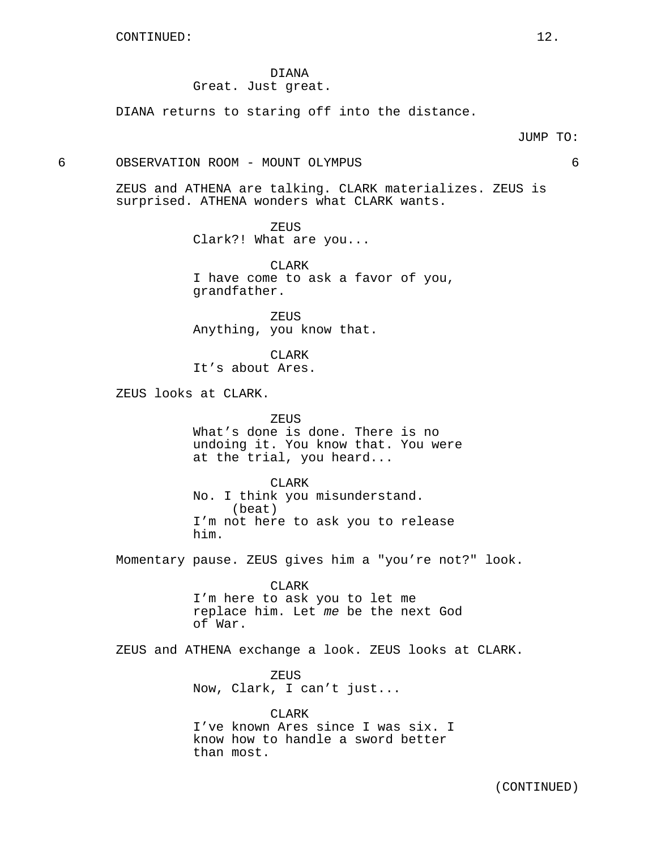## DIANA Great. Just great.

DIANA returns to staring off into the distance.

6 OBSERVATION ROOM - MOUNT OLYMPUS 6

ZEUS and ATHENA are talking. CLARK materializes. ZEUS is surprised. ATHENA wonders what CLARK wants.

> **ZEUS** Clark?! What are you...

CLARK I have come to ask a favor of you, grandfather.

ZEUS Anything, you know that.

CLARK It's about Ares.

ZEUS looks at CLARK.

ZEUS What's done is done. There is no undoing it. You know that. You were at the trial, you heard...

CLARK No. I think you misunderstand. (beat) I'm not here to ask you to release him.

Momentary pause. ZEUS gives him a "you're not?" look.

CLARK I'm here to ask you to let me replace him. Let me be the next God of War.

ZEUS and ATHENA exchange a look. ZEUS looks at CLARK.

ZEUS Now, Clark, I can't just...

CLARK I've known Ares since I was six. I know how to handle a sword better than most.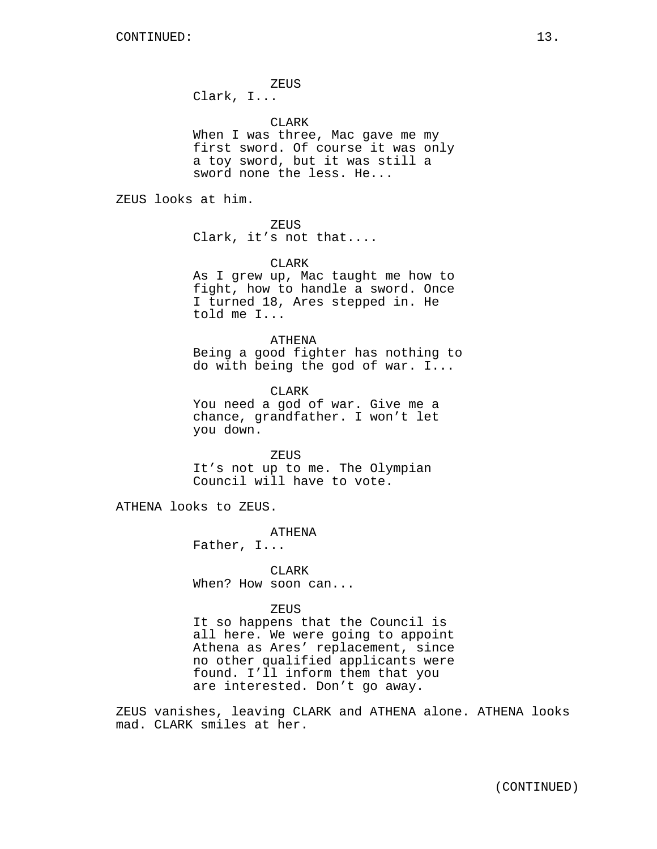ZEUS Clark, I...

CLARK

When I was three, Mac gave me my first sword. Of course it was only a toy sword, but it was still a sword none the less. He...

ZEUS looks at him.

ZEUS

Clark, it's not that....

### CLARK

As I grew up, Mac taught me how to fight, how to handle a sword. Once I turned 18, Ares stepped in. He told me I...

ATHENA Being a good fighter has nothing to do with being the god of war. I...

CLARK You need a god of war. Give me a chance, grandfather. I won't let you down.

ZEUS It's not up to me. The Olympian Council will have to vote.

ATHENA looks to ZEUS.

ATHENA

Father, I...

CLARK When? How soon can...

## ZEUS

It so happens that the Council is all here. We were going to appoint Athena as Ares' replacement, since no other qualified applicants were found. I'll inform them that you are interested. Don't go away.

ZEUS vanishes, leaving CLARK and ATHENA alone. ATHENA looks mad. CLARK smiles at her.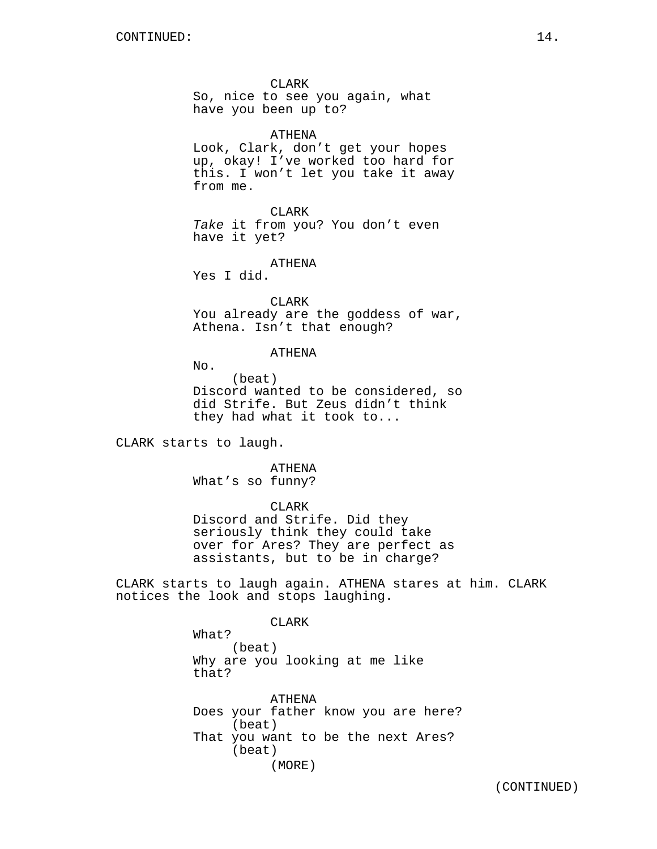CLARK So, nice to see you again, what have you been up to?

ATHENA

Look, Clark, don't get your hopes up, okay! I've worked too hard for this. I won't let you take it away from me.

CLARK Take it from you? You don't even have it yet?

ATHENA Yes I did.

CLARK You already are the goddess of war, Athena. Isn't that enough?

#### ATHENA

No.

(beat) Discord wanted to be considered, so did Strife. But Zeus didn't think they had what it took to...

CLARK starts to laugh.

ATHENA What's so funny?

CLARK

Discord and Strife. Did they seriously think they could take over for Ares? They are perfect as assistants, but to be in charge?

CLARK starts to laugh again. ATHENA stares at him. CLARK notices the look and stops laughing.

CLARK

What? (beat) Why are you looking at me like that?

ATHENA Does your father know you are here? (beat) That you want to be the next Ares? (beat) (MORE)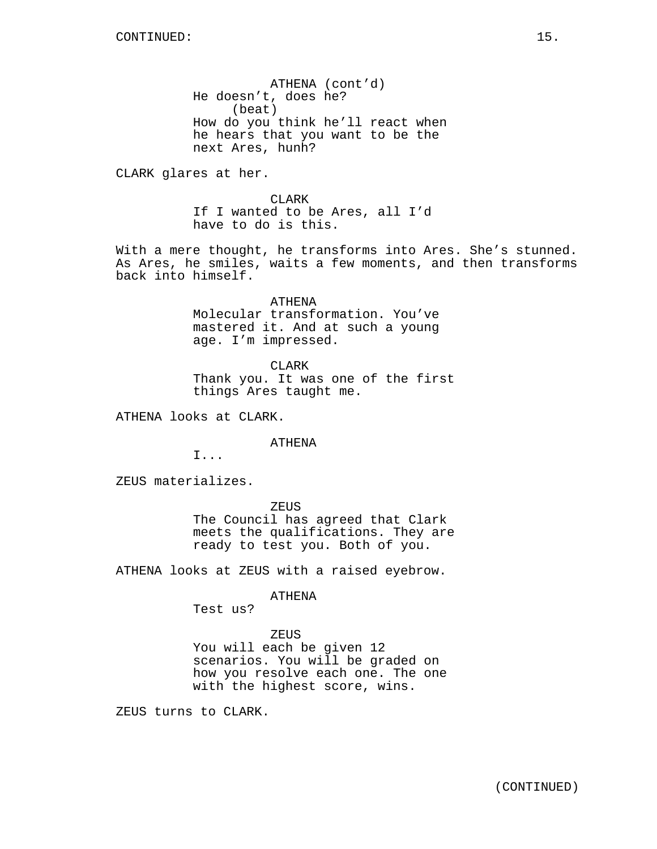ATHENA (cont'd) He doesn't, does he? (beat) How do you think he'll react when he hears that you want to be the next Ares, hunh?

CLARK glares at her.

CLARK If I wanted to be Ares, all I'd have to do is this.

With a mere thought, he transforms into Ares. She's stunned. As Ares, he smiles, waits a few moments, and then transforms back into himself.

> ATHENA Molecular transformation. You've mastered it. And at such a young age. I'm impressed.

CLARK Thank you. It was one of the first things Ares taught me.

ATHENA looks at CLARK.

ATHENA

I...

ZEUS materializes.

ZEUS The Council has agreed that Clark meets the qualifications. They are ready to test you. Both of you.

ATHENA looks at ZEUS with a raised eyebrow.

#### ATHENA

Test us?

### ZEUS

You will each be given 12 scenarios. You will be graded on how you resolve each one. The one with the highest score, wins.

ZEUS turns to CLARK.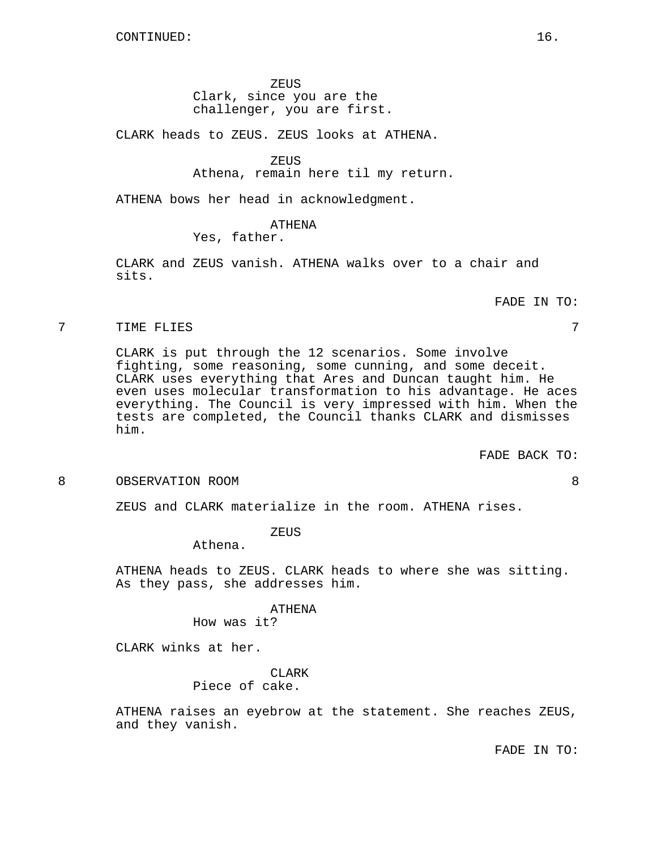### ZEUS

## Clark, since you are the challenger, you are first.

CLARK heads to ZEUS. ZEUS looks at ATHENA.

### ZEUS

Athena, remain here til my return.

ATHENA bows her head in acknowledgment.

### ATHENA

# Yes, father.

CLARK and ZEUS vanish. ATHENA walks over to a chair and sits.

FADE IN TO:

### 7 TIME FLIES 7

CLARK is put through the 12 scenarios. Some involve fighting, some reasoning, some cunning, and some deceit. CLARK uses everything that Ares and Duncan taught him. He even uses molecular transformation to his advantage. He aces everything. The Council is very impressed with him. When the tests are completed, the Council thanks CLARK and dismisses him.

FADE BACK TO:

### 8 OBSERVATION ROOM 8

ZEUS and CLARK materialize in the room. ATHENA rises.

ZEUS

Athena.

ATHENA heads to ZEUS. CLARK heads to where she was sitting. As they pass, she addresses him.

#### ATHENA

How was it?

CLARK winks at her.

CLARK Piece of cake.

ATHENA raises an eyebrow at the statement. She reaches ZEUS, and they vanish.

FADE IN TO: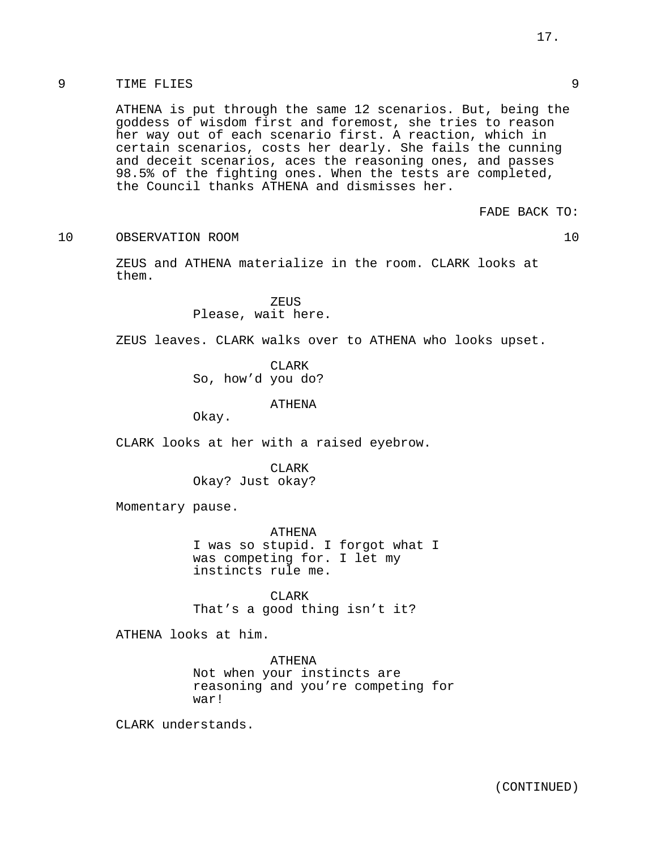# 9 TIME FLIES 9

ATHENA is put through the same 12 scenarios. But, being the goddess of wisdom first and foremost, she tries to reason her way out of each scenario first. A reaction, which in certain scenarios, costs her dearly. She fails the cunning and deceit scenarios, aces the reasoning ones, and passes 98.5% of the fighting ones. When the tests are completed, the Council thanks ATHENA and dismisses her.

FADE BACK TO:

10 OBSERVATION ROOM 10

ZEUS and ATHENA materialize in the room. CLARK looks at them.

> ZEUS Please, wait here.

ZEUS leaves. CLARK walks over to ATHENA who looks upset.

CLARK So, how'd you do?

ATHENA

Okay.

CLARK looks at her with a raised eyebrow.

CLARK Okay? Just okay?

Momentary pause.

ATHENA I was so stupid. I forgot what I was competing for. I let my instincts rule me.

CLARK That's a good thing isn't it?

ATHENA looks at him.

ATHENA Not when your instincts are reasoning and you're competing for war!

CLARK understands.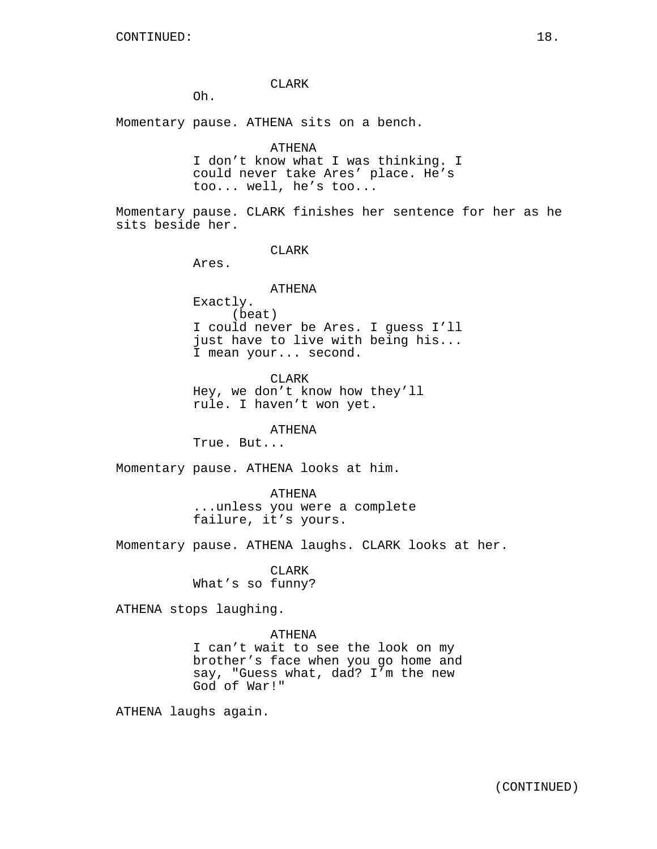CLARK

Oh.

Momentary pause. ATHENA sits on a bench.

ATHENA

I don't know what I was thinking. I could never take Ares' place. He's too... well, he's too...

Momentary pause. CLARK finishes her sentence for her as he sits beside her.

CLARK

Ares.

## ATHENA

Exactly. (beat) I could never be Ares. I guess I'll just have to live with being his... I mean your... second.

CLARK Hey, we don't know how they'll rule. I haven't won yet.

ATHENA

True. But...

Momentary pause. ATHENA looks at him.

ATHENA

...unless you were a complete failure, it's yours.

Momentary pause. ATHENA laughs. CLARK looks at her.

CLARK What's so funny?

ATHENA stops laughing.

### ATHENA

I can't wait to see the look on my brother's face when you go home and say, "Guess what, dad? I'm the new God of War!"

ATHENA laughs again.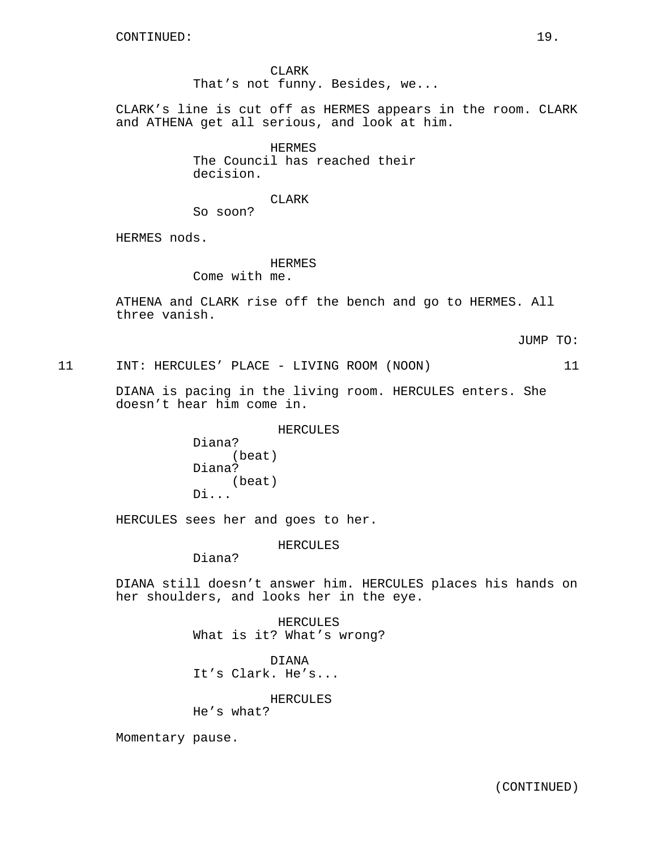CLARK That's not funny. Besides, we...

CLARK's line is cut off as HERMES appears in the room. CLARK and ATHENA get all serious, and look at him.

> HERMES The Council has reached their decision.

> > CLARK

So soon?

HERMES nods.

HERMES

Come with me.

ATHENA and CLARK rise off the bench and go to HERMES. All three vanish.

JUMP TO:

11 INT: HERCULES' PLACE - LIVING ROOM (NOON) 11

DIANA is pacing in the living room. HERCULES enters. She doesn't hear him come in.

HERCULES

Diana? (beat) Diana? (beat) Di...

HERCULES sees her and goes to her.

### HERCULES

Diana?

DIANA still doesn't answer him. HERCULES places his hands on her shoulders, and looks her in the eye.

> HERCULES What is it? What's wrong?

DIANA It's Clark. He's...

HERCULES

He's what?

Momentary pause.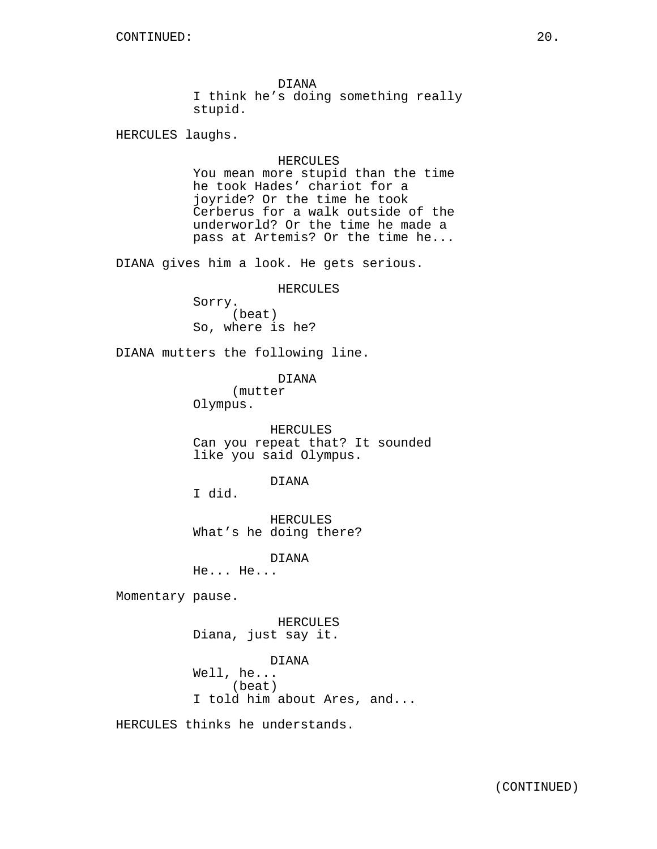DIANA I think he's doing something really stupid.

HERCULES laughs.

### HERCULES

You mean more stupid than the time he took Hades' chariot for a joyride? Or the time he took Cerberus for a walk outside of the underworld? Or the time he made a pass at Artemis? Or the time he...

DIANA gives him a look. He gets serious.

### HERCULES

Sorry. (beat) So, where is he?

DIANA mutters the following line.

DIANA

(mutter Olympus.

HERCULES Can you repeat that? It sounded like you said Olympus.

### DIANA

I did.

HERCULES What's he doing there?

DIANA

He... He...

Momentary pause.

HERCULES Diana, just say it.

DIANA Well, he... (beat) I told him about Ares, and...

HERCULES thinks he understands.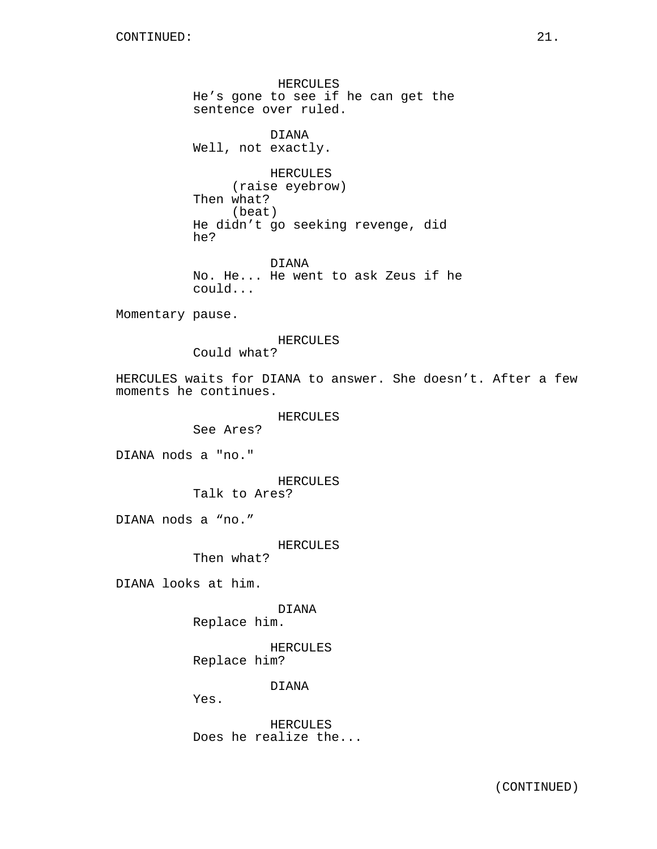HERCULES He's gone to see if he can get the sentence over ruled.

DIANA Well, not exactly.

HERCULES (raise eyebrow) Then what? (beat) He didn't go seeking revenge, did he?

DIANA No. He... He went to ask Zeus if he could...

Momentary pause.

### HERCULES

Could what?

HERCULES waits for DIANA to answer. She doesn't. After a few moments he continues.

### HERCULES

See Ares?

DIANA nods a "no."

HERCULES

Talk to Ares?

DIANA nods a "no."

### HERCULES

Then what?

DIANA looks at him.

# DIANA

Replace him.

HERCULES Replace him?

DIANA

Yes.

HERCULES Does he realize the...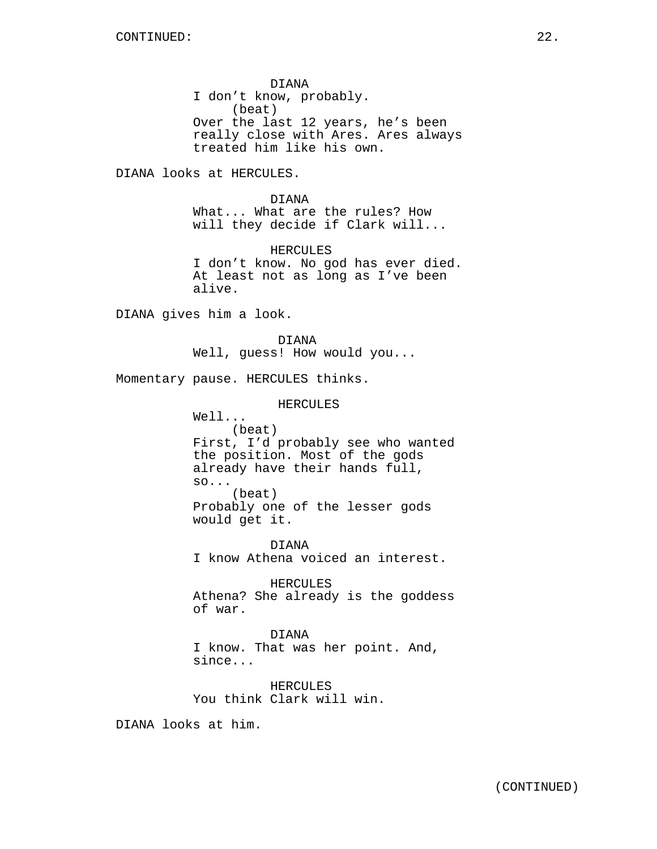DIANA I don't know, probably. (beat) Over the last 12 years, he's been really close with Ares. Ares always treated him like his own.

DIANA looks at HERCULES.

DIANA What... What are the rules? How will they decide if Clark will...

HERCULES I don't know. No god has ever died. At least not as long as I've been alive.

DIANA gives him a look.

DIANA Well, guess! How would you...

Momentary pause. HERCULES thinks.

HERCULES

Well... (beat) First, I'd probably see who wanted the position. Most of the gods already have their hands full, so... (beat) Probably one of the lesser gods would get it.

DIANA I know Athena voiced an interest.

HERCULES Athena? She already is the goddess of war.

DIANA I know. That was her point. And, since...

HERCULES You think Clark will win.

DIANA looks at him.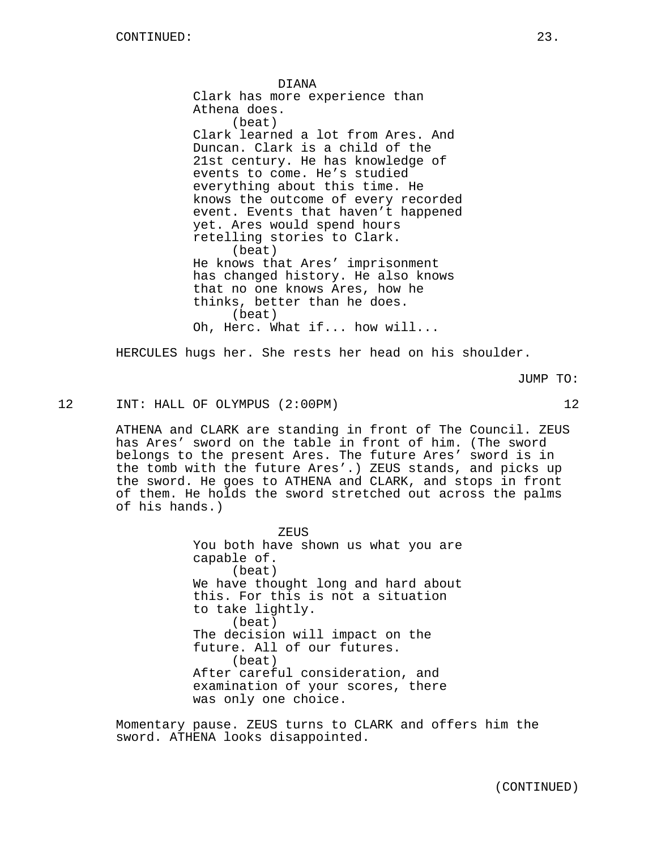DIANA Clark has more experience than Athena does. (beat) Clark learned a lot from Ares. And Duncan. Clark is a child of the 21st century. He has knowledge of events to come. He's studied everything about this time. He knows the outcome of every recorded event. Events that haven't happened yet. Ares would spend hours retelling stories to Clark. (beat) He knows that Ares' imprisonment has changed history. He also knows that no one knows Ares, how he thinks, better than he does. (beat) Oh, Herc. What if... how will...

HERCULES hugs her. She rests her head on his shoulder.

JUMP TO:

12 INT: HALL OF OLYMPUS (2:00PM) 12

ATHENA and CLARK are standing in front of The Council. ZEUS has Ares' sword on the table in front of him. (The sword belongs to the present Ares. The future Ares' sword is in the tomb with the future Ares'.) ZEUS stands, and picks up the sword. He goes to ATHENA and CLARK, and stops in front of them. He holds the sword stretched out across the palms of his hands.)

> ZEUS You both have shown us what you are capable of. (beat) We have thought long and hard about this. For this is not a situation to take lightly. (beat) The decision will impact on the future. All of our futures. (beat) After careful consideration, and examination of your scores, there was only one choice.

Momentary pause. ZEUS turns to CLARK and offers him the sword. ATHENA looks disappointed.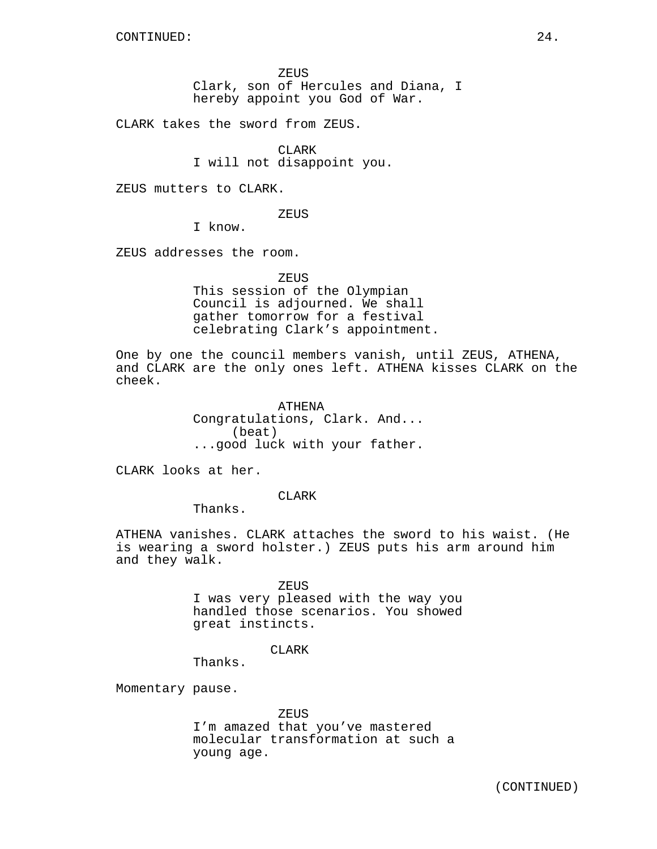ZEUS Clark, son of Hercules and Diana, I hereby appoint you God of War.

CLARK takes the sword from ZEUS.

CLARK I will not disappoint you.

ZEUS mutters to CLARK.

ZEUS

I know.

ZEUS addresses the room.

**ZEUS** 

This session of the Olympian Council is adjourned. We shall gather tomorrow for a festival celebrating Clark's appointment.

One by one the council members vanish, until ZEUS, ATHENA, and CLARK are the only ones left. ATHENA kisses CLARK on the cheek.

> ATHENA Congratulations, Clark. And... (beat) ...good luck with your father.

CLARK looks at her.

CLARK

Thanks.

ATHENA vanishes. CLARK attaches the sword to his waist. (He is wearing a sword holster.) ZEUS puts his arm around him and they walk.

> ZEUS I was very pleased with the way you handled those scenarios. You showed great instincts.

> > CLARK

Thanks.

Momentary pause.

ZEUS

I'm amazed that you've mastered molecular transformation at such a young age.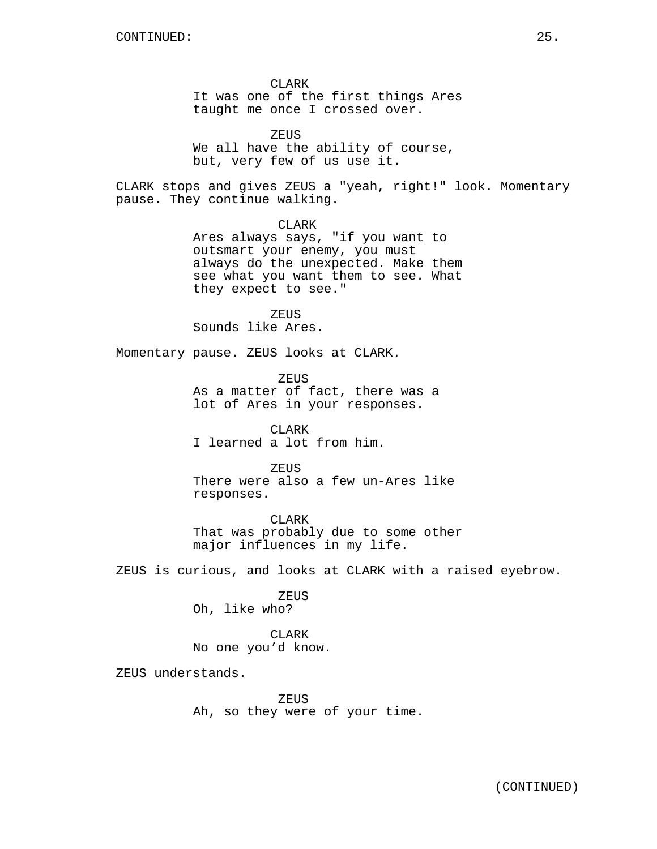CLARK It was one of the first things Ares taught me once I crossed over.

ZEUS We all have the ability of course, but, very few of us use it.

CLARK stops and gives ZEUS a "yeah, right!" look. Momentary pause. They continue walking.

CLARK

Ares always says, "if you want to outsmart your enemy, you must always do the unexpected. Make them see what you want them to see. What they expect to see."

ZEUS

Sounds like Ares.

Momentary pause. ZEUS looks at CLARK.

ZEUS As a matter of fact, there was a lot of Ares in your responses.

CLARK I learned a lot from him.

ZEUS There were also a few un-Ares like responses.

CLARK That was probably due to some other major influences in my life.

ZEUS is curious, and looks at CLARK with a raised eyebrow.

ZEUS

Oh, like who?

CLARK No one you'd know.

ZEUS understands.

ZEUS Ah, so they were of your time.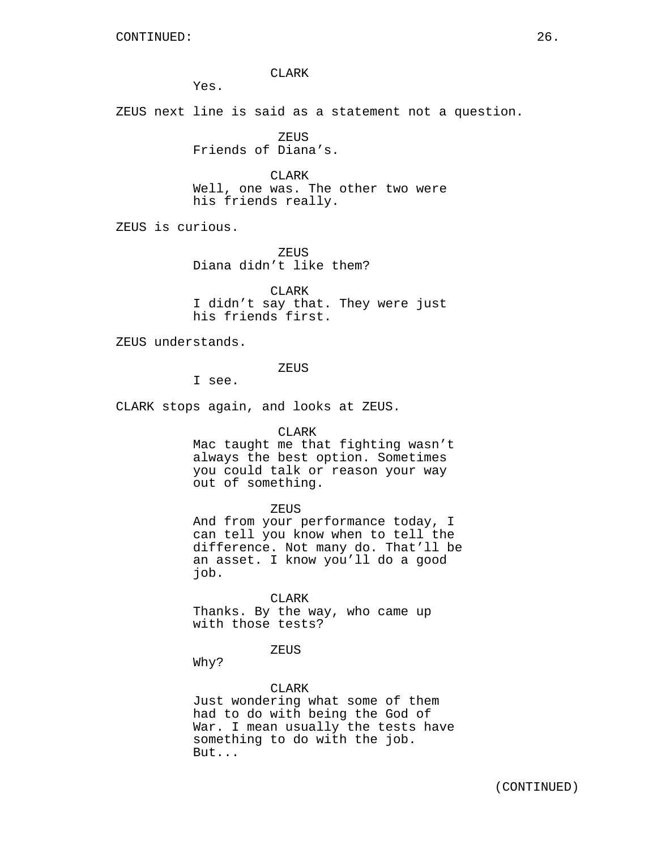CLARK

Yes.

ZEUS next line is said as a statement not a question.

ZEUS Friends of Diana's.

CLARK Well, one was. The other two were his friends really.

ZEUS is curious.

**ZEUS** Diana didn't like them?

CLARK I didn't say that. They were just his friends first.

ZEUS understands.

ZEUS

I see.

CLARK stops again, and looks at ZEUS.

CLARK

Mac taught me that fighting wasn't always the best option. Sometimes you could talk or reason your way out of something.

ZEUS

And from your performance today, I can tell you know when to tell the difference. Not many do. That'll be an asset. I know you'll do a good job.

CLARK Thanks. By the way, who came up with those tests?

ZEUS

Why?

### CLARK

Just wondering what some of them had to do with being the God of War. I mean usually the tests have something to do with the job. But...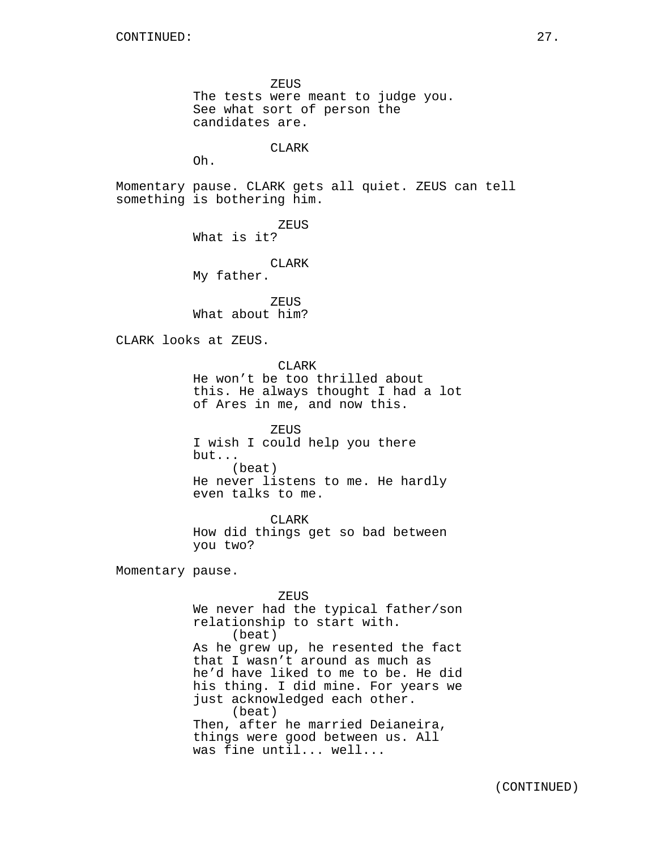ZEUS The tests were meant to judge you. See what sort of person the candidates are. **CLARK** Oh. Momentary pause. CLARK gets all quiet. ZEUS can tell something is bothering him. ZEUS What is it? CLARK My father. ZEUS What about him? CLARK looks at ZEUS. CLARK He won't be too thrilled about this. He always thought I had a lot of Ares in me, and now this. ZEUS I wish I could help you there but... (beat) He never listens to me. He hardly even talks to me. CLARK How did things get so bad between you two? Momentary pause. ZEUS We never had the typical father/son relationship to start with. (beat) As he grew up, he resented the fact that I wasn't around as much as he'd have liked to me to be. He did his thing. I did mine. For years we just acknowledged each other. (beat) Then, after he married Deianeira, things were good between us. All was fine until... well...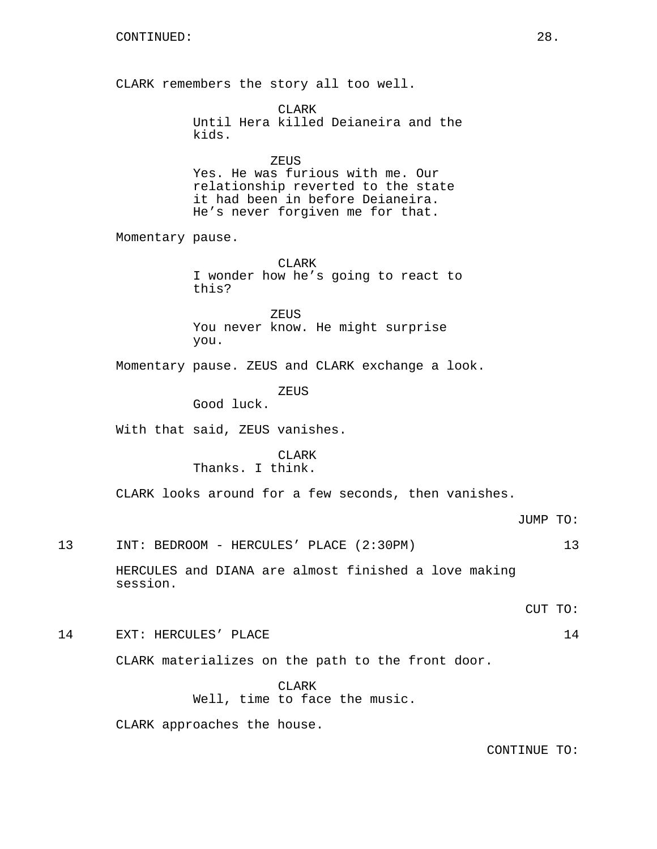CLARK remembers the story all too well. CLARK Until Hera killed Deianeira and the kids. ZEUS Yes. He was furious with me. Our relationship reverted to the state it had been in before Deianeira. He's never forgiven me for that. Momentary pause. CLARK I wonder how he's going to react to this? ZEUS You never know. He might surprise you. Momentary pause. ZEUS and CLARK exchange a look. ZEUS Good luck. With that said, ZEUS vanishes. CLARK Thanks. I think. CLARK looks around for a few seconds, then vanishes. JUMP TO: 13 INT: BEDROOM - HERCULES' PLACE (2:30PM) 13 HERCULES and DIANA are almost finished a love making session. CUT TO: 14 EXT: HERCULES' PLACE 24 CLARK materializes on the path to the front door. CLARK Well, time to face the music.

CLARK approaches the house.

CONTINUE TO: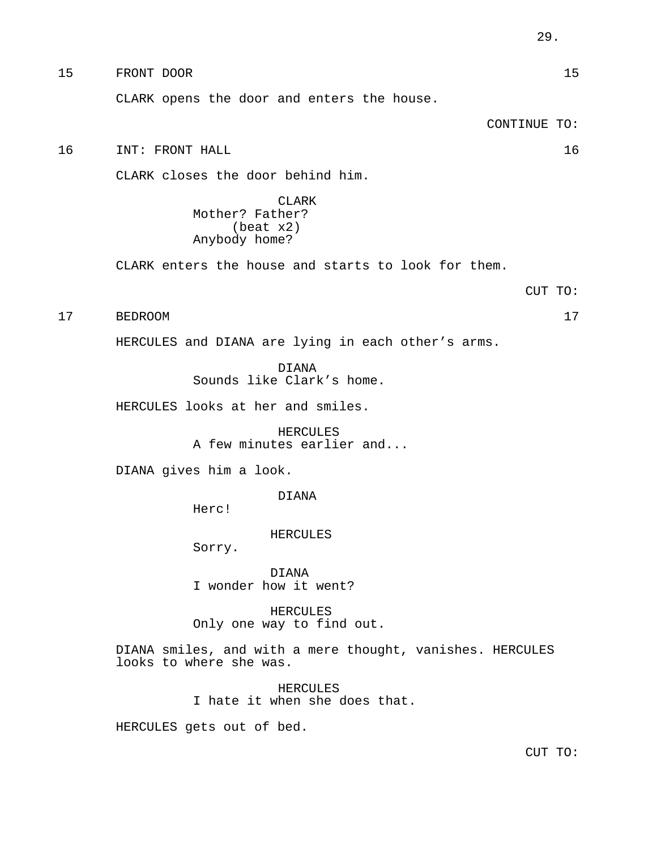15 FRONT DOOR 15 CLARK opens the door and enters the house. CONTINUE TO: 16 INT: FRONT HALL 16

CLARK closes the door behind him.

CLARK Mother? Father? (beat x2) Anybody home?

CLARK enters the house and starts to look for them.

CUT TO:

17 BEDROOM 17

HERCULES and DIANA are lying in each other's arms.

DIANA

Sounds like Clark's home.

HERCULES looks at her and smiles.

HERCULES A few minutes earlier and...

DIANA gives him a look.

DIANA

Herc!

HERCULES

Sorry.

DIANA I wonder how it went?

HERCULES Only one way to find out.

DIANA smiles, and with a mere thought, vanishes. HERCULES looks to where she was.

> HERCULES I hate it when she does that.

HERCULES gets out of bed.

CUT TO: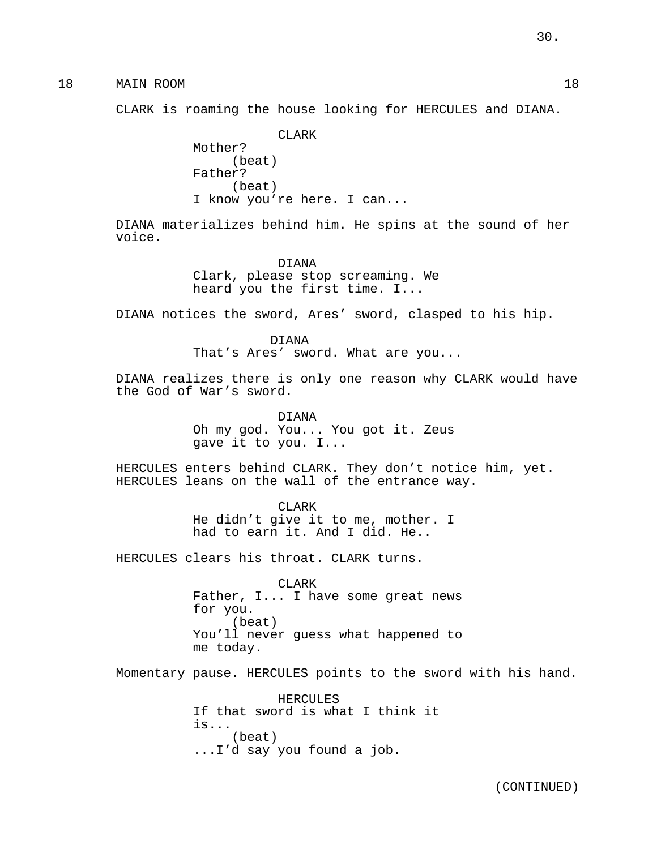18 MAIN ROOM 18

CLARK is roaming the house looking for HERCULES and DIANA.

CLARK Mother? (beat) Father? (beat) I know you're here. I can...

DIANA materializes behind him. He spins at the sound of her voice.

> DIANA Clark, please stop screaming. We heard you the first time. I...

DIANA notices the sword, Ares' sword, clasped to his hip.

DIANA That's Ares' sword. What are you...

DIANA realizes there is only one reason why CLARK would have the God of War's sword.

> DIANA Oh my god. You... You got it. Zeus gave it to you. I...

HERCULES enters behind CLARK. They don't notice him, yet. HERCULES leans on the wall of the entrance way.

> CLARK He didn't give it to me, mother. I had to earn it. And I did. He..

HERCULES clears his throat. CLARK turns.

CLARK Father, I... I have some great news for you. (beat) You'll never guess what happened to me today.

Momentary pause. HERCULES points to the sword with his hand.

HERCULES If that sword is what I think it is... (beat) ...I'd say you found a job.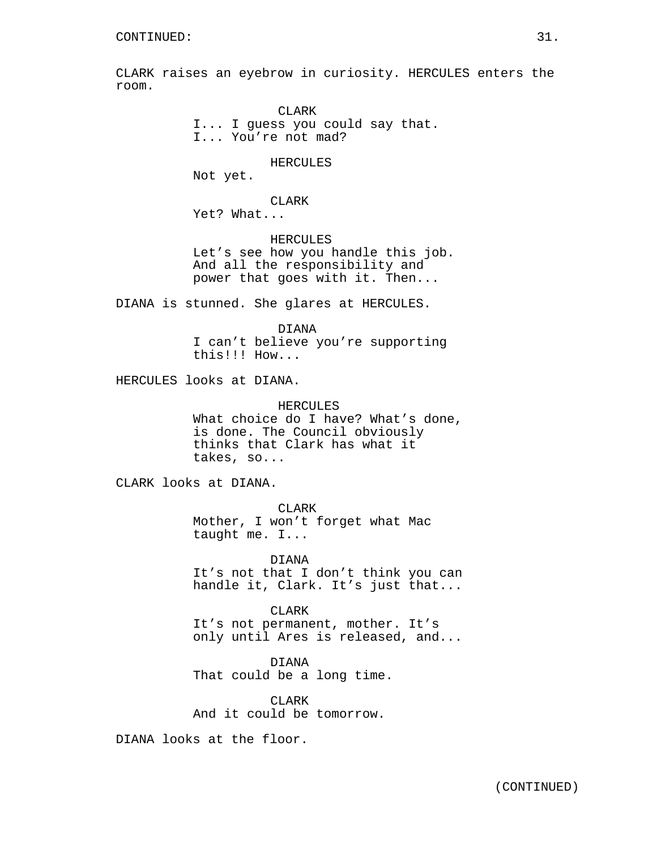CLARK raises an eyebrow in curiosity. HERCULES enters the room.

> CLARK I... I guess you could say that. I... You're not mad?

### HERCULES

Not yet.

CLARK

Yet? What...

HERCULES Let's see how you handle this job. And all the responsibility and power that goes with it. Then...

DIANA is stunned. She glares at HERCULES.

DIANA I can't believe you're supporting this!!! How...

HERCULES looks at DIANA.

HERCULES

What choice do I have? What's done, is done. The Council obviously thinks that Clark has what it takes, so...

CLARK looks at DIANA.

CLARK

Mother, I won't forget what Mac taught me. I...

DIANA It's not that I don't think you can handle it, Clark. It's just that...

CLARK It's not permanent, mother. It's only until Ares is released, and...

DIANA That could be a long time.

CLARK And it could be tomorrow.

DIANA looks at the floor.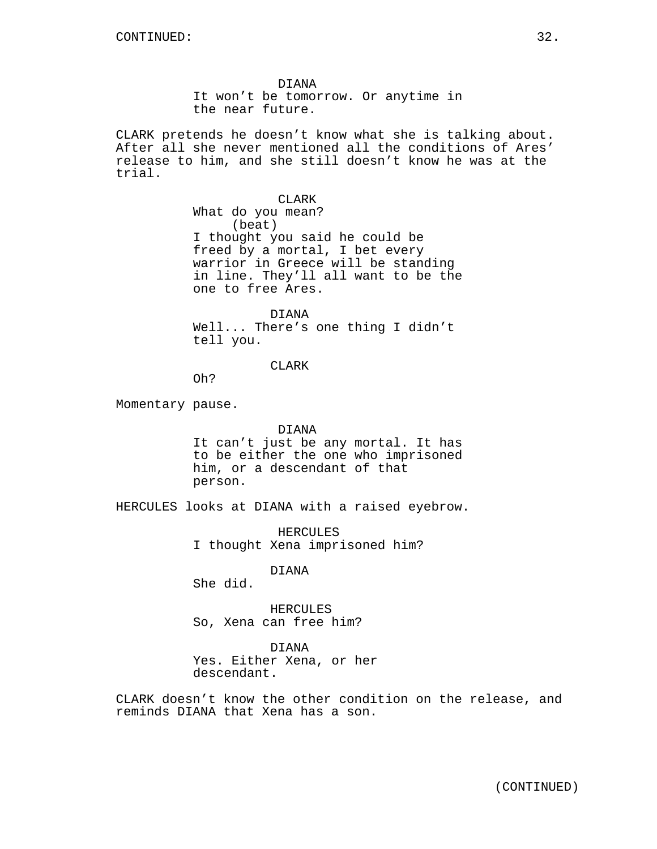DIANA It won't be tomorrow. Or anytime in the near future.

CLARK pretends he doesn't know what she is talking about. After all she never mentioned all the conditions of Ares' release to him, and she still doesn't know he was at the trial.

CLARK

What do you mean? (beat) I thought you said he could be freed by a mortal, I bet every warrior in Greece will be standing in line. They'll all want to be the one to free Ares.

DIANA Well... There's one thing I didn't tell you.

CLARK

Oh?

Momentary pause.

### DIANA

It can't just be any mortal. It has to be either the one who imprisoned him, or a descendant of that person.

HERCULES looks at DIANA with a raised eyebrow.

HERCULES I thought Xena imprisoned him?

DIANA

She did.

HERCULES So, Xena can free him?

DIANA

Yes. Either Xena, or her descendant.

CLARK doesn't know the other condition on the release, and reminds DIANA that Xena has a son.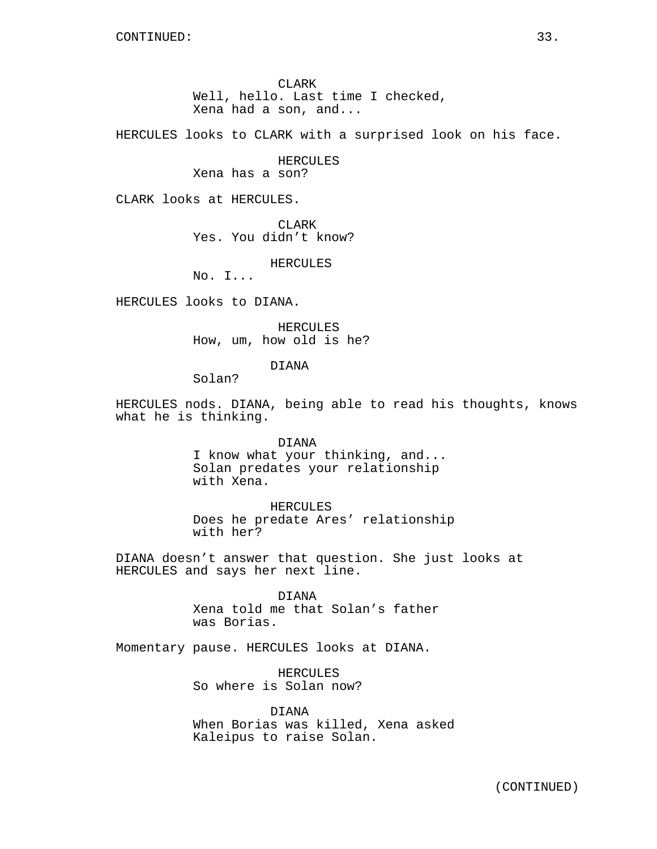CLARK Well, hello. Last time I checked, Xena had a son, and...

HERCULES looks to CLARK with a surprised look on his face.

HERCULES

Xena has a son?

CLARK looks at HERCULES.

CLARK Yes. You didn't know?

HERCULES

No. I...

HERCULES looks to DIANA.

HERCULES How, um, how old is he?

DIANA

Solan?

HERCULES nods. DIANA, being able to read his thoughts, knows what he is thinking.

> DIANA I know what your thinking, and... Solan predates your relationship with Xena.

HERCULES Does he predate Ares' relationship with her?

DIANA doesn't answer that question. She just looks at HERCULES and says her next line.

> DIANA Xena told me that Solan's father was Borias.

Momentary pause. HERCULES looks at DIANA.

HERCULES So where is Solan now?

DIANA When Borias was killed, Xena asked Kaleipus to raise Solan.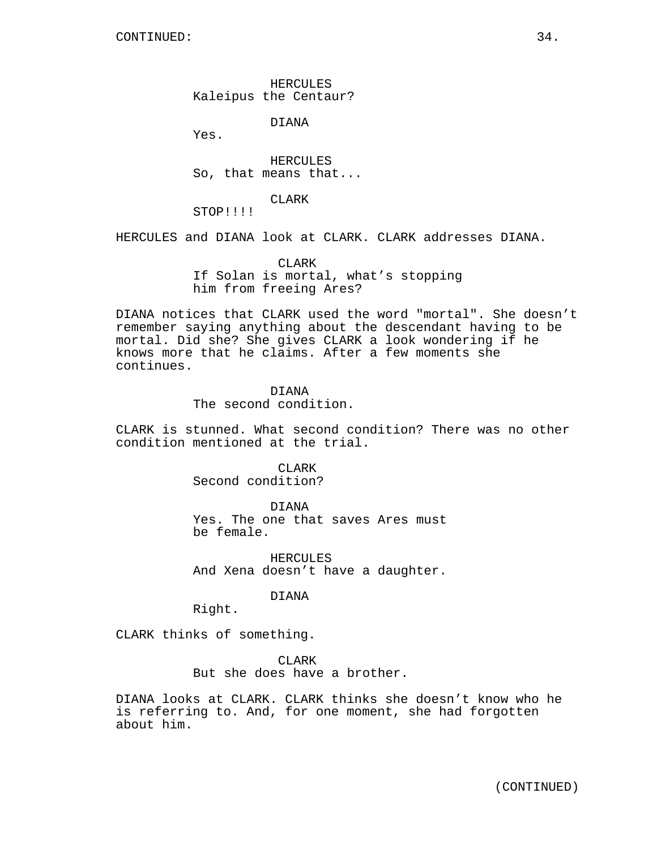HERCULES Kaleipus the Centaur?

DIANA

Yes.

HERCULES So, that means that...

CLARK

STOP!!!!

HERCULES and DIANA look at CLARK. CLARK addresses DIANA.

CLARK If Solan is mortal, what's stopping him from freeing Ares?

DIANA notices that CLARK used the word "mortal". She doesn't remember saying anything about the descendant having to be mortal. Did she? She gives CLARK a look wondering if he knows more that he claims. After a few moments she continues.

> DIANA The second condition.

CLARK is stunned. What second condition? There was no other condition mentioned at the trial.

> CLARK Second condition?

DIANA Yes. The one that saves Ares must be female.

HERCULES And Xena doesn't have a daughter.

DIANA

Right.

CLARK thinks of something.

CLARK

But she does have a brother.

DIANA looks at CLARK. CLARK thinks she doesn't know who he is referring to. And, for one moment, she had forgotten about him.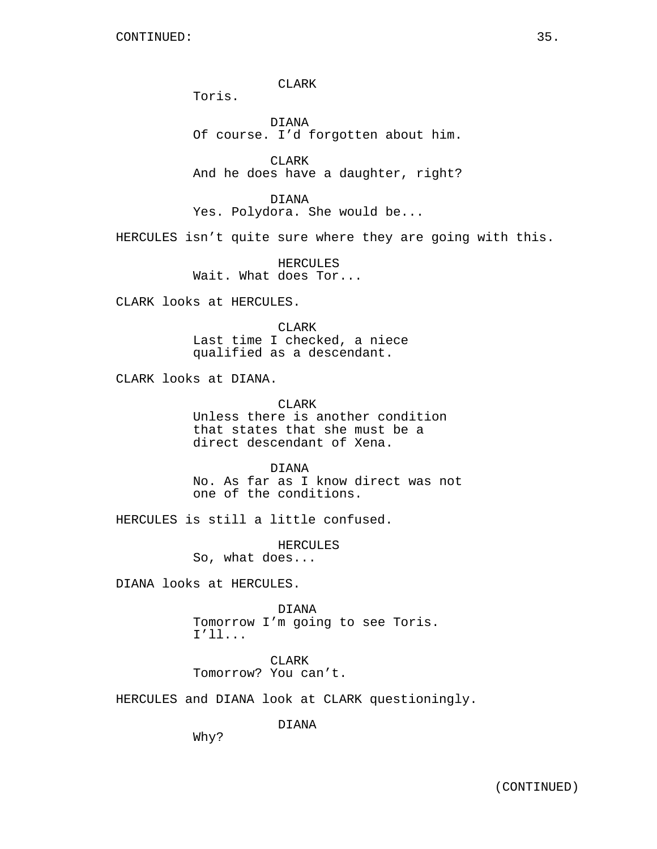CLARK

Toris.

DIANA Of course. I'd forgotten about him.

CLARK And he does have a daughter, right?

DIANA Yes. Polydora. She would be...

HERCULES isn't quite sure where they are going with this.

HERCULES Wait. What does Tor...

CLARK looks at HERCULES.

CLARK Last time I checked, a niece qualified as a descendant.

CLARK looks at DIANA.

CLARK Unless there is another condition

that states that she must be a direct descendant of Xena.

DIANA No. As far as I know direct was not one of the conditions.

HERCULES is still a little confused.

HERCULES

So, what does...

DIANA looks at HERCULES.

DIANA

Tomorrow I'm going to see Toris. I'll...

CLARK Tomorrow? You can't.

HERCULES and DIANA look at CLARK questioningly.

DIANA

Why?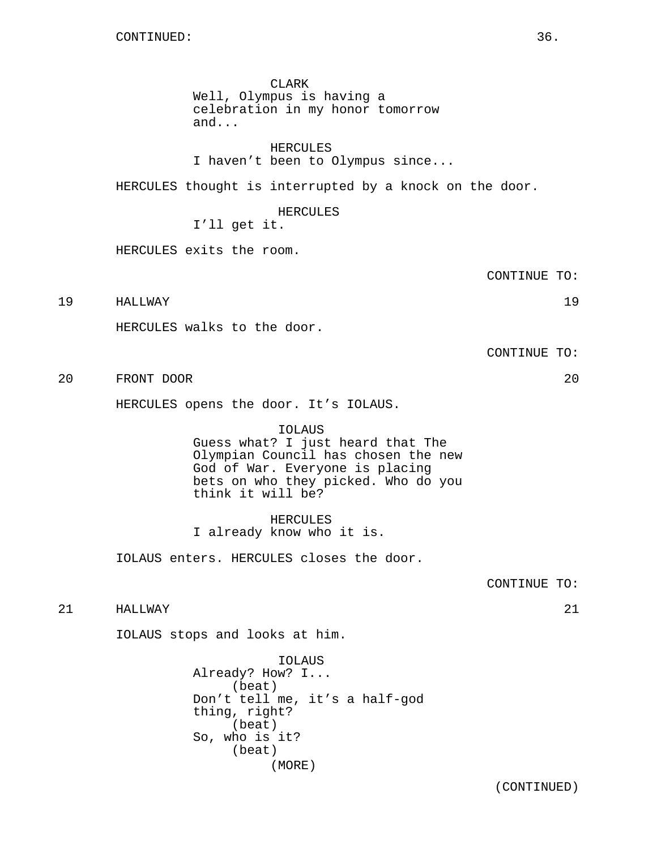### CLARK

Well, Olympus is having a celebration in my honor tomorrow and...

HERCULES

I haven't been to Olympus since...

HERCULES thought is interrupted by a knock on the door.

### HERCULES

I'll get it.

HERCULES exits the room.

CONTINUE TO:

19 HALLWAY 19

HERCULES walks to the door.

CONTINUE TO:

20 FRONT DOOR 20

HERCULES opens the door. It's IOLAUS.

IOLAUS Guess what? I just heard that The Olympian Council has chosen the new God of War. Everyone is placing bets on who they picked. Who do you think it will be?

HERCULES I already know who it is.

IOLAUS enters. HERCULES closes the door.

CONTINUE TO:

21 HALLWAY 21

IOLAUS stops and looks at him.

IOLAUS Already? How? I... (beat) Don't tell me, it's a half-god thing, right? (beat) So, who is it? (beat) (MORE)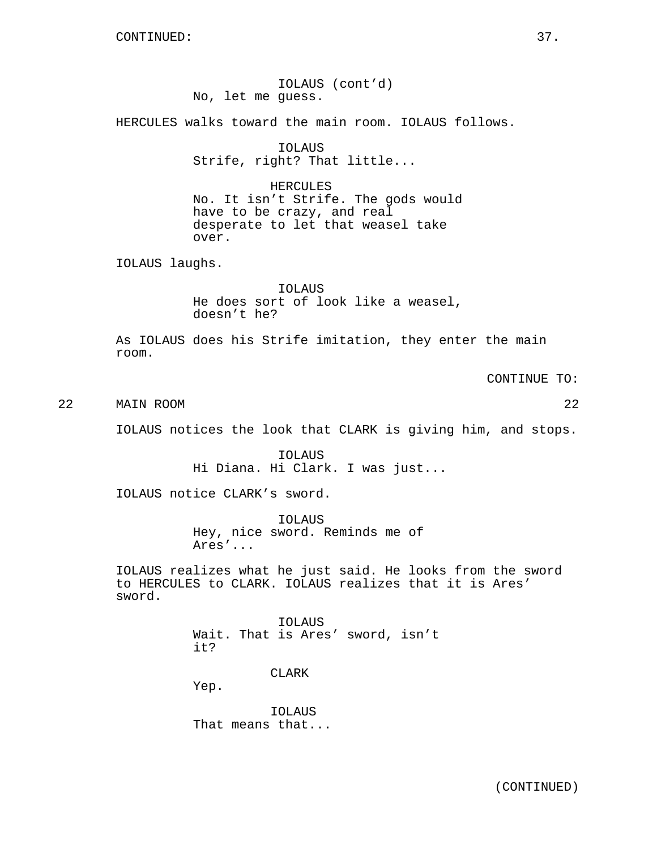IOLAUS (cont'd) No, let me guess. HERCULES walks toward the main room. IOLAUS follows. IOLAUS Strife, right? That little... HERCULES No. It isn't Strife. The gods would have to be crazy, and real desperate to let that weasel take over. IOLAUS laughs. IOLAUS He does sort of look like a weasel, doesn't he? As IOLAUS does his Strife imitation, they enter the main room. CONTINUE TO: 22 MAIN ROOM 22 IOLAUS notices the look that CLARK is giving him, and stops. IOLAUS Hi Diana. Hi Clark. I was just... IOLAUS notice CLARK's sword. IOLAUS Hey, nice sword. Reminds me of Ares'... IOLAUS realizes what he just said. He looks from the sword to HERCULES to CLARK. IOLAUS realizes that it is Ares' sword. IOLAUS Wait. That is Ares' sword, isn't it? CLARK Yep.

> IOLAUS That means that...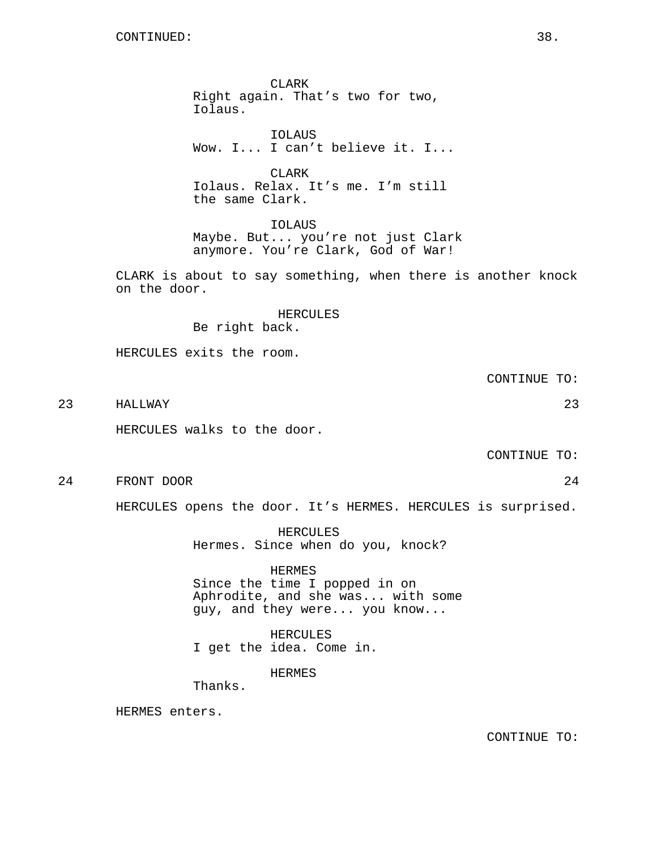CLARK Right again. That's two for two, Iolaus.

IOLAUS Wow. I... I can't believe it. I...

**CLARK** Iolaus. Relax. It's me. I'm still the same Clark.

IOLAUS Maybe. But... you're not just Clark anymore. You're Clark, God of War!

CLARK is about to say something, when there is another knock on the door.

> HERCULES Be right back.

HERCULES exits the room.

CONTINUE TO:

23 HALLWAY 23

HERCULES walks to the door.

CONTINUE TO:

24 FRONT DOOR 24

HERCULES opens the door. It's HERMES. HERCULES is surprised.

HERCULES Hermes. Since when do you, knock?

HERMES Since the time I popped in on Aphrodite, and she was... with some guy, and they were... you know...

HERCULES I get the idea. Come in.

HERMES

Thanks.

HERMES enters.

CONTINUE TO: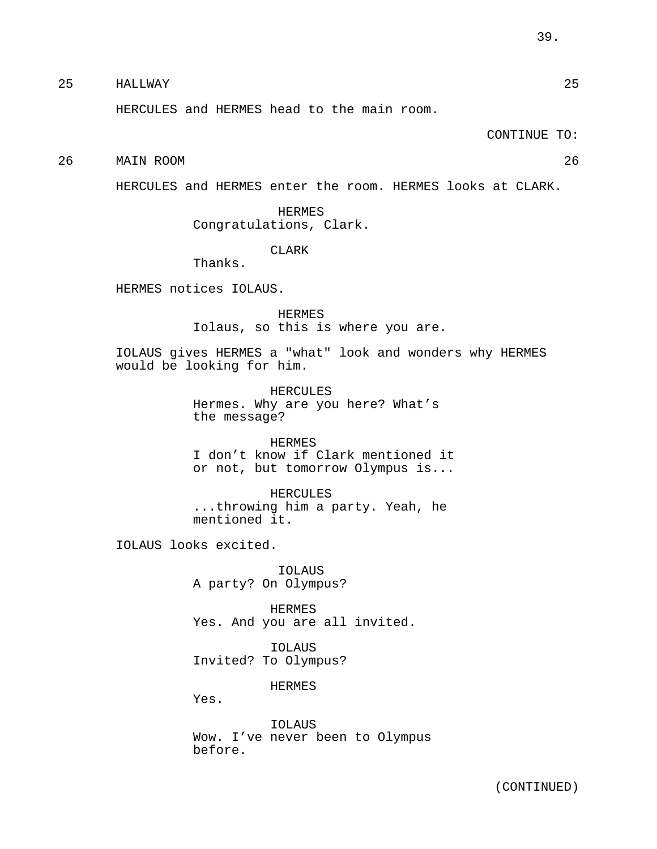25 HALLWAY 25

HERCULES and HERMES head to the main room.

CONTINUE TO:

26 MAIN ROOM 26

HERCULES and HERMES enter the room. HERMES looks at CLARK.

HERMES Congratulations, Clark.

CLARK

Thanks.

HERMES notices IOLAUS.

HERMES Iolaus, so this is where you are.

IOLAUS gives HERMES a "what" look and wonders why HERMES would be looking for him.

> HERCULES Hermes. Why are you here? What's the message?

HERMES I don't know if Clark mentioned it or not, but tomorrow Olympus is...

HERCULES ...throwing him a party. Yeah, he mentioned it.

IOLAUS looks excited.

IOLAUS A party? On Olympus?

HERMES Yes. And you are all invited.

IOLAUS Invited? To Olympus?

HERMES

Yes.

IOLAUS Wow. I've never been to Olympus before.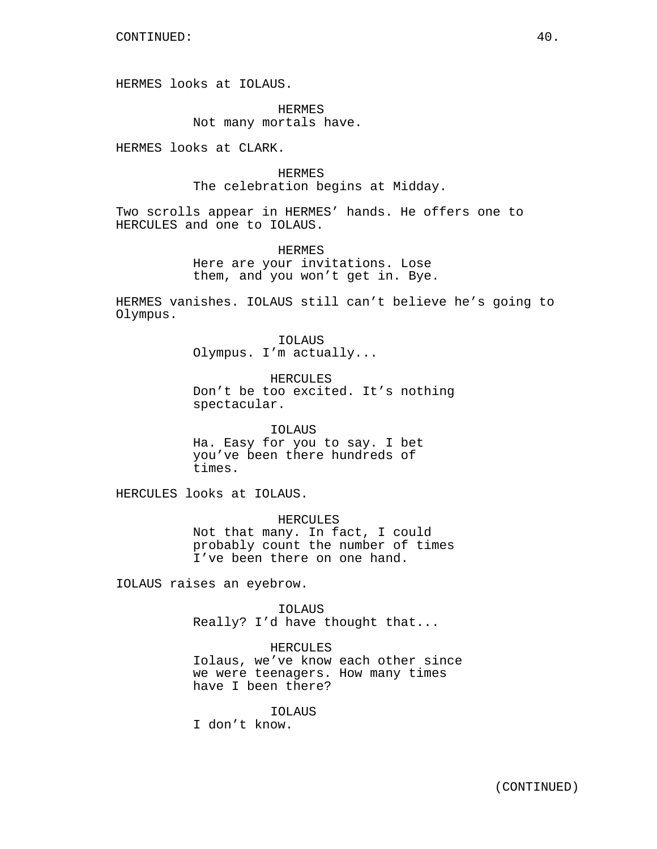HERMES looks at IOLAUS.

HERMES Not many mortals have.

HERMES looks at CLARK.

HERMES The celebration begins at Midday.

Two scrolls appear in HERMES' hands. He offers one to HERCULES and one to IOLAUS.

> HERMES Here are your invitations. Lose them, and you won't get in. Bye.

HERMES vanishes. IOLAUS still can't believe he's going to Olympus.

> IOLAUS Olympus. I'm actually...

HERCULES Don't be too excited. It's nothing spectacular.

IOLAUS Ha. Easy for you to say. I bet you've been there hundreds of times.

HERCULES looks at IOLAUS.

HERCULES Not that many. In fact, I could probably count the number of times I've been there on one hand.

IOLAUS raises an eyebrow.

IOLAUS Really? I'd have thought that...

HERCULES Iolaus, we've know each other since we were teenagers. How many times have I been there?

IOLAUS

I don't know.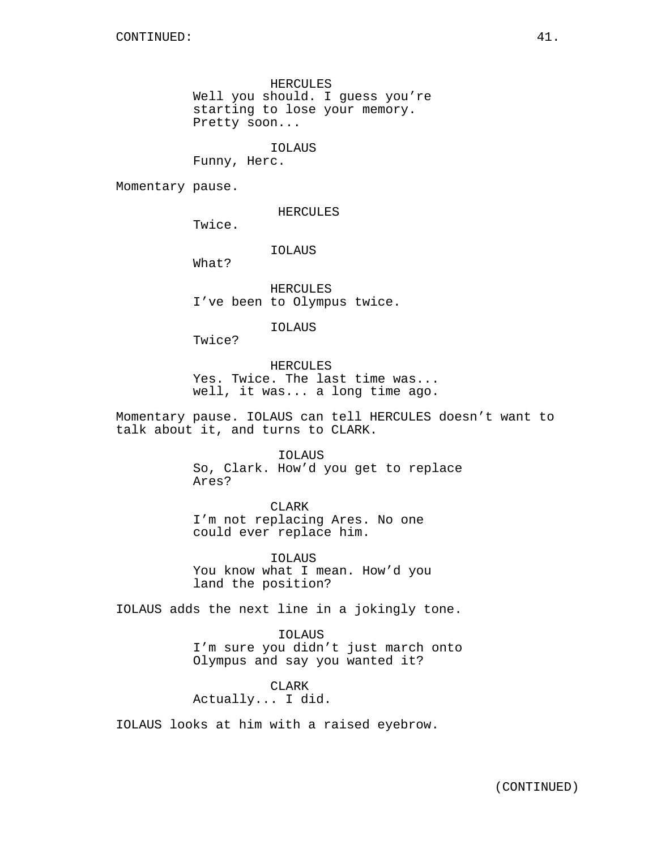HERCULES Well you should. I guess you're starting to lose your memory. Pretty soon...

IOLAUS

Funny, Herc.

Momentary pause.

HERCULES

Twice.

### IOLAUS

What?

HERCULES I've been to Olympus twice.

### IOLAUS

Twice?

HERCULES Yes. Twice. The last time was... well, it was... a long time ago.

Momentary pause. IOLAUS can tell HERCULES doesn't want to talk about it, and turns to CLARK.

### IOLAUS

So, Clark. How'd you get to replace Ares?

CLARK

I'm not replacing Ares. No one could ever replace him.

IOLAUS You know what I mean. How'd you land the position?

IOLAUS adds the next line in a jokingly tone.

IOLAUS I'm sure you didn't just march onto Olympus and say you wanted it?

CLARK Actually... I did.

IOLAUS looks at him with a raised eyebrow.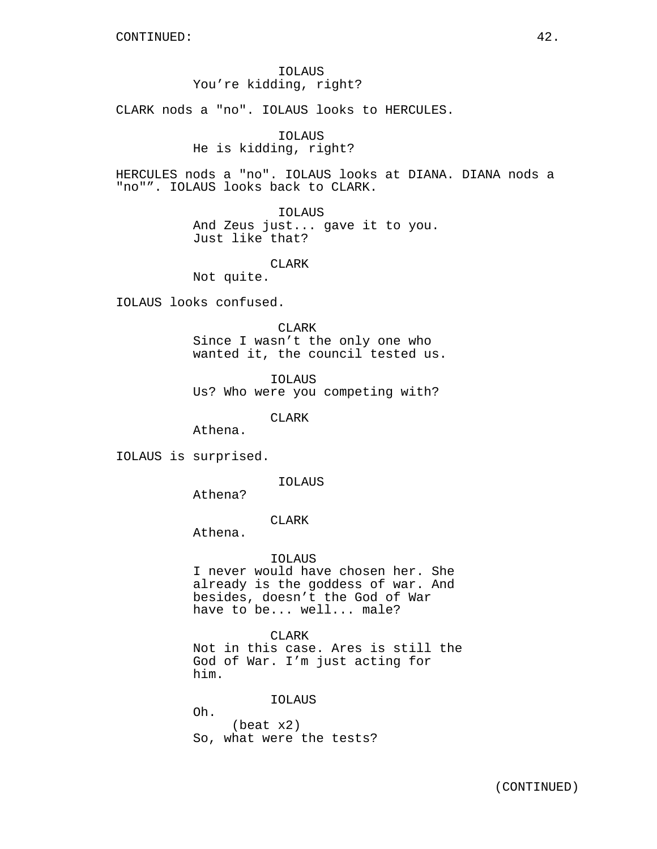IOLAUS You're kidding, right?

CLARK nods a "no". IOLAUS looks to HERCULES.

IOLAUS He is kidding, right?

HERCULES nods a "no". IOLAUS looks at DIANA. DIANA nods a "no"". IOLAUS looks back to CLARK.

> IOLAUS And Zeus just... gave it to you. Just like that?

> > CLARK

Not quite.

IOLAUS looks confused.

CLARK Since I wasn't the only one who wanted it, the council tested us.

IOLAUS Us? Who were you competing with?

CLARK

Athena.

IOLAUS is surprised.

IOLAUS

Athena?

CLARK

Athena.

IOLAUS

I never would have chosen her. She already is the goddess of war. And besides, doesn't the God of War have to be... well... male?

CLARK Not in this case. Ares is still the God of War. I'm just acting for

him.

IOLAUS Oh. (beat x2) So, what were the tests?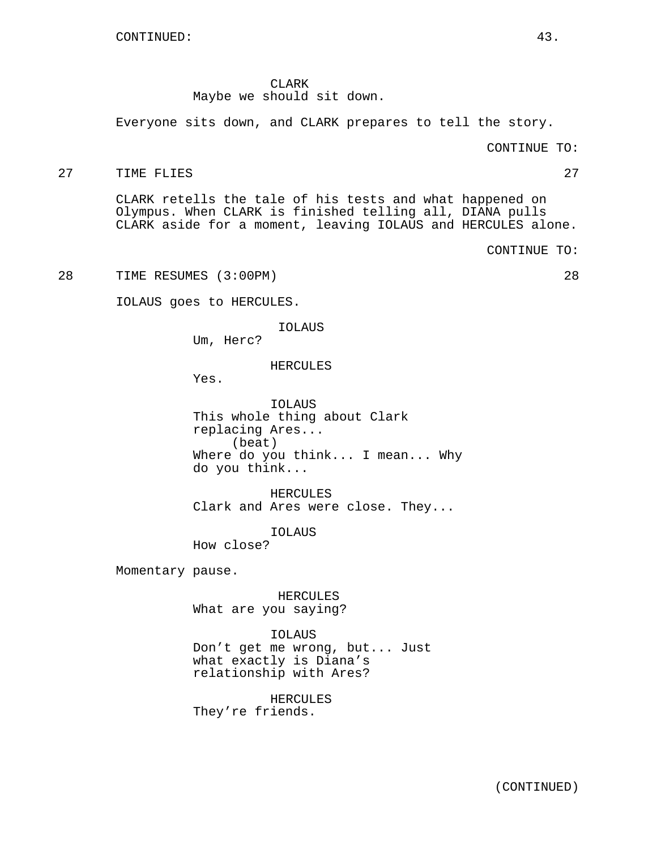CLARK Maybe we should sit down.

Everyone sits down, and CLARK prepares to tell the story.

CONTINUE TO:

### 27 TIME FLIES 27 27

CLARK retells the tale of his tests and what happened on Olympus. When CLARK is finished telling all, DIANA pulls CLARK aside for a moment, leaving IOLAUS and HERCULES alone.

CONTINUE TO:

28 TIME RESUMES (3:00PM) 28

IOLAUS goes to HERCULES.

IOLAUS

Um, Herc?

HERCULES

Yes.

IOLAUS This whole thing about Clark replacing Ares... (beat) Where do you think... I mean... Why do you think...

HERCULES Clark and Ares were close. They...

IOLAUS How close?

Momentary pause.

HERCULES What are you saying?

### IOLAUS

Don't get me wrong, but... Just what exactly is Diana's relationship with Ares?

HERCULES

They're friends.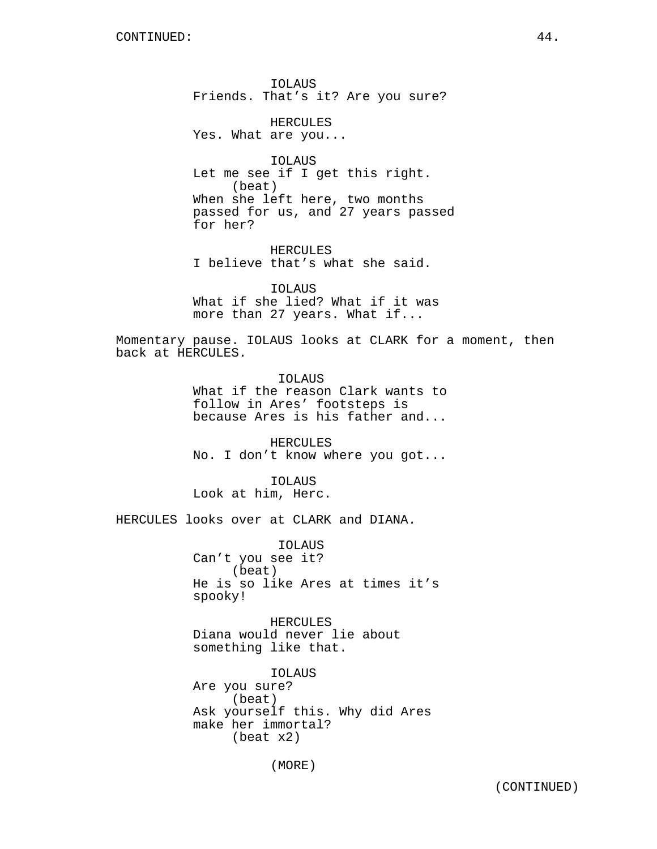IOLAUS Friends. That's it? Are you sure?

HERCULES Yes. What are you...

IOLAUS Let me see if I get this right. (beat) When she left here, two months passed for us, and 27 years passed for her?

HERCULES I believe that's what she said.

IOLAUS What if she lied? What if it was more than 27 years. What if...

Momentary pause. IOLAUS looks at CLARK for a moment, then back at HERCULES.

> IOLAUS What if the reason Clark wants to follow in Ares' footsteps is because Ares is his father and...

> HERCULES No. I don't know where you got...

IOLAUS Look at him, Herc.

HERCULES looks over at CLARK and DIANA.

IOLAUS Can't you see it? (beat) He is so like Ares at times it's spooky!

HERCULES Diana would never lie about something like that.

IOLAUS Are you sure? (beat) Ask yourself this. Why did Ares make her immortal? (beat x2)

(MORE)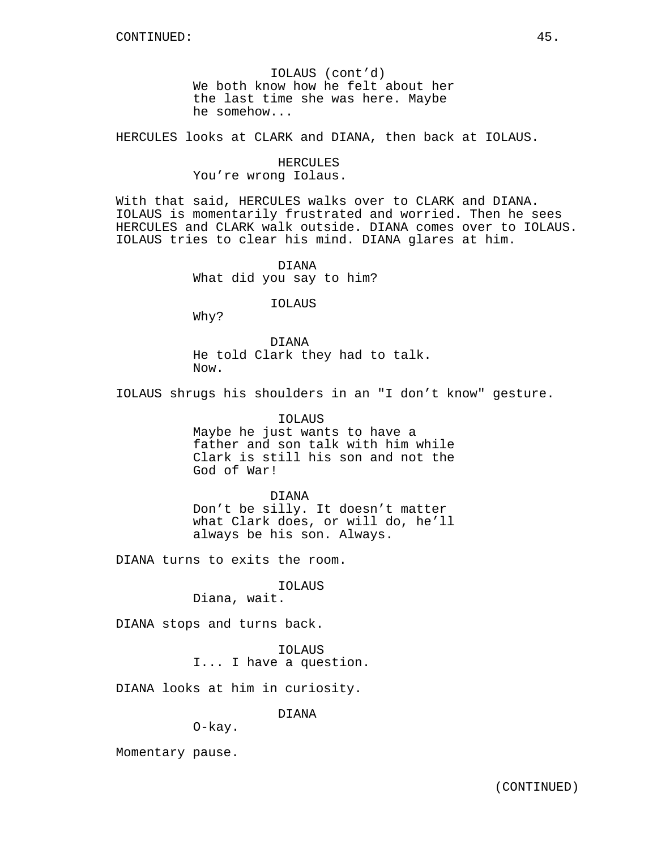IOLAUS (cont'd) We both know how he felt about her the last time she was here. Maybe he somehow...

HERCULES looks at CLARK and DIANA, then back at IOLAUS.

HERCULES You're wrong Iolaus.

With that said, HERCULES walks over to CLARK and DIANA. IOLAUS is momentarily frustrated and worried. Then he sees HERCULES and CLARK walk outside. DIANA comes over to IOLAUS. IOLAUS tries to clear his mind. DIANA glares at him.

> DIANA What did you say to him?

> > IOLAUS

Why?

DIANA He told Clark they had to talk. Now.

IOLAUS shrugs his shoulders in an "I don't know" gesture.

IOLAUS Maybe he just wants to have a father and son talk with him while Clark is still his son and not the God of War!

DIANA Don't be silly. It doesn't matter what Clark does, or will do, he'll always be his son. Always.

DIANA turns to exits the room.

IOLAUS

Diana, wait.

DIANA stops and turns back.

IOLAUS I... I have a question.

DIANA looks at him in curiosity.

DIANA

O-kay.

Momentary pause.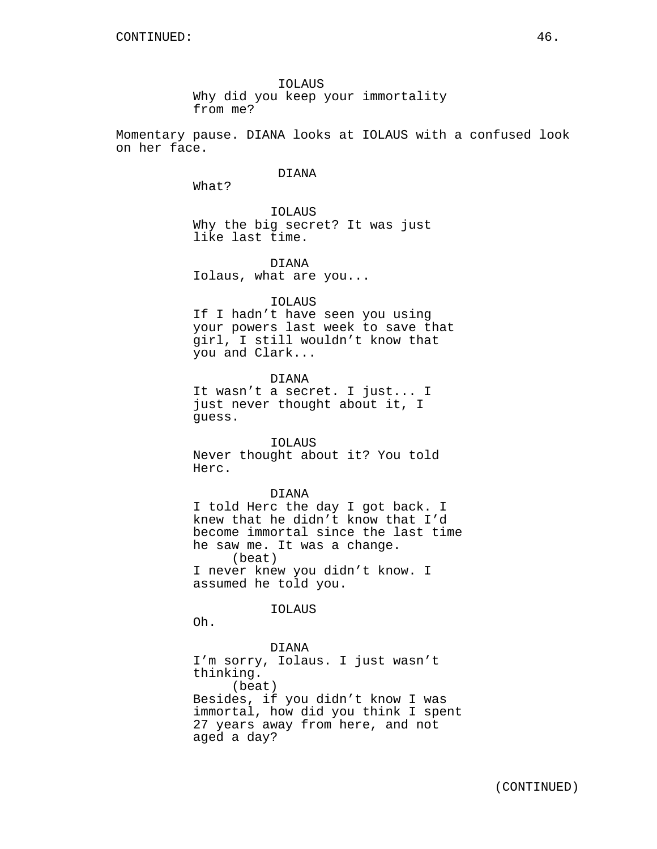IOLAUS Why did you keep your immortality from me?

Momentary pause. DIANA looks at IOLAUS with a confused look on her face.

## DIANA

What?

IOLAUS Why the big secret? It was just like last time.

DIANA Iolaus, what are you...

#### IOLAUS

If I hadn't have seen you using your powers last week to save that girl, I still wouldn't know that you and Clark...

DIANA It wasn't a secret. I just... I just never thought about it, I guess.

IOLAUS

Never thought about it? You told Herc.

### DIANA

I told Herc the day I got back. I knew that he didn't know that I'd become immortal since the last time he saw me. It was a change. (beat) I never knew you didn't know. I assumed he told you.

IOLAUS

Oh.

DIANA I'm sorry, Iolaus. I just wasn't thinking. (beat) Besides, if you didn't know I was immortal, how did you think I spent 27 years away from here, and not aged a day?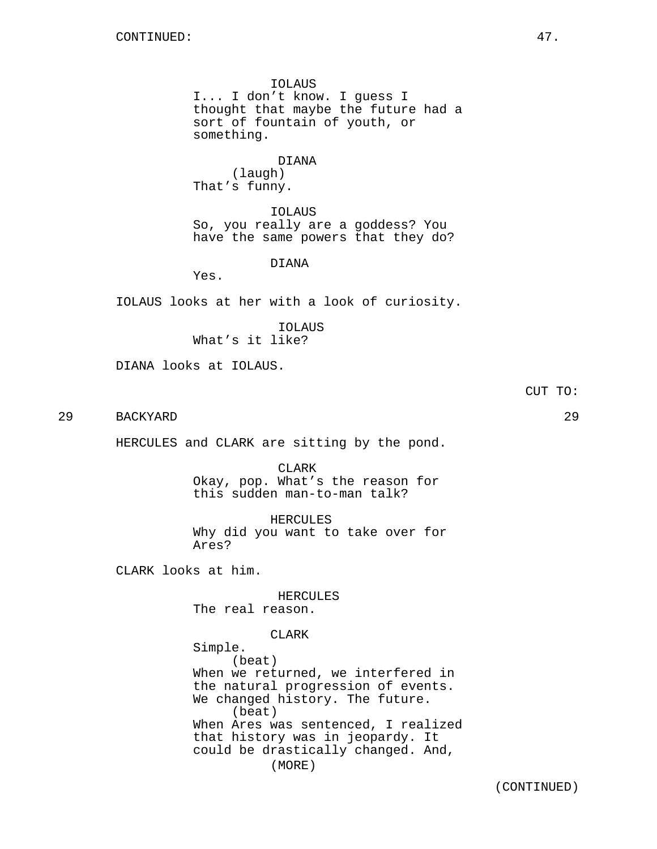IOLAUS I... I don't know. I guess I thought that maybe the future had a sort of fountain of youth, or something.

DIANA (laugh) That's funny.

IOLAUS So, you really are a goddess? You have the same powers that they do?

DIANA

Yes.

IOLAUS looks at her with a look of curiosity.

IOLAUS What's it like?

DIANA looks at IOLAUS.

CUT TO:

29 BACKYARD 29

HERCULES and CLARK are sitting by the pond.

CLARK Okay, pop. What's the reason for this sudden man-to-man talk?

HERCULES Why did you want to take over for Ares?

CLARK looks at him.

HERCULES The real reason.

CLARK Simple. (beat) When we returned, we interfered in the natural progression of events. We changed history. The future. (beat) When Ares was sentenced, I realized that history was in jeopardy. It could be drastically changed. And, (MORE)

(CONTINUED)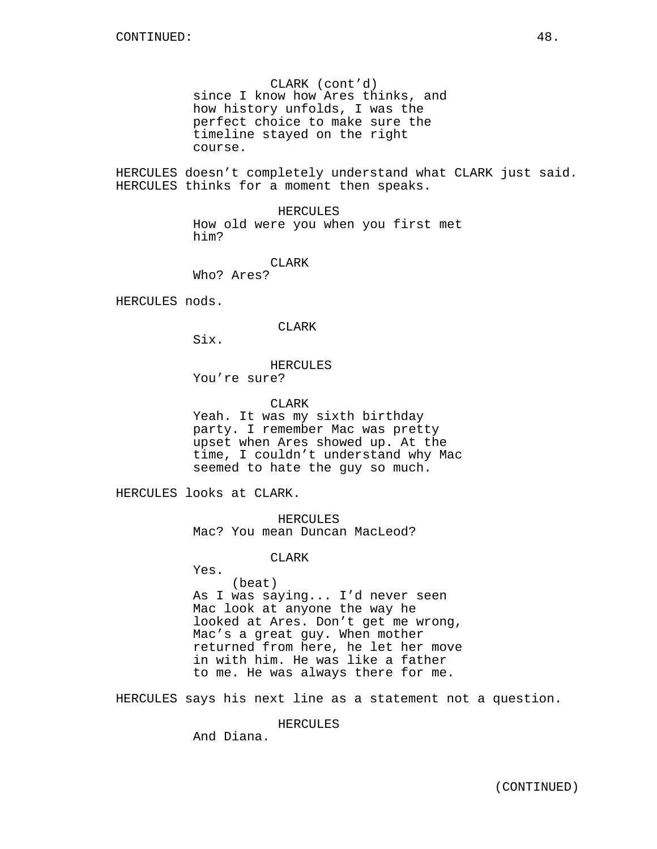CLARK (cont'd) since I know how Ares thinks, and how history unfolds, I was the perfect choice to make sure the timeline stayed on the right course.

HERCULES doesn't completely understand what CLARK just said. HERCULES thinks for a moment then speaks.

> HERCULES How old were you when you first met him?

> > CLARK

Who? Ares?

HERCULES nods.

CLARK

Six.

## HERCULES

You're sure?

CLARK

Yeah. It was my sixth birthday party. I remember Mac was pretty upset when Ares showed up. At the time, I couldn't understand why Mac seemed to hate the guy so much.

HERCULES looks at CLARK.

HERCULES Mac? You mean Duncan MacLeod?

CLARK

Yes.

(beat) As I was saying... I'd never seen Mac look at anyone the way he looked at Ares. Don't get me wrong, Mac's a great guy. When mother returned from here, he let her move in with him. He was like a father to me. He was always there for me.

HERCULES says his next line as a statement not a question.

HERCULES

And Diana.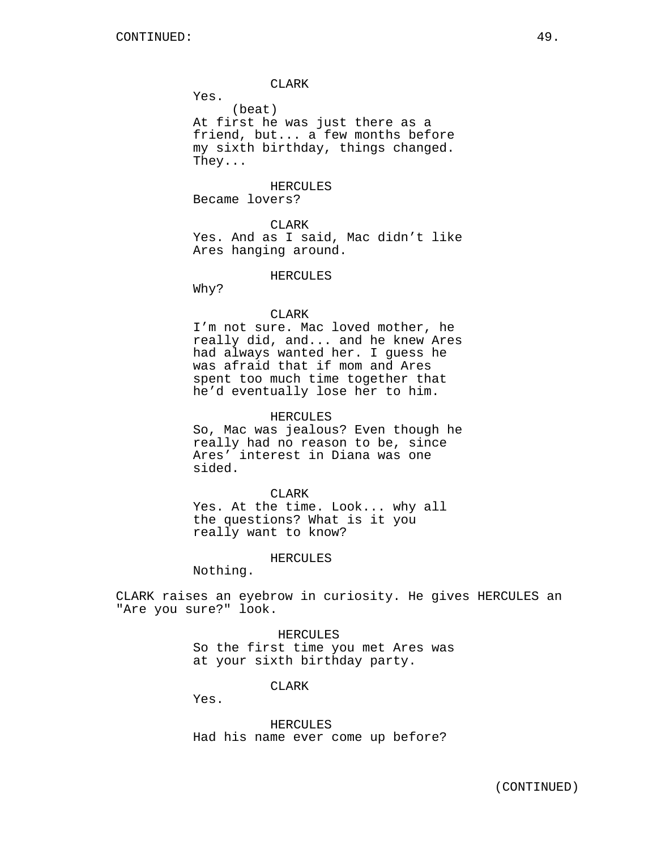CLARK

Yes.

(beat) At first he was just there as a friend, but... a few months before my sixth birthday, things changed. They...

HERCULES Became lovers?

CLARK Yes. And as I said, Mac didn't like Ares hanging around.

HERCULES

Why?

### CLARK

I'm not sure. Mac loved mother, he really did, and... and he knew Ares had always wanted her. I guess he was afraid that if mom and Ares spent too much time together that he'd eventually lose her to him.

### HERCULES

So, Mac was jealous? Even though he really had no reason to be, since Ares' interest in Diana was one sided.

CLARK

Yes. At the time. Look... why all the questions? What is it you really want to know?

#### HERCULES

Nothing.

CLARK raises an eyebrow in curiosity. He gives HERCULES an "Are you sure?" look.

## HERCULES

So the first time you met Ares was at your sixth birthday party.

CLARK

Yes.

HERCULES Had his name ever come up before?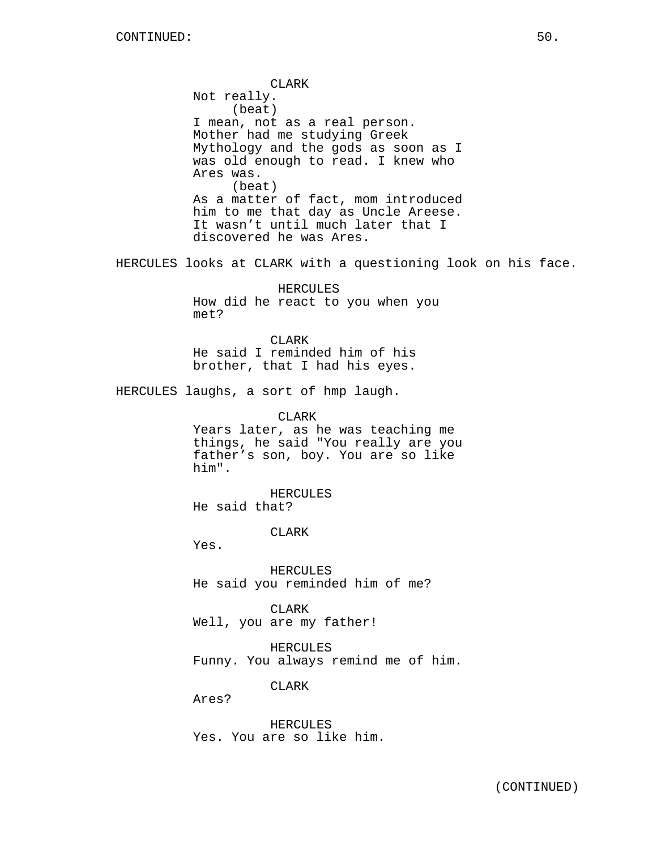CLARK Not really. (beat) I mean, not as a real person. Mother had me studying Greek Mythology and the gods as soon as I was old enough to read. I knew who Ares was. (beat) As a matter of fact, mom introduced him to me that day as Uncle Areese. It wasn't until much later that I discovered he was Ares. HERCULES looks at CLARK with a questioning look on his face. HERCULES How did he react to you when you met? CLARK He said I reminded him of his brother, that I had his eyes. HERCULES laughs, a sort of hmp laugh. CLARK Years later, as he was teaching me things, he said "You really are you father's son, boy. You are so like him". HERCULES He said that? CLARK Yes. HERCULES He said you reminded him of me? CLARK Well, you are my father! HERCULES Funny. You always remind me of him. CLARK Ares? HERCULES

Yes. You are so like him.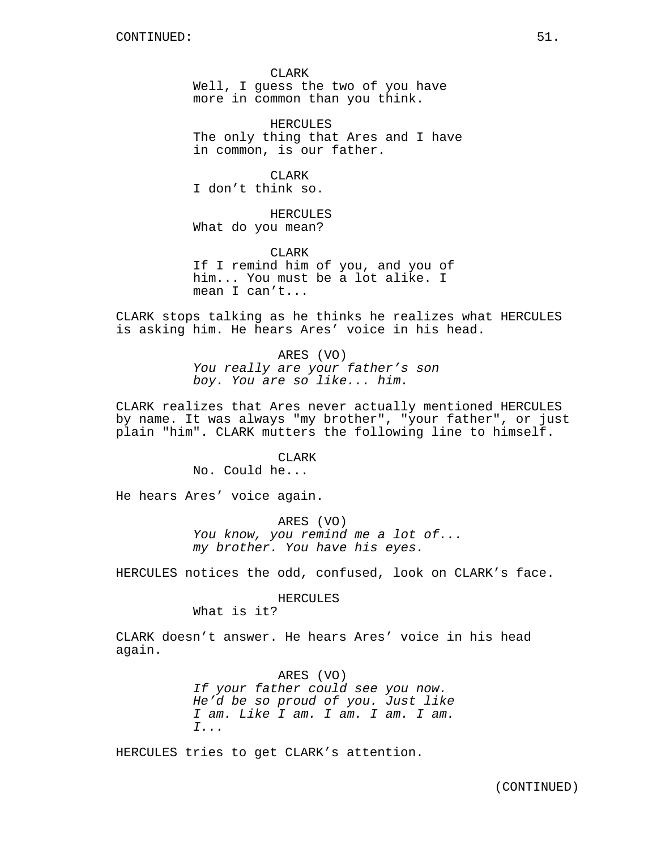CLARK Well, I guess the two of you have more in common than you think.

HERCULES The only thing that Ares and I have in common, is our father.

CLARK I don't think so.

HERCULES What do you mean?

**CLARK** If I remind him of you, and you of him... You must be a lot alike. I mean I can't...

CLARK stops talking as he thinks he realizes what HERCULES is asking him. He hears Ares' voice in his head.

> ARES (VO) You really are your father's son boy. You are so like... him.

CLARK realizes that Ares never actually mentioned HERCULES by name. It was always "my brother", "your father", or just plain "him". CLARK mutters the following line to himself.

> CLARK No. Could he...

He hears Ares' voice again.

ARES (VO) You know, you remind me a lot of... my brother. You have his eyes.

HERCULES notices the odd, confused, look on CLARK's face.

HERCULES

What is it?

CLARK doesn't answer. He hears Ares' voice in his head again.

> ARES (VO) If your father could see you now. He'd be so proud of you. Just like I am. Like I am. I am. I am. I am. I...

HERCULES tries to get CLARK's attention.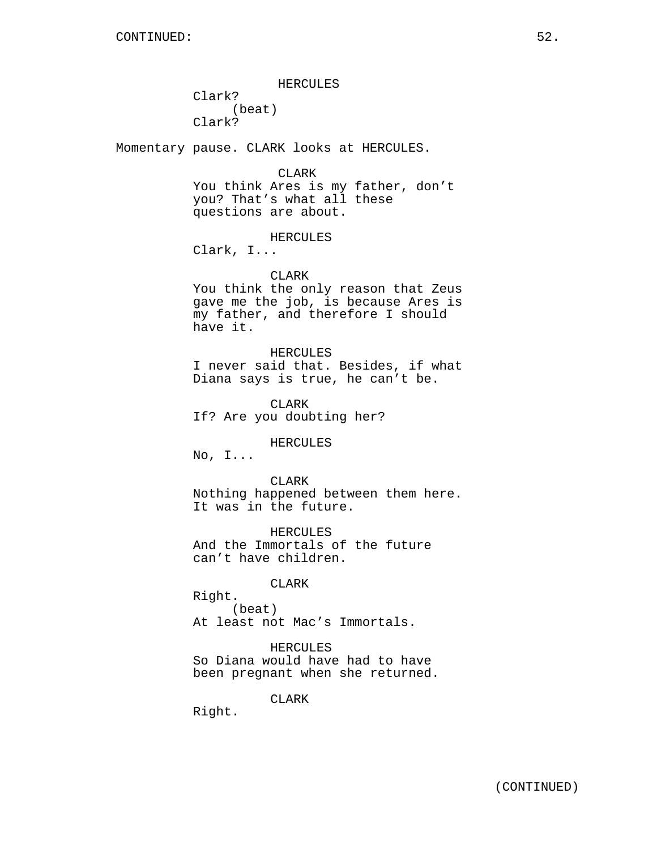HERCULES

Clark? (beat) Clark?

Momentary pause. CLARK looks at HERCULES.

CLARK

You think Ares is my father, don't you? That's what all these questions are about.

### HERCULES

Clark, I...

### CLARK

You think the only reason that Zeus gave me the job, is because Ares is my father, and therefore I should have it.

### HERCULES

I never said that. Besides, if what Diana says is true, he can't be.

CLARK If? Are you doubting her?

HERCULES

No, I...

CLARK Nothing happened between them here. It was in the future.

HERCULES And the Immortals of the future can't have children.

## CLARK

Right. (beat) At least not Mac's Immortals.

HERCULES So Diana would have had to have been pregnant when she returned.

CLARK

Right.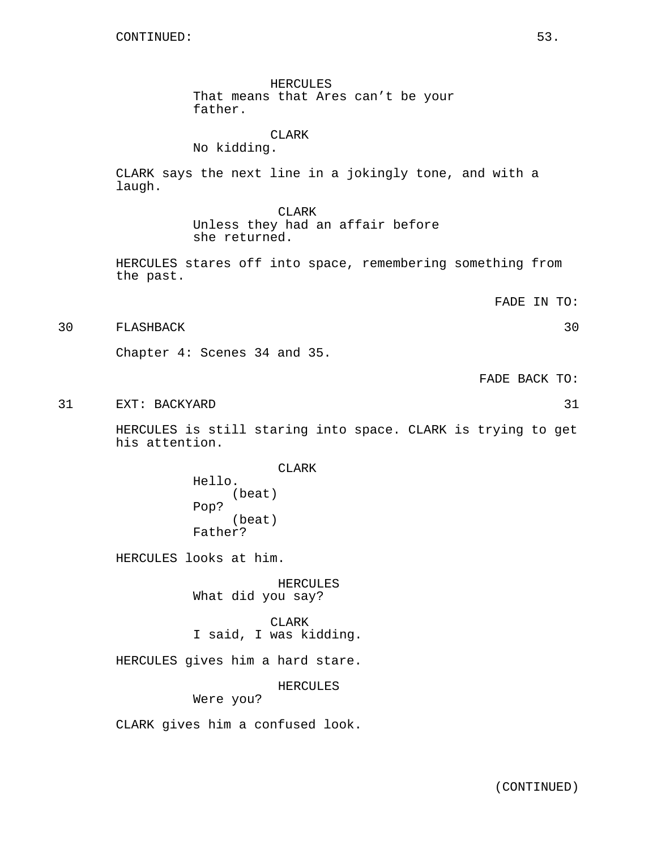HERCULES That means that Ares can't be your father.

## CLARK

No kidding.

CLARK says the next line in a jokingly tone, and with a laugh.

> CLARK Unless they had an affair before she returned.

HERCULES stares off into space, remembering something from the past.

FADE IN TO:

30 FLASHBACK 30

Chapter 4: Scenes 34 and 35.

FADE BACK TO:

31 EXT: BACKYARD 31

HERCULES is still staring into space. CLARK is trying to get his attention.

> CLARK Hello. (beat) Pop? (beat) Father?

HERCULES looks at him.

HERCULES What did you say?

CLARK I said, I was kidding.

HERCULES gives him a hard stare.

HERCULES

Were you?

CLARK gives him a confused look.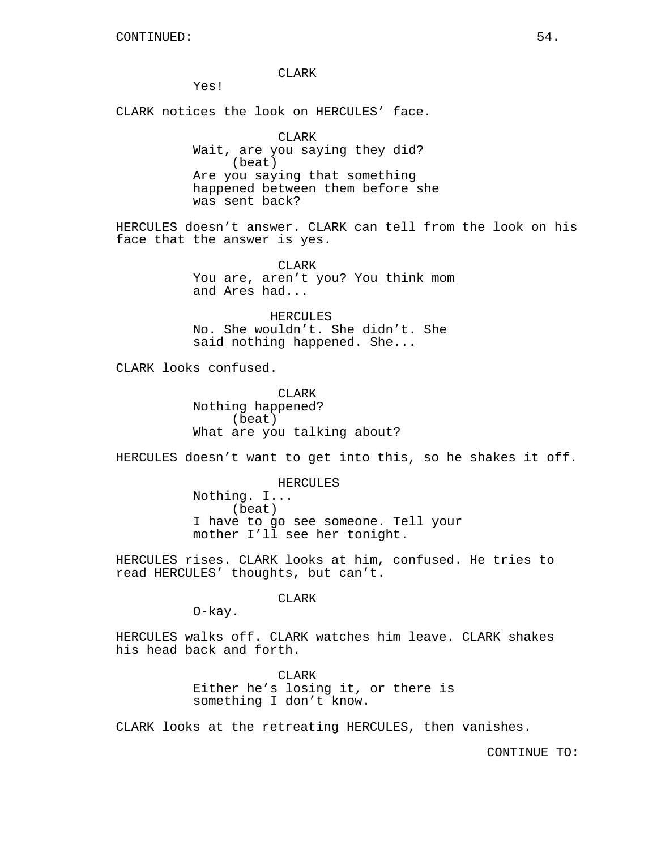CLARK

Yes!

CLARK notices the look on HERCULES' face.

CLARK Wait, are you saying they did? (beat) Are you saying that something happened between them before she was sent back?

HERCULES doesn't answer. CLARK can tell from the look on his face that the answer is yes.

> CLARK You are, aren't you? You think mom and Ares had...

HERCULES No. She wouldn't. She didn't. She said nothing happened. She...

CLARK looks confused.

CLARK Nothing happened? (beat) What are you talking about?

HERCULES doesn't want to get into this, so he shakes it off.

HERCULES

Nothing. I... (beat) I have to go see someone. Tell your mother I'll see her tonight.

HERCULES rises. CLARK looks at him, confused. He tries to read HERCULES' thoughts, but can't.

CLARK

O-kay.

HERCULES walks off. CLARK watches him leave. CLARK shakes his head back and forth.

> CLARK Either he's losing it, or there is something I don't know.

CLARK looks at the retreating HERCULES, then vanishes.

CONTINUE TO: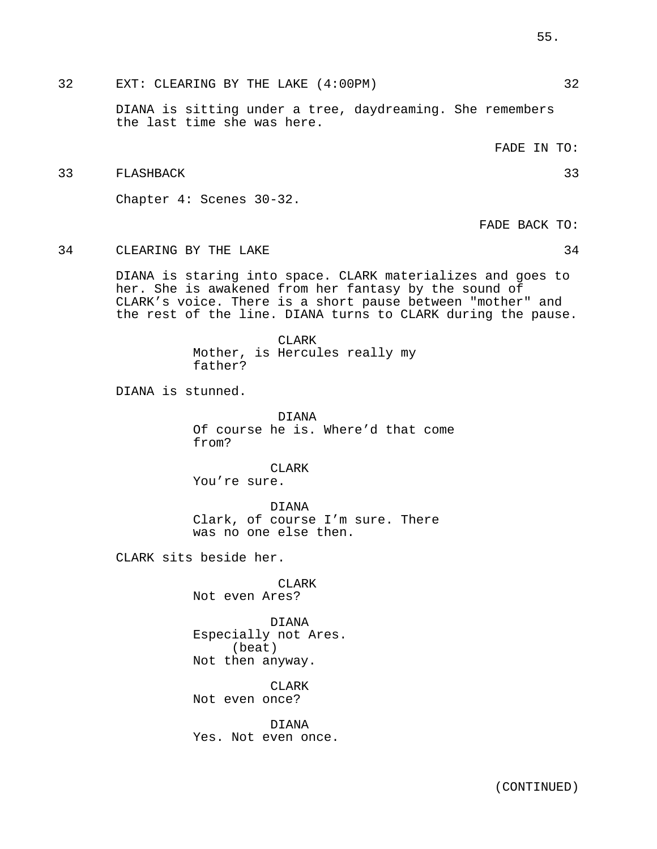32 EXT: CLEARING BY THE LAKE (4:00PM) 32

DIANA is sitting under a tree, daydreaming. She remembers the last time she was here.

FADE IN TO:

33 FLASHBACK 33

Chapter 4: Scenes 30-32.

FADE BACK TO:

34 CLEARING BY THE LAKE 34

DIANA is staring into space. CLARK materializes and goes to her. She is awakened from her fantasy by the sound of CLARK's voice. There is a short pause between "mother" and the rest of the line. DIANA turns to CLARK during the pause.

> CLARK Mother, is Hercules really my father?

DIANA is stunned.

DIANA Of course he is. Where'd that come from?

CLARK You're sure.

DIANA Clark, of course I'm sure. There was no one else then.

CLARK sits beside her.

CLARK Not even Ares?

DIANA Especially not Ares. (beat) Not then anyway.

CLARK Not even once?

DIANA Yes. Not even once.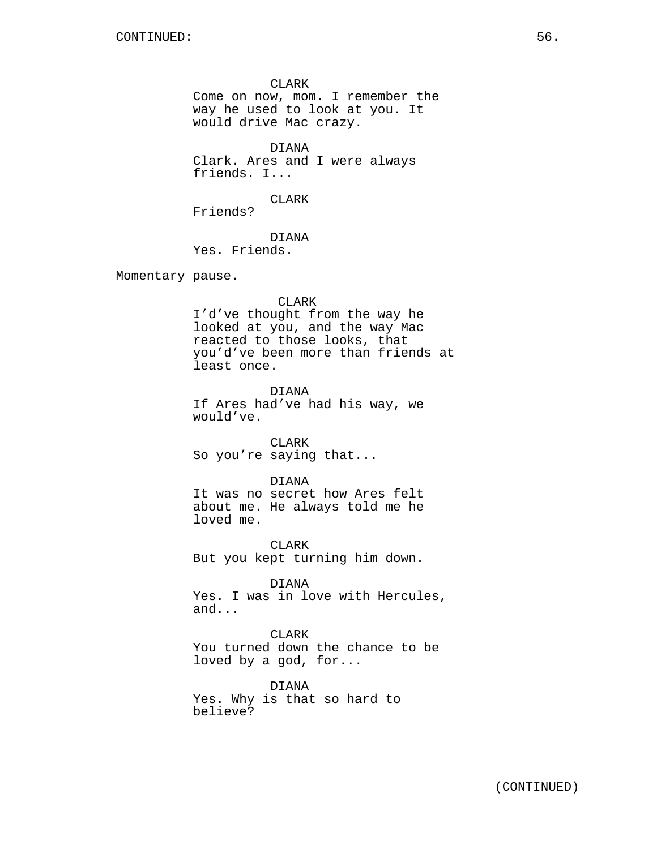CLARK Come on now, mom. I remember the way he used to look at you. It would drive Mac crazy.

DIANA Clark. Ares and I were always friends. I...

CLARK

Friends?

DIANA Yes. Friends.

Momentary pause.

#### CLARK

I'd've thought from the way he looked at you, and the way Mac reacted to those looks, that you'd've been more than friends at least once.

DIANA If Ares had've had his way, we would've.

CLARK So you're saying that...

### DIANA

It was no secret how Ares felt about me. He always told me he loved me.

CLARK But you kept turning him down.

DIANA Yes. I was in love with Hercules, and...

CLARK You turned down the chance to be loved by a god, for...

DIANA Yes. Why is that so hard to believe?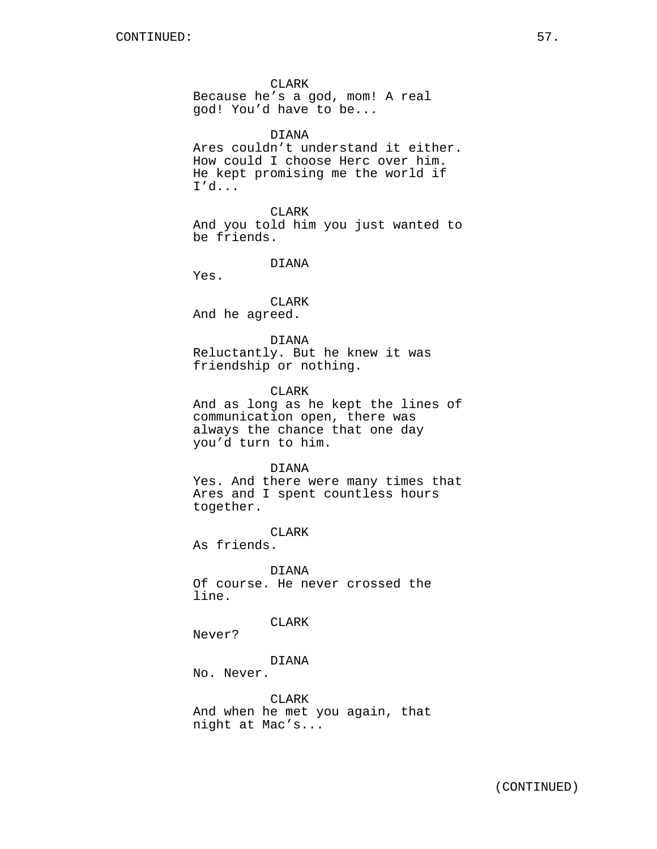CLARK Because he's a god, mom! A real god! You'd have to be...

DIANA

Ares couldn't understand it either. How could I choose Herc over him. He kept promising me the world if I'd...

CLARK And you told him you just wanted to be friends.

DIANA

Yes.

CLARK And he agreed.

DIANA Reluctantly. But he knew it was friendship or nothing.

CLARK

And as long as he kept the lines of communication open, there was always the chance that one day you'd turn to him.

### DIANA

Yes. And there were many times that Ares and I spent countless hours together.

CLARK

As friends.

DIANA Of course. He never crossed the line.

## CLARK

Never?

## DIANA

No. Never.

CLARK And when he met you again, that night at Mac's...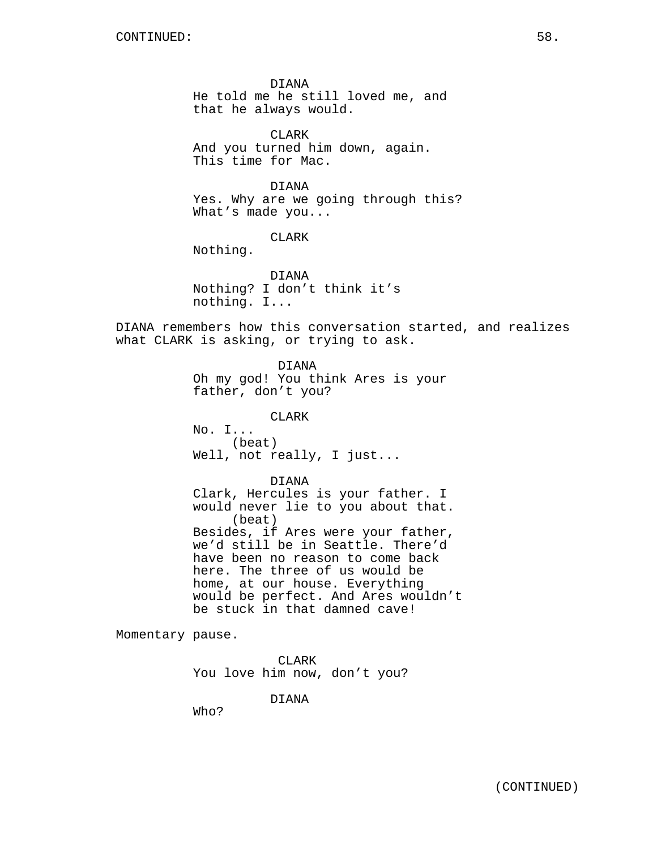DIANA He told me he still loved me, and that he always would.

CLARK And you turned him down, again. This time for Mac.

DIANA Yes. Why are we going through this? What's made you...

## CLARK

Nothing.

DIANA Nothing? I don't think it's nothing. I...

DIANA remembers how this conversation started, and realizes what CLARK is asking, or trying to ask.

> DIANA Oh my god! You think Ares is your father, don't you?

CLARK No. I... (beat) Well, not really, I just...

DIANA Clark, Hercules is your father. I would never lie to you about that. (beat) Besides, if Ares were your father, we'd still be in Seattle. There'd have been no reason to come back here. The three of us would be home, at our house. Everything would be perfect. And Ares wouldn't be stuck in that damned cave!

Momentary pause.

CLARK You love him now, don't you?

DIANA

Who?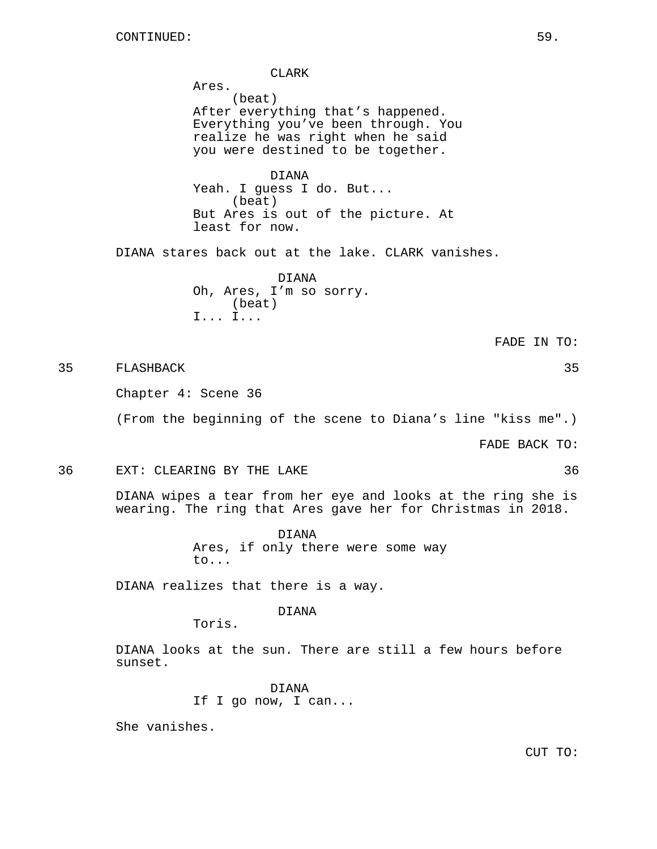CLARK Ares. (beat) After everything that's happened. Everything you've been through. You realize he was right when he said you were destined to be together. DIANA Yeah. I guess I do. But... (beat) But Ares is out of the picture. At least for now. DIANA stares back out at the lake. CLARK vanishes. DIANA Oh, Ares, I'm so sorry. (beat) I... I... FADE IN TO: 35 FLASHBACK 35 Chapter 4: Scene 36 (From the beginning of the scene to Diana's line "kiss me".)

FADE BACK TO:

36 EXT: CLEARING BY THE LAKE 36

DIANA wipes a tear from her eye and looks at the ring she is wearing. The ring that Ares gave her for Christmas in 2018.

> DIANA Ares, if only there were some way to...

DIANA realizes that there is a way.

DIANA

Toris.

DIANA looks at the sun. There are still a few hours before sunset.

> DIANA If I go now, I can...

She vanishes.

CUT TO: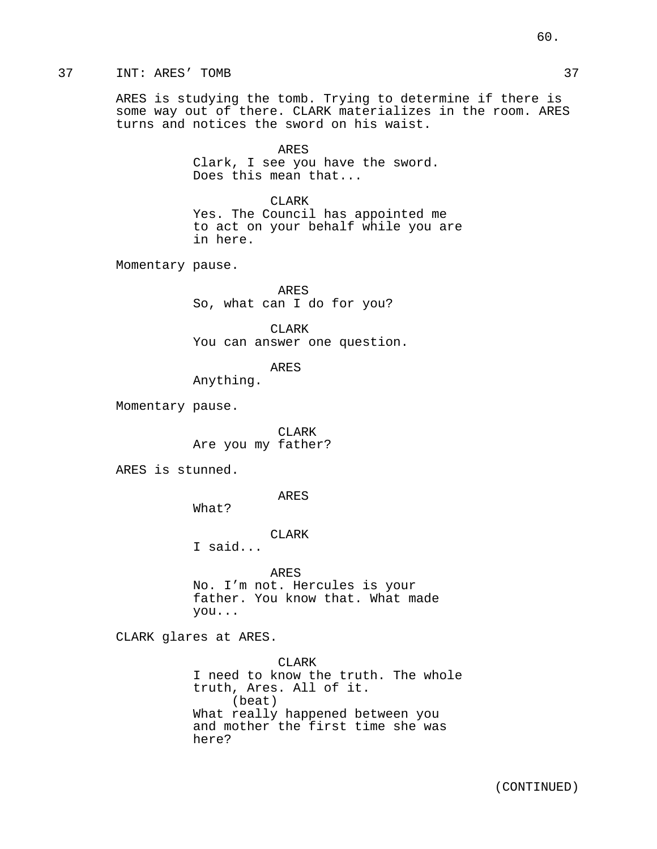## 37 INT: ARES' TOMB 37

ARES is studying the tomb. Trying to determine if there is some way out of there. CLARK materializes in the room. ARES turns and notices the sword on his waist.

> ARES Clark, I see you have the sword. Does this mean that...

CLARK Yes. The Council has appointed me to act on your behalf while you are in here.

Momentary pause.

ARES So, what can I do for you?

CLARK You can answer one question.

ARES

Anything.

Momentary pause.

CLARK Are you my father?

ARES is stunned.

ARES

What?

CLARK

I said...

ARES No. I'm not. Hercules is your father. You know that. What made you...

CLARK glares at ARES.

CLAR<sub>K</sub> I need to know the truth. The whole truth, Ares. All of it. (beat) What really happened between you and mother the first time she was here?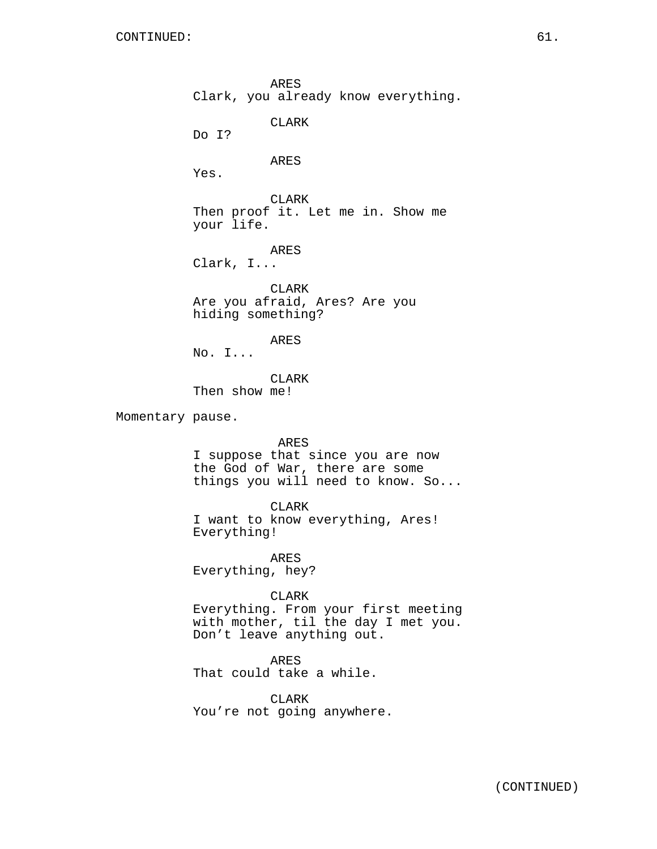ARES Clark, you already know everything. CLARK Do I? ARES Yes. CLARK Then proof it. Let me in. Show me your life. ARES Clark, I... CLARK Are you afraid, Ares? Are you hiding something? ARES No. I... CLARK Then show me! Momentary pause. ARES I suppose that since you are now the God of War, there are some things you will need to know. So... CLARK I want to know everything, Ares! Everything! ARES Everything, hey? CLARK Everything. From your first meeting with mother, til the day I met you. Don't leave anything out. ARES That could take a while. CLARK You're not going anywhere.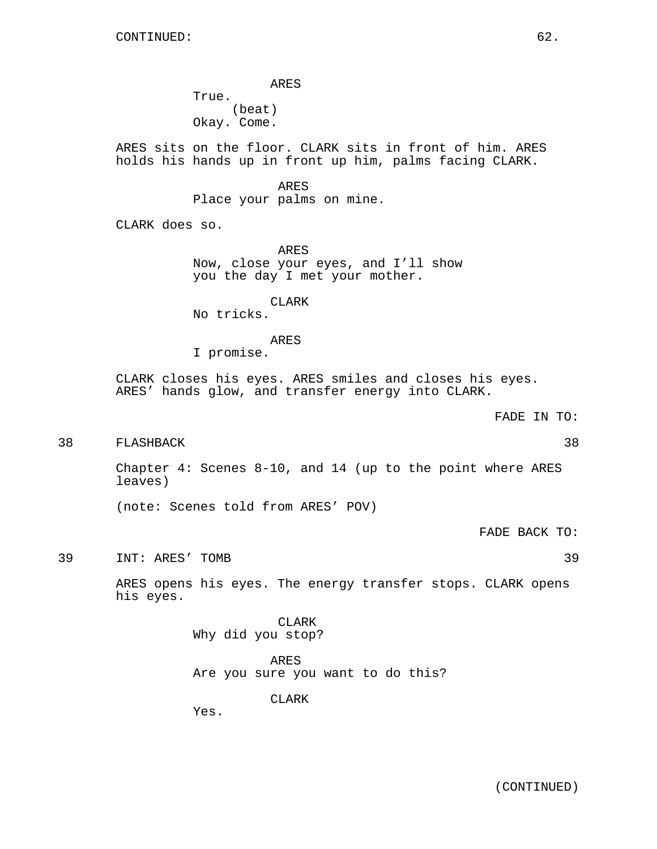ARES True. (beat) Okay. Come.

ARES sits on the floor. CLARK sits in front of him. ARES holds his hands up in front up him, palms facing CLARK.

> ARES Place your palms on mine.

CLARK does so.

ARES Now, close your eyes, and I'll show you the day I met your mother.

CLARK

No tricks.

## ARES

I promise.

CLARK closes his eyes. ARES smiles and closes his eyes. ARES' hands glow, and transfer energy into CLARK.

FADE IN TO:

38 FLASHBACK 38

Chapter 4: Scenes 8-10, and 14 (up to the point where ARES leaves)

(note: Scenes told from ARES' POV)

FADE BACK TO:

39 INT: ARES' TOMB 39

ARES opens his eyes. The energy transfer stops. CLARK opens his eyes.

> CLARK Why did you stop?

ARES Are you sure you want to do this?

CLARK

Yes.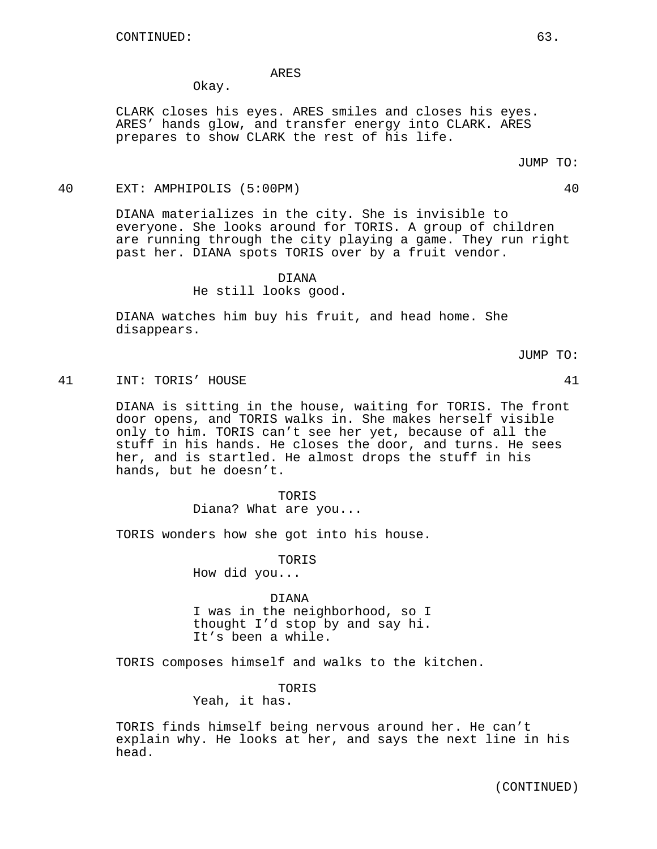### ARES

Okay.

CLARK closes his eyes. ARES smiles and closes his eyes. ARES' hands glow, and transfer energy into CLARK. ARES prepares to show CLARK the rest of his life.

#### JUMP TO:

## 40 EXT: AMPHIPOLIS (5:00PM) 40

DIANA materializes in the city. She is invisible to everyone. She looks around for TORIS. A group of children are running through the city playing a game. They run right past her. DIANA spots TORIS over by a fruit vendor.

## DIANA

He still looks good.

DIANA watches him buy his fruit, and head home. She disappears.

JUMP TO:

### 41 INT: TORIS' HOUSE 41

DIANA is sitting in the house, waiting for TORIS. The front door opens, and TORIS walks in. She makes herself visible only to him. TORIS can't see her yet, because of all the stuff in his hands. He closes the door, and turns. He sees her, and is startled. He almost drops the stuff in his hands, but he doesn't.

> TORIS Diana? What are you...

TORIS wonders how she got into his house.

TORIS

How did you...

#### DIANA

I was in the neighborhood, so I thought I'd stop by and say hi. It's been a while.

TORIS composes himself and walks to the kitchen.

TORIS

Yeah, it has.

TORIS finds himself being nervous around her. He can't explain why. He looks at her, and says the next line in his head.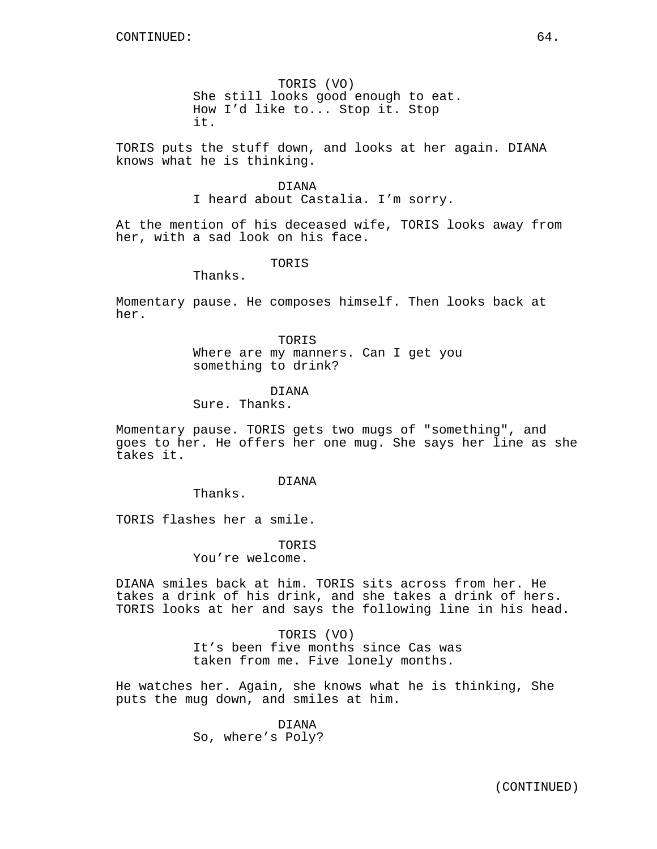TORIS (VO) She still looks good enough to eat. How I'd like to... Stop it. Stop it.

TORIS puts the stuff down, and looks at her again. DIANA knows what he is thinking.

### DIANA

I heard about Castalia. I'm sorry.

At the mention of his deceased wife, TORIS looks away from her, with a sad look on his face.

TORIS

Thanks.

Momentary pause. He composes himself. Then looks back at her.

> TORIS Where are my manners. Can I get you something to drink?

## DIANA

Sure. Thanks.

Momentary pause. TORIS gets two mugs of "something", and goes to her. He offers her one mug. She says her line as she takes it.

### DIANA

Thanks.

TORIS flashes her a smile.

TORIS

You're welcome.

DIANA smiles back at him. TORIS sits across from her. He takes a drink of his drink, and she takes a drink of hers. TORIS looks at her and says the following line in his head.

## TORIS (VO)

It's been five months since Cas was taken from me. Five lonely months.

He watches her. Again, she knows what he is thinking, She puts the mug down, and smiles at him.

# DIANA

So, where's Poly?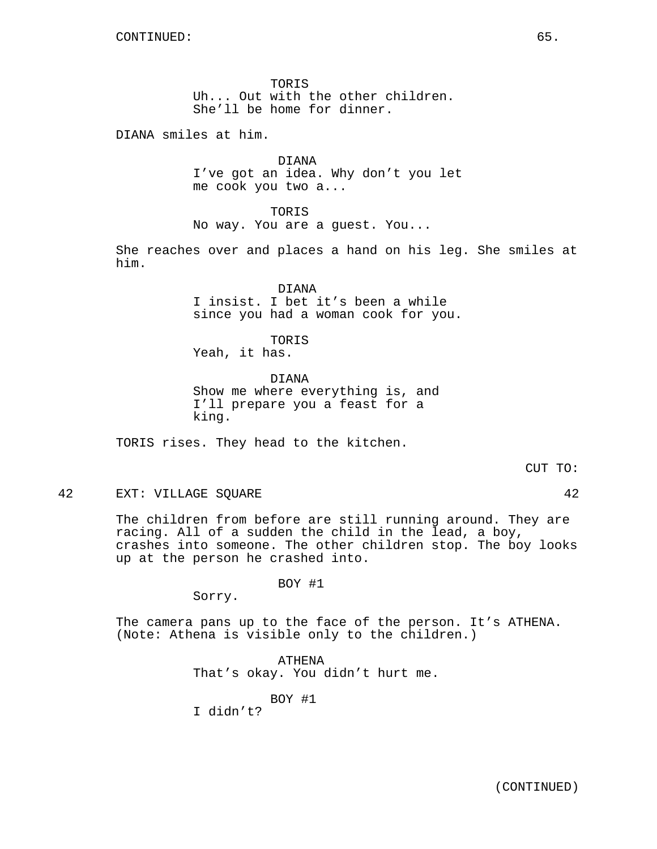TOR<sub>IS</sub> Uh... Out with the other children. She'll be home for dinner.

DIANA smiles at him.

DIANA I've got an idea. Why don't you let me cook you two a...

TORIS No way. You are a guest. You...

She reaches over and places a hand on his leg. She smiles at him.

> DIANA I insist. I bet it's been a while since you had a woman cook for you.

**TORIS** Yeah, it has.

DIANA Show me where everything is, and I'll prepare you a feast for a king.

TORIS rises. They head to the kitchen.

42 EXT: VILLAGE SQUARE 42

The children from before are still running around. They are racing. All of a sudden the child in the lead, a boy, crashes into someone. The other children stop. The boy looks up at the person he crashed into.

BOY #1

Sorry.

The camera pans up to the face of the person. It's ATHENA. (Note: Athena is visible only to the children.)

> ATHENA That's okay. You didn't hurt me.

> > BOY #1

I didn't?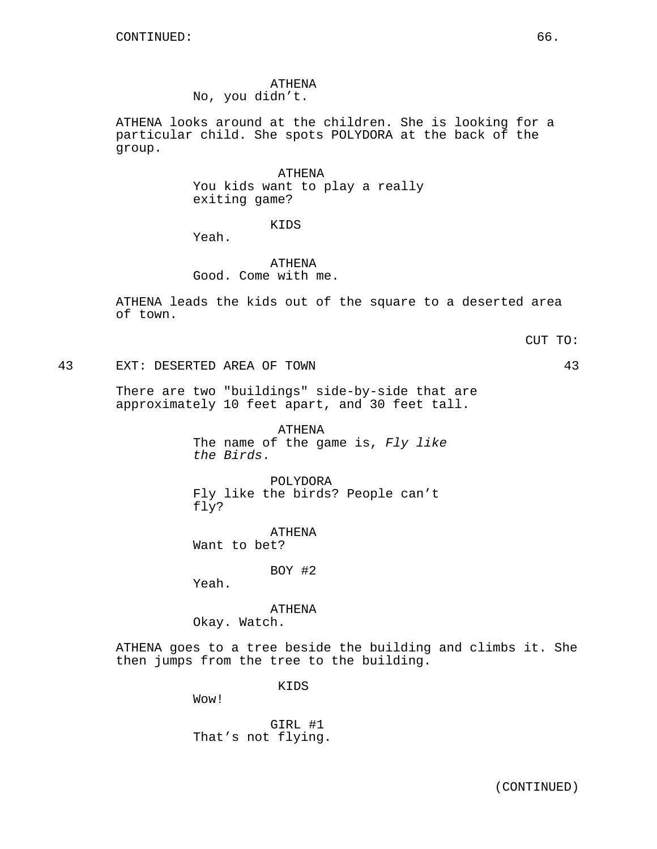# ATHENA

No, you didn't.

ATHENA looks around at the children. She is looking for a particular child. She spots POLYDORA at the back of the group.

> ATHENA You kids want to play a really exiting game?

> > KIDS

Yeah.

ATHENA Good. Come with me.

ATHENA leads the kids out of the square to a deserted area of town.

CUT TO:

43 EXT: DESERTED AREA OF TOWN 43

There are two "buildings" side-by-side that are approximately 10 feet apart, and 30 feet tall.

> ATHENA The name of the game is, Fly like the Birds.

POLYDORA Fly like the birds? People can't fly?

ATHENA Want to bet?

BOY #2

Yeah.

ATHENA Okay. Watch.

ATHENA goes to a tree beside the building and climbs it. She then jumps from the tree to the building.

KIDS

Wow!

GIRL #1 That's not flying.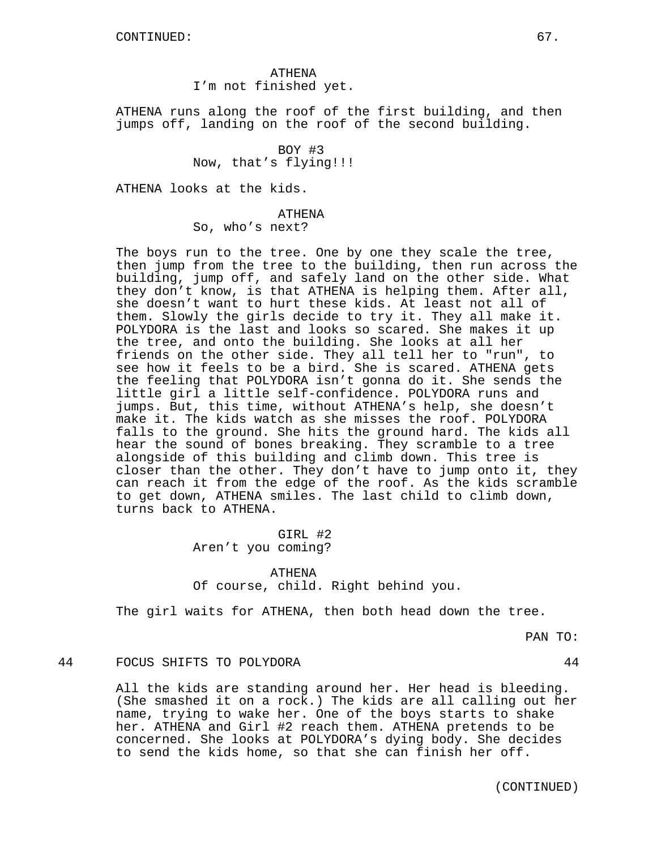ATHENA I'm not finished yet.

ATHENA runs along the roof of the first building, and then jumps off, landing on the roof of the second building.

> BOY #3 Now, that's flying!!!

ATHENA looks at the kids.

### ATHENA

So, who's next?

The boys run to the tree. One by one they scale the tree, then jump from the tree to the building, then run across the building, jump off, and safely land on the other side. What they don't know, is that ATHENA is helping them. After all, she doesn't want to hurt these kids. At least not all of them. Slowly the girls decide to try it. They all make it. POLYDORA is the last and looks so scared. She makes it up the tree, and onto the building. She looks at all her friends on the other side. They all tell her to "run", to see how it feels to be a bird. She is scared. ATHENA gets the feeling that POLYDORA isn't gonna do it. She sends the little girl a little self-confidence. POLYDORA runs and jumps. But, this time, without ATHENA's help, she doesn't make it. The kids watch as she misses the roof. POLYDORA falls to the ground. She hits the ground hard. The kids all hear the sound of bones breaking. They scramble to a tree alongside of this building and climb down. This tree is closer than the other. They don't have to jump onto it, they can reach it from the edge of the roof. As the kids scramble to get down, ATHENA smiles. The last child to climb down, turns back to ATHENA.

> GIRL #2 Aren't you coming?

### ATHENA

Of course, child. Right behind you.

The girl waits for ATHENA, then both head down the tree.

PAN TO:

## 44 FOCUS SHIFTS TO POLYDORA 44

All the kids are standing around her. Her head is bleeding. (She smashed it on a rock.) The kids are all calling out her name, trying to wake her. One of the boys starts to shake her. ATHENA and Girl #2 reach them. ATHENA pretends to be concerned. She looks at POLYDORA's dying body. She decides to send the kids home, so that she can finish her off.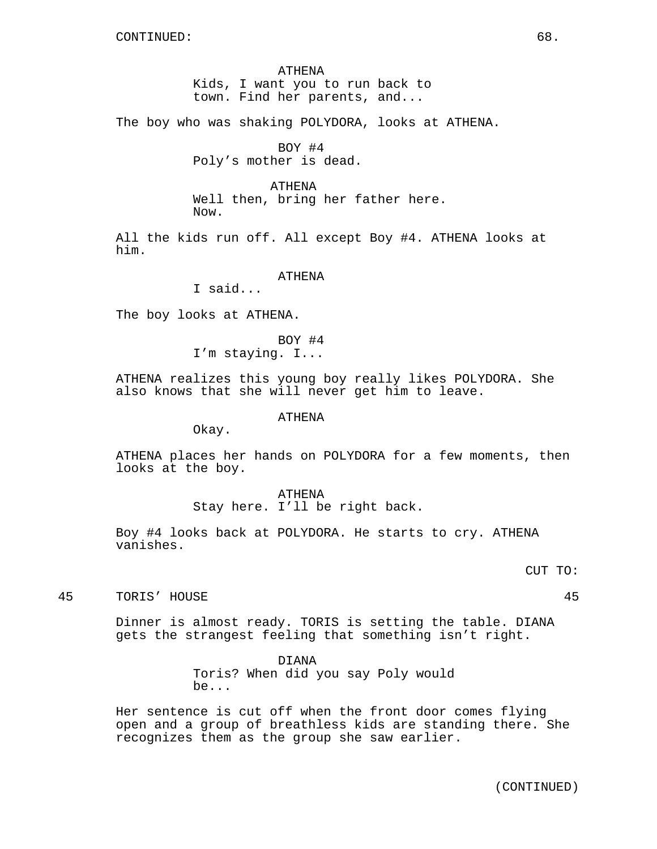ATHENA Kids, I want you to run back to town. Find her parents, and...

The boy who was shaking POLYDORA, looks at ATHENA.

BOY #4 Poly's mother is dead.

ATHENA

Well then, bring her father here.

Now.

All the kids run off. All except Boy #4. ATHENA looks at him.

ATHENA

I said...

The boy looks at ATHENA.

BOY #4 I'm staying. I...

ATHENA realizes this young boy really likes POLYDORA. She also knows that she will never get him to leave.

ATHENA

Okay.

ATHENA places her hands on POLYDORA for a few moments, then looks at the boy.

> ATHENA Stay here. I'll be right back.

Boy #4 looks back at POLYDORA. He starts to cry. ATHENA vanishes.

CUT TO:

45 TORIS' HOUSE 45

Dinner is almost ready. TORIS is setting the table. DIANA gets the strangest feeling that something isn't right.

> DIANA Toris? When did you say Poly would be...

Her sentence is cut off when the front door comes flying open and a group of breathless kids are standing there. She recognizes them as the group she saw earlier.

(CONTINUED)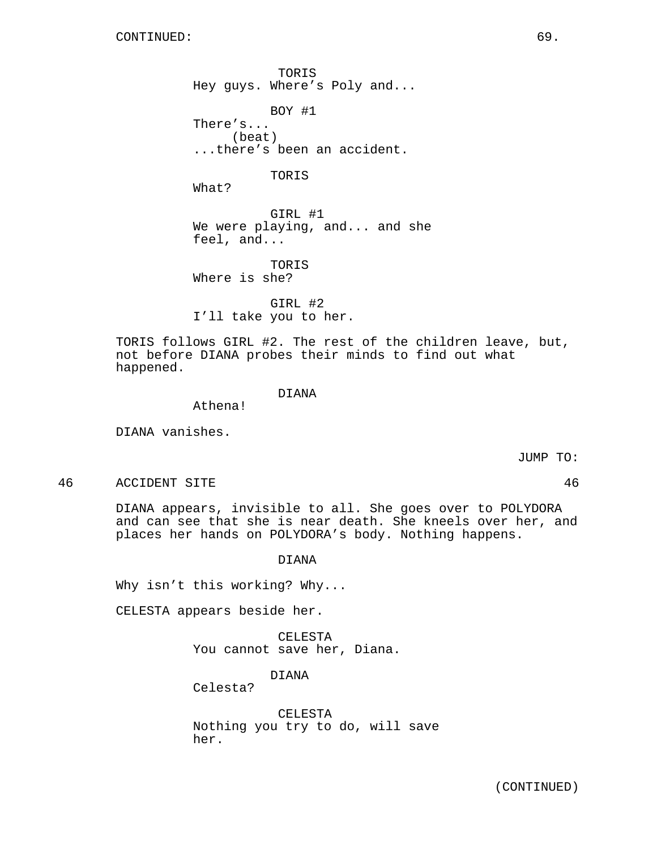TORIS Hey guys. Where's Poly and...

BOY #1 There's... (beat) ...there's been an accident.

TORIS

What?

GIRL #1 We were playing, and... and she feel, and...

TORIS Where is she?

GIRL #2 I'll take you to her.

TORIS follows GIRL #2. The rest of the children leave, but, not before DIANA probes their minds to find out what happened.

DIANA

Athena!

DIANA vanishes.

JUMP TO:

46 ACCIDENT SITE 46

DIANA appears, invisible to all. She goes over to POLYDORA and can see that she is near death. She kneels over her, and places her hands on POLYDORA's body. Nothing happens.

DIANA

Why isn't this working? Why...

CELESTA appears beside her.

CELESTA You cannot save her, Diana.

DIANA

Celesta?

CELESTA Nothing you try to do, will save her.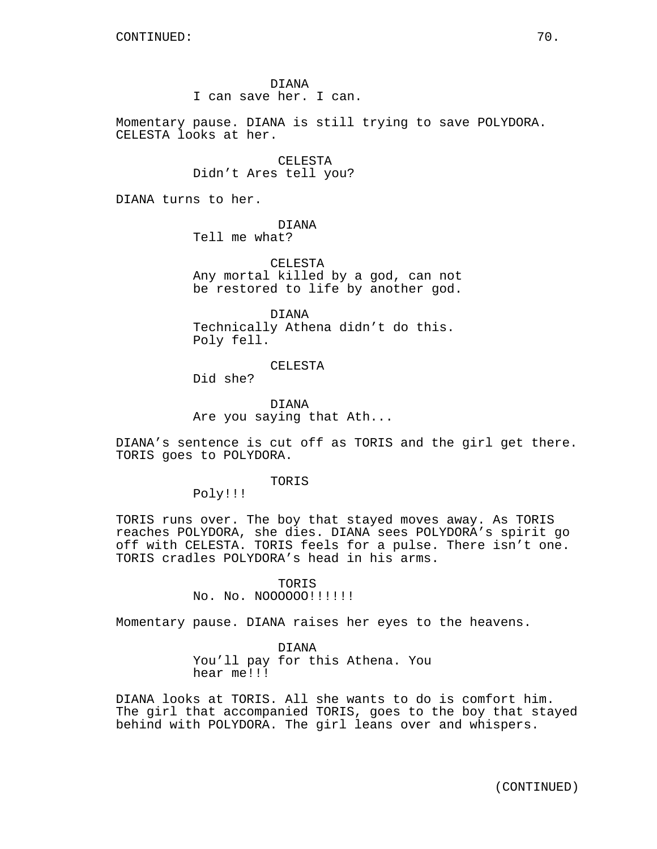DIANA I can save her. I can.

Momentary pause. DIANA is still trying to save POLYDORA. CELESTA looks at her.

> CELESTA Didn't Ares tell you?

DIANA turns to her.

DIANA Tell me what?

CELESTA Any mortal killed by a god, can not be restored to life by another god.

DIANA Technically Athena didn't do this. Poly fell.

CELESTA

Did she?

DIANA Are you saying that Ath...

DIANA's sentence is cut off as TORIS and the girl get there. TORIS goes to POLYDORA.

TORIS

Poly!!!

TORIS runs over. The boy that stayed moves away. As TORIS reaches POLYDORA, she dies. DIANA sees POLYDORA's spirit go off with CELESTA. TORIS feels for a pulse. There isn't one. TORIS cradles POLYDORA's head in his arms.

> **TORIS** No. No. NO00000!!!!!!!

Momentary pause. DIANA raises her eyes to the heavens.

DIANA You'll pay for this Athena. You hear me!!!

DIANA looks at TORIS. All she wants to do is comfort him. The girl that accompanied TORIS, goes to the boy that stayed behind with POLYDORA. The girl leans over and whispers.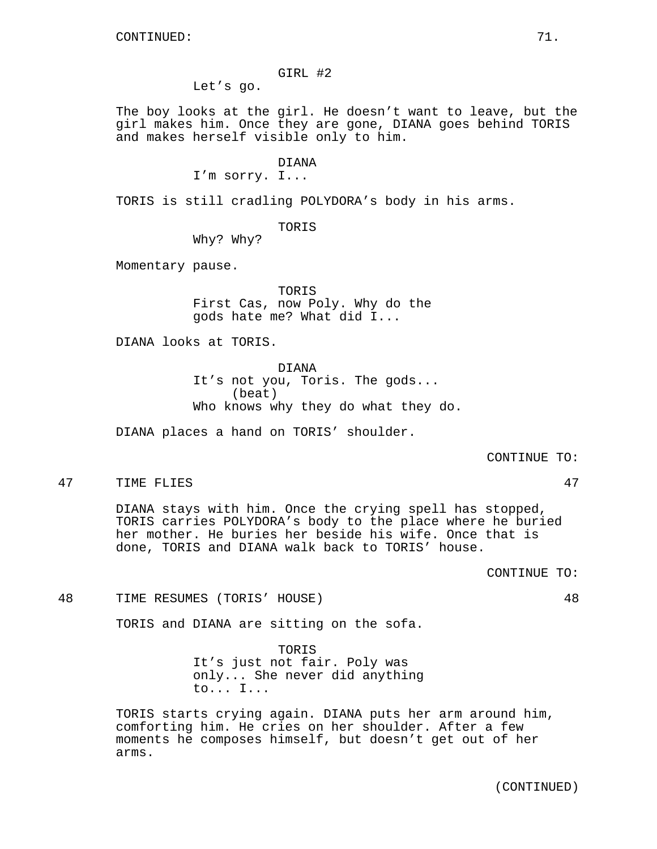### GIRL #2

Let's go.

The boy looks at the girl. He doesn't want to leave, but the girl makes him. Once they are gone, DIANA goes behind TORIS and makes herself visible only to him.

#### DIANA

I'm sorry. I...

TORIS is still cradling POLYDORA's body in his arms.

## TORIS

Why? Why?

Momentary pause.

TORIS First Cas, now Poly. Why do the gods hate me? What did I...

DIANA looks at TORIS.

DIANA It's not you, Toris. The gods... (beat) Who knows why they do what they do.

DIANA places a hand on TORIS' shoulder.

CONTINUE TO:

47 TIME FLIES 47

DIANA stays with him. Once the crying spell has stopped, TORIS carries POLYDORA's body to the place where he buried her mother. He buries her beside his wife. Once that is done, TORIS and DIANA walk back to TORIS' house.

CONTINUE TO:

48 TIME RESUMES (TORIS' HOUSE) 48

TORIS and DIANA are sitting on the sofa.

TORIS It's just not fair. Poly was only... She never did anything to... I...

TORIS starts crying again. DIANA puts her arm around him, comforting him. He cries on her shoulder. After a few moments he composes himself, but doesn't get out of her arms.

(CONTINUED)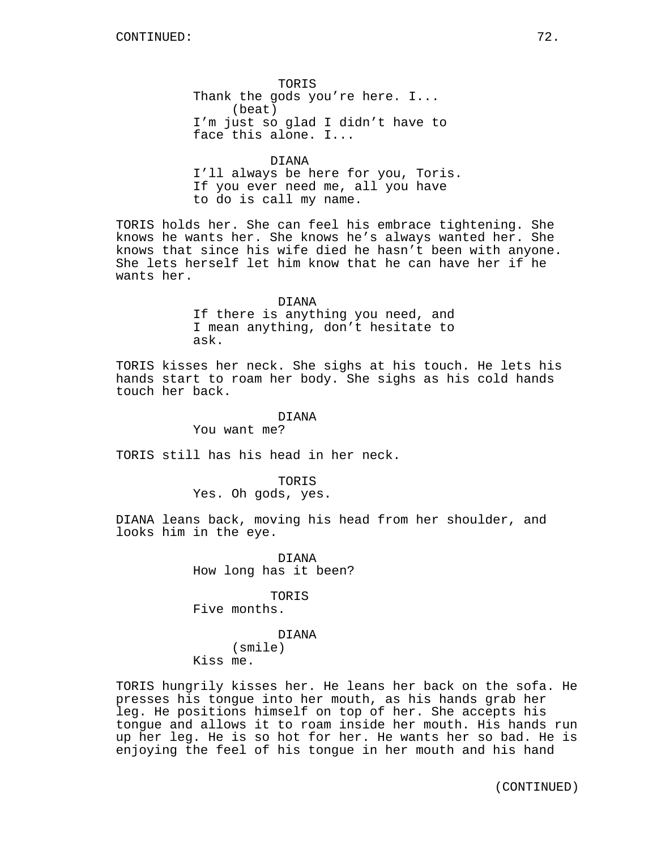TORIS Thank the gods you're here. I... (beat) I'm just so glad I didn't have to face this alone. I...

DIANA I'll always be here for you, Toris. If you ever need me, all you have to do is call my name.

TORIS holds her. She can feel his embrace tightening. She knows he wants her. She knows he's always wanted her. She knows that since his wife died he hasn't been with anyone. She lets herself let him know that he can have her if he wants her.

#### DIANA

If there is anything you need, and I mean anything, don't hesitate to ask.

TORIS kisses her neck. She sighs at his touch. He lets his hands start to roam her body. She sighs as his cold hands touch her back.

#### DIANA

You want me?

TORIS still has his head in her neck.

TORIS Yes. Oh gods, yes.

DIANA leans back, moving his head from her shoulder, and looks him in the eye.

> DIANA How long has it been?

> > TORIS

Five months.

DIANA (smile) Kiss me.

TORIS hungrily kisses her. He leans her back on the sofa. He presses his tongue into her mouth, as his hands grab her leg. He positions himself on top of her. She accepts his tongue and allows it to roam inside her mouth. His hands run up her leg. He is so hot for her. He wants her so bad. He is enjoying the feel of his tongue in her mouth and his hand

(CONTINUED)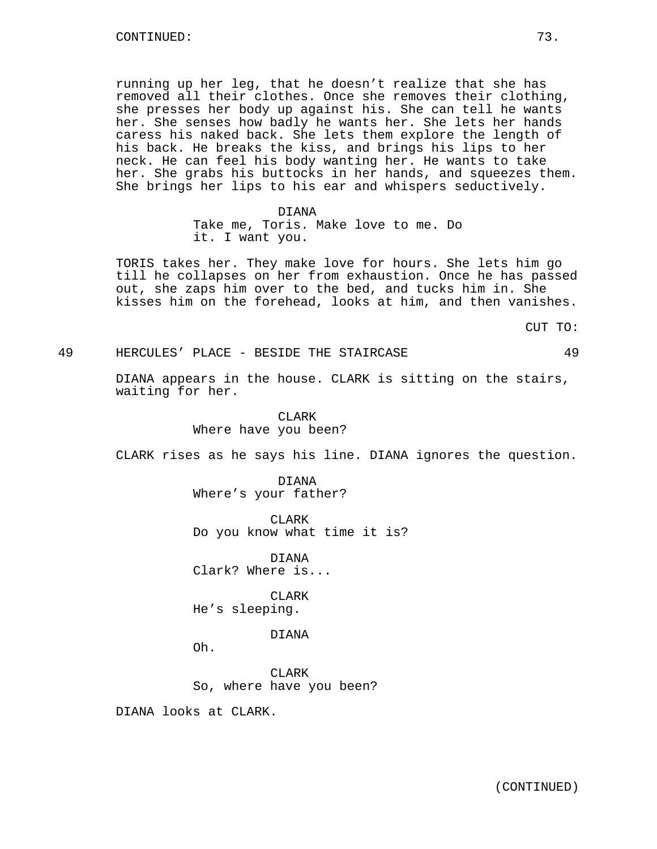running up her leg, that he doesn't realize that she has removed all their clothes. Once she removes their clothing, she presses her body up against his. She can tell he wants her. She senses how badly he wants her. She lets her hands caress his naked back. She lets them explore the length of his back. He breaks the kiss, and brings his lips to her neck. He can feel his body wanting her. He wants to take her. She grabs his buttocks in her hands, and squeezes them. She brings her lips to his ear and whispers seductively.

#### DIANA

Take me, Toris. Make love to me. Do it. I want you.

TORIS takes her. They make love for hours. She lets him go till he collapses on her from exhaustion. Once he has passed out, she zaps him over to the bed, and tucks him in. She kisses him on the forehead, looks at him, and then vanishes.

CUT TO:

# 49 HERCULES' PLACE - BESIDE THE STAIRCASE 49

DIANA appears in the house. CLARK is sitting on the stairs, waiting for her.

> CLARK Where have you been?

CLARK rises as he says his line. DIANA ignores the question.

DIANA Where's your father?

CLARK Do you know what time it is?

DIANA Clark? Where is...

CLARK He's sleeping.

DIANA

Oh.

CLARK So, where have you been?

DIANA looks at CLARK.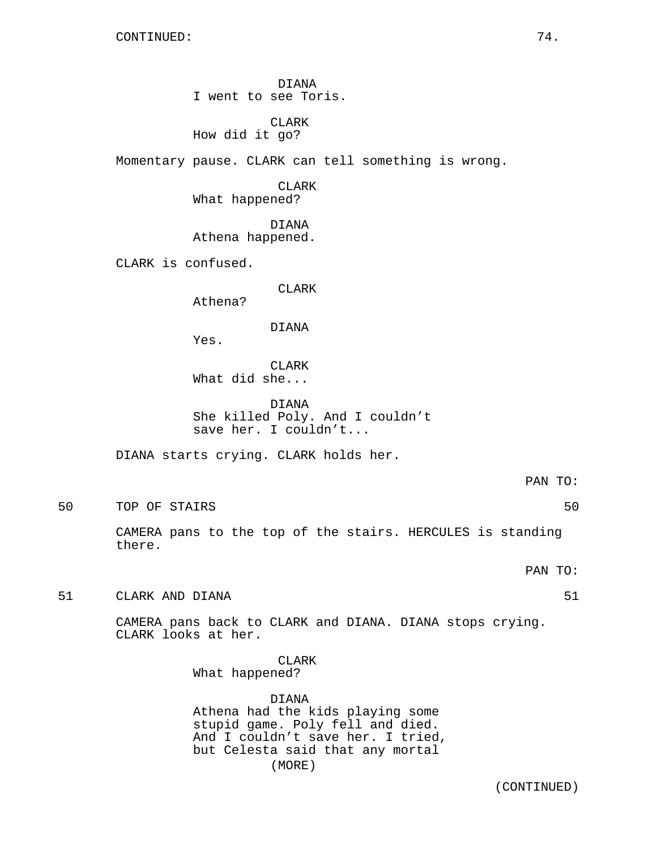DIANA I went to see Toris.

CLARK How did it go?

Momentary pause. CLARK can tell something is wrong.

CLARK What happened?

DIANA Athena happened.

CLARK is confused.

CLARK

Athena?

DIANA

Yes.

CLARK What did she...

DIANA She killed Poly. And I couldn't save her. I couldn't...

DIANA starts crying. CLARK holds her.

PAN TO:

50 TOP OF STAIRS 50

CAMERA pans to the top of the stairs. HERCULES is standing there.

PAN TO:

51 CLARK AND DIANA 51

CAMERA pans back to CLARK and DIANA. DIANA stops crying. CLARK looks at her.

> CLARK What happened?

DIANA Athena had the kids playing some stupid game. Poly fell and died. And I couldn't save her. I tried, but Celesta said that any mortal (MORE)

(CONTINUED)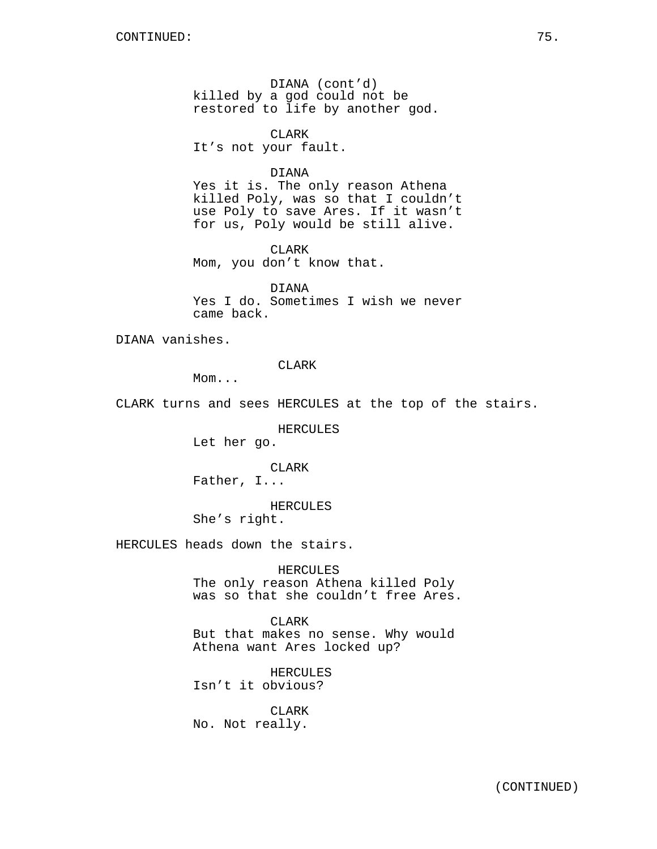DIANA (cont'd) killed by a god could not be restored to life by another god.

CLARK It's not your fault.

## DIANA

Yes it is. The only reason Athena killed Poly, was so that I couldn't use Poly to save Ares. If it wasn't for us, Poly would be still alive.

CLARK Mom, you don't know that.

DIANA Yes I do. Sometimes I wish we never came back.

DIANA vanishes.

CLARK

Mom...

CLARK turns and sees HERCULES at the top of the stairs.

HERCULES

Let her go.

# CLARK

Father, I...

## HERCULES

She's right.

HERCULES heads down the stairs.

## HERCULES

The only reason Athena killed Poly was so that she couldn't free Ares.

CLARK But that makes no sense. Why would Athena want Ares locked up?

HERCULES Isn't it obvious?

CLARK No. Not really.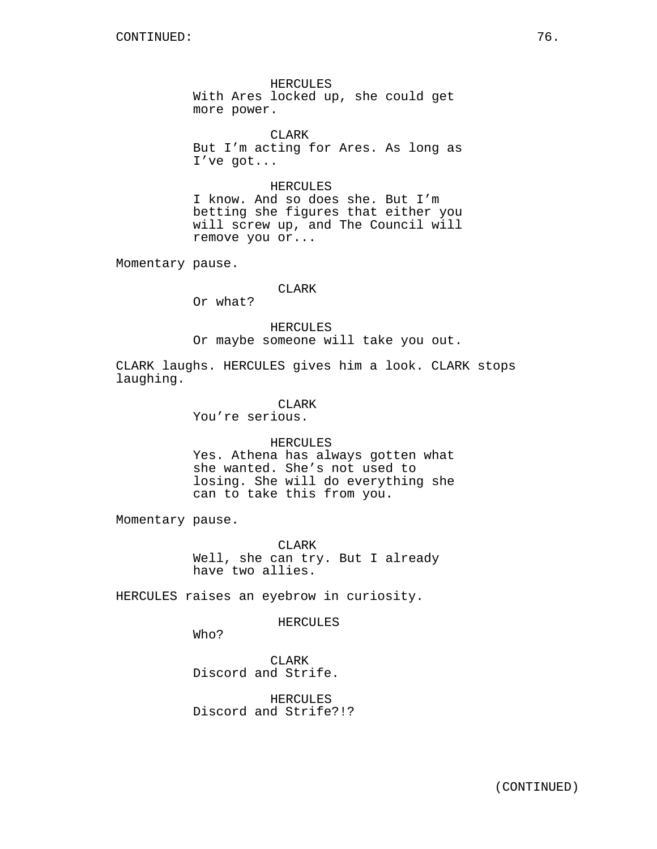HERCULES With Ares locked up, she could get more power.

CLARK But I'm acting for Ares. As long as I've got...

HERCULES I know. And so does she. But I'm betting she figures that either you will screw up, and The Council will remove you or...

Momentary pause.

## CLARK

Or what?

HERCULES Or maybe someone will take you out.

CLARK laughs. HERCULES gives him a look. CLARK stops laughing.

> CLARK You're serious.

> > HERCULES

Yes. Athena has always gotten what she wanted. She's not used to losing. She will do everything she can to take this from you.

Momentary pause.

CLARK Well, she can try. But I already have two allies.

HERCULES raises an eyebrow in curiosity.

HERCULES

Who?

CLARK Discord and Strife.

HERCULES Discord and Strife?!?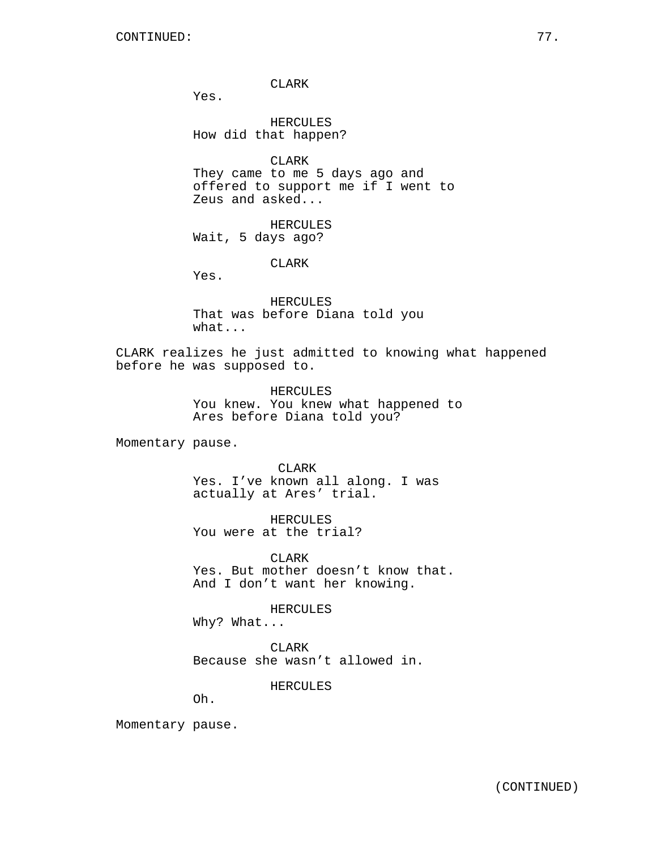CLARK

Yes.

HERCULES How did that happen?

CLARK

They came to me 5 days ago and offered to support me if I went to Zeus and asked...

HERCULES Wait, 5 days ago?

CLARK

Yes.

HERCULES That was before Diana told you what...

CLARK realizes he just admitted to knowing what happened before he was supposed to.

> HERCULES You knew. You knew what happened to Ares before Diana told you?

Momentary pause.

CLARK

Yes. I've known all along. I was actually at Ares' trial.

HERCULES You were at the trial?

**CLARK** Yes. But mother doesn't know that. And I don't want her knowing.

HERCULES

Why? What...

CLARK Because she wasn't allowed in.

HERCULES

Oh.

Momentary pause.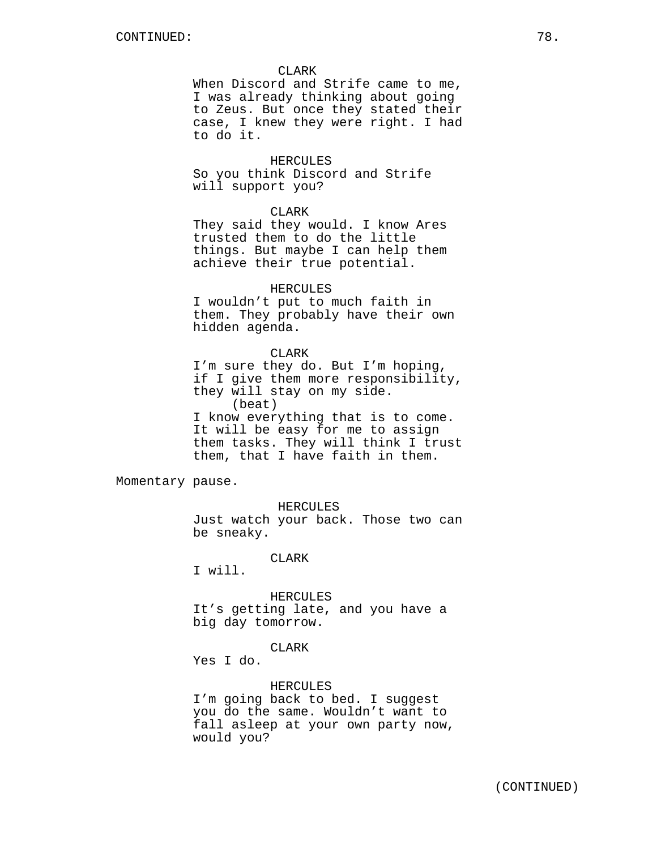CLARK

When Discord and Strife came to me, I was already thinking about going to Zeus. But once they stated their case, I knew they were right. I had to do it.

HERCULES So you think Discord and Strife will support you?

## CLARK

They said they would. I know Ares trusted them to do the little things. But maybe I can help them achieve their true potential.

## HERCULES

I wouldn't put to much faith in them. They probably have their own hidden agenda.

### CLARK

I'm sure they do. But I'm hoping, if I give them more responsibility, they will stay on my side. (beat) I know everything that is to come. It will be easy for me to assign them tasks. They will think I trust

them, that I have faith in them.

Momentary pause.

HERCULES

Just watch your back. Those two can be sneaky.

CLARK

I will.

HERCULES

It's getting late, and you have a big day tomorrow.

# CLARK

Yes I do.

## HERCULES

I'm going back to bed. I suggest you do the same. Wouldn't want to fall asleep at your own party now, would you?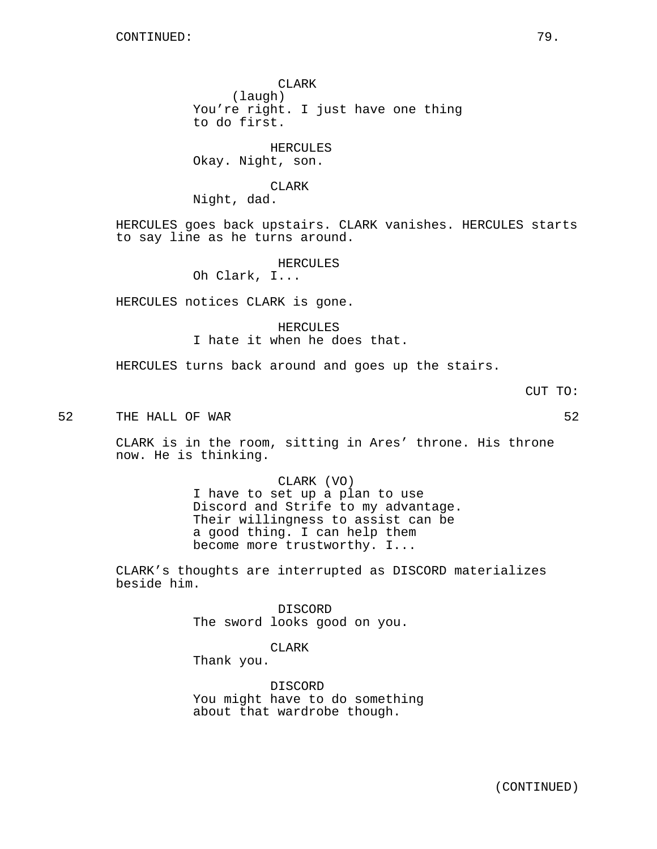CLARK (laugh) You're right. I just have one thing to do first.

HERCULES Okay. Night, son.

CLARK Night, dad.

HERCULES goes back upstairs. CLARK vanishes. HERCULES starts to say line as he turns around.

HERCULES

Oh Clark, I...

HERCULES notices CLARK is gone.

HERCULES I hate it when he does that.

HERCULES turns back around and goes up the stairs.

CUT TO:

52 THE HALL OF WAR 52

CLARK is in the room, sitting in Ares' throne. His throne now. He is thinking.

> CLARK (VO) I have to set up a plan to use Discord and Strife to my advantage. Their willingness to assist can be a good thing. I can help them become more trustworthy. I...

CLARK's thoughts are interrupted as DISCORD materializes beside him.

> DISCORD The sword looks good on you.

> > CLARK

Thank you.

DISCORD You might have to do something about that wardrobe though.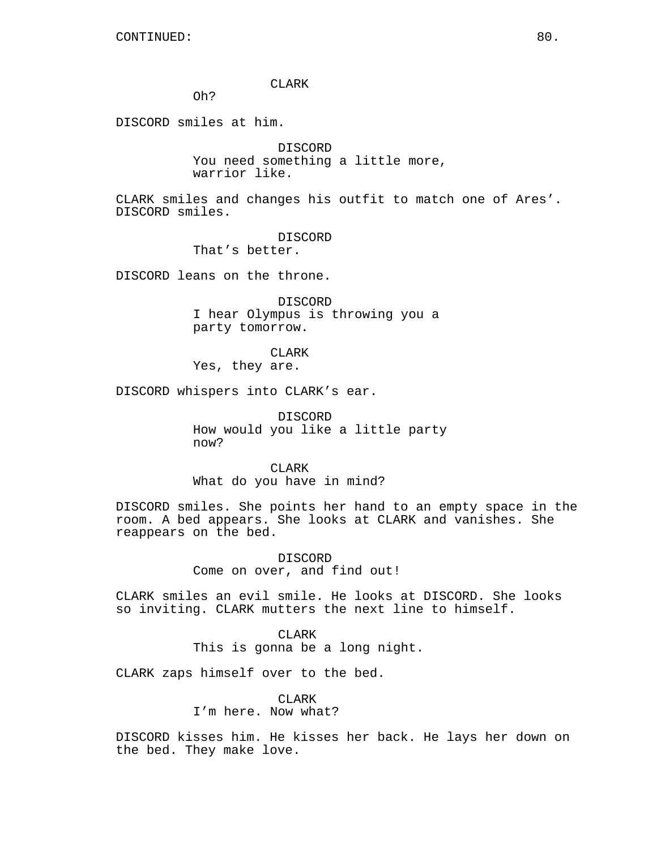CLARK

Oh?

DISCORD smiles at him.

DISCORD You need something a little more, warrior like.

CLARK smiles and changes his outfit to match one of Ares'. DISCORD smiles.

DISCORD

That's better.

DISCORD leans on the throne.

DISCORD I hear Olympus is throwing you a party tomorrow.

CLARK Yes, they are.

DISCORD whispers into CLARK's ear.

DISCORD How would you like a little party now?

CLARK What do you have in mind?

DISCORD smiles. She points her hand to an empty space in the room. A bed appears. She looks at CLARK and vanishes. She reappears on the bed.

> DISCORD Come on over, and find out!

CLARK smiles an evil smile. He looks at DISCORD. She looks so inviting. CLARK mutters the next line to himself.

> CLARK This is gonna be a long night.

CLARK zaps himself over to the bed.

CLARK I'm here. Now what?

DISCORD kisses him. He kisses her back. He lays her down on the bed. They make love.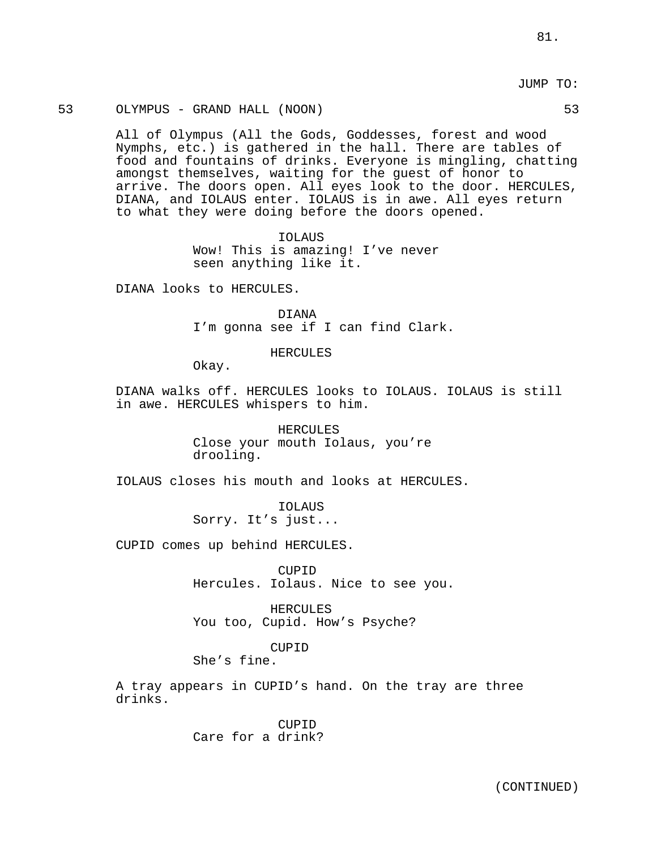JUMP TO:

## 53 OLYMPUS - GRAND HALL (NOON) 53

All of Olympus (All the Gods, Goddesses, forest and wood Nymphs, etc.) is gathered in the hall. There are tables of food and fountains of drinks. Everyone is mingling, chatting amongst themselves, waiting for the guest of honor to arrive. The doors open. All eyes look to the door. HERCULES, DIANA, and IOLAUS enter. IOLAUS is in awe. All eyes return to what they were doing before the doors opened.

> IOLAUS Wow! This is amazing! I've never seen anything like it.

DIANA looks to HERCULES.

DIANA I'm gonna see if I can find Clark.

HERCULES

Okay.

DIANA walks off. HERCULES looks to IOLAUS. IOLAUS is still in awe. HERCULES whispers to him.

> HERCULES Close your mouth Iolaus, you're drooling.

IOLAUS closes his mouth and looks at HERCULES.

IOLAUS Sorry. It's just...

CUPID comes up behind HERCULES.

CUPID Hercules. Iolaus. Nice to see you.

HERCULES You too, Cupid. How's Psyche?

CUPID

She's fine.

A tray appears in CUPID's hand. On the tray are three drinks.

> CUPID Care for a drink?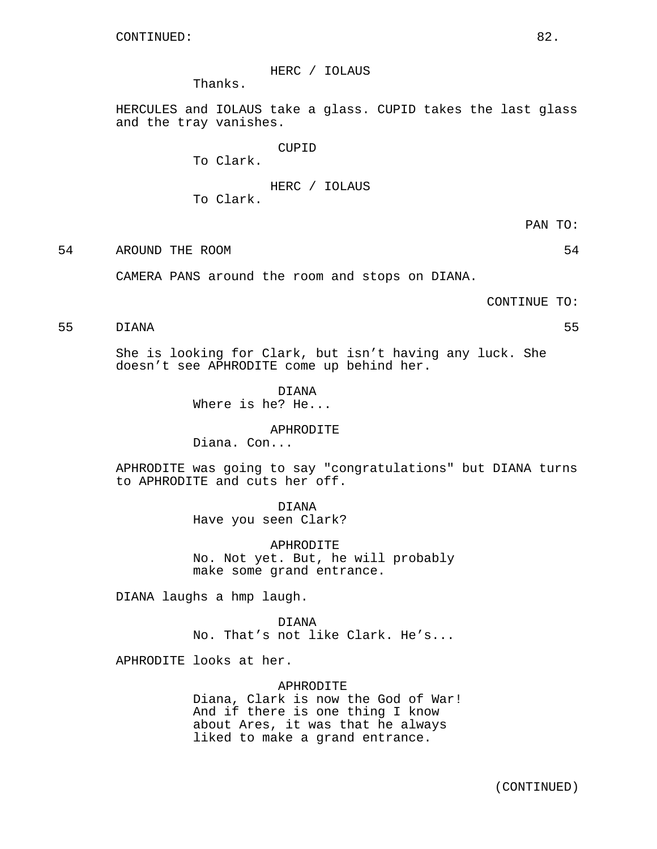HERC / IOLAUS

Thanks.

HERCULES and IOLAUS take a glass. CUPID takes the last glass and the tray vanishes.

CUPID

To Clark.

# HERC / IOLAUS

To Clark.

PAN TO:

54 AROUND THE ROOM 54

CAMERA PANS around the room and stops on DIANA.

CONTINUE TO:

# 55 DIANA 55

She is looking for Clark, but isn't having any luck. She doesn't see APHRODITE come up behind her.

> DIANA Where is he? He...

# APHRODITE

Diana. Con...

APHRODITE was going to say "congratulations" but DIANA turns to APHRODITE and cuts her off.

> DIANA Have you seen Clark?

APHRODITE No. Not yet. But, he will probably make some grand entrance.

DIANA laughs a hmp laugh.

DIANA No. That's not like Clark. He's...

APHRODITE looks at her.

## APHRODITE

Diana, Clark is now the God of War! And if there is one thing I know about Ares, it was that he always liked to make a grand entrance.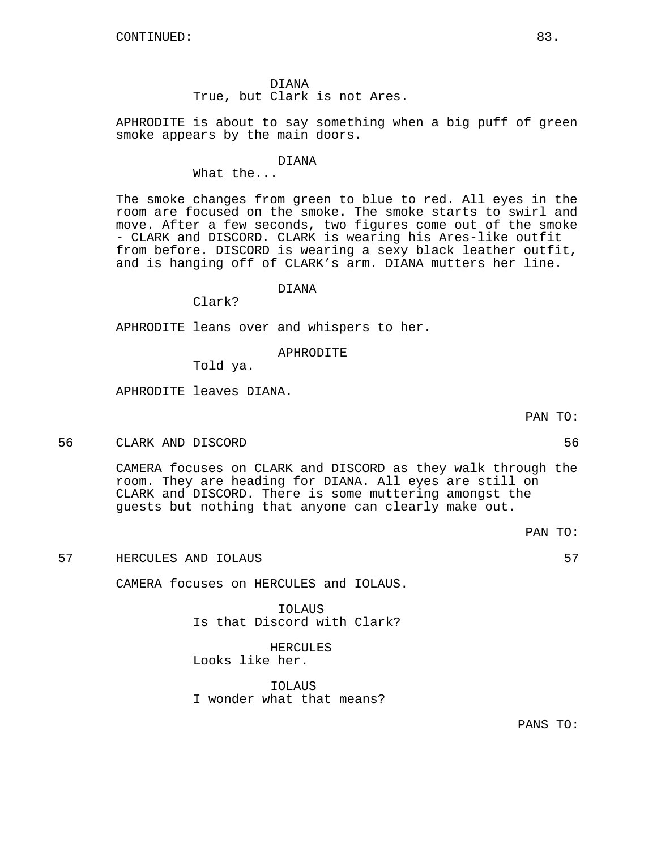DIANA True, but Clark is not Ares.

APHRODITE is about to say something when a big puff of green smoke appears by the main doors.

DIANA

What the...

The smoke changes from green to blue to red. All eyes in the room are focused on the smoke. The smoke starts to swirl and move. After a few seconds, two figures come out of the smoke - CLARK and DISCORD. CLARK is wearing his Ares-like outfit from before. DISCORD is wearing a sexy black leather outfit, and is hanging off of CLARK's arm. DIANA mutters her line.

# DIANA

Clark?

APHRODITE leans over and whispers to her.

## APHRODITE

Told ya.

APHRODITE leaves DIANA.

56 CLARK AND DISCORD 56

CAMERA focuses on CLARK and DISCORD as they walk through the room. They are heading for DIANA. All eyes are still on CLARK and DISCORD. There is some muttering amongst the guests but nothing that anyone can clearly make out.

57 HERCULES AND IOLAUS 57

CAMERA focuses on HERCULES and IOLAUS.

IOLAUS Is that Discord with Clark?

HERCULES Looks like her.

IOLAUS I wonder what that means?

PANS TO:

PAN TO:

PAN TO: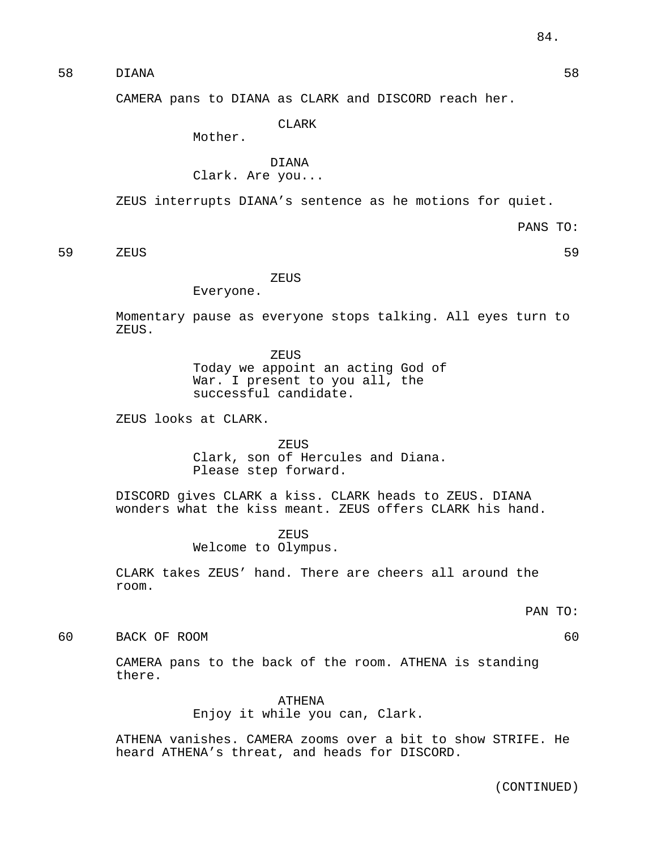58 DIANA 58

CAMERA pans to DIANA as CLARK and DISCORD reach her.

CLARK

Mother.

# DIANA Clark. Are you...

ZEUS interrupts DIANA's sentence as he motions for quiet.

PANS TO:

59 ZEUS 59

ZEUS

Everyone.

Momentary pause as everyone stops talking. All eyes turn to ZEUS.

> ZEUS Today we appoint an acting God of War. I present to you all, the successful candidate.

ZEUS looks at CLARK.

ZEUS Clark, son of Hercules and Diana. Please step forward.

DISCORD gives CLARK a kiss. CLARK heads to ZEUS. DIANA wonders what the kiss meant. ZEUS offers CLARK his hand.

> ZEUS Welcome to Olympus.

CLARK takes ZEUS' hand. There are cheers all around the room.

PAN TO:

60 BACK OF ROOM 60

CAMERA pans to the back of the room. ATHENA is standing there.

> ATHENA Enjoy it while you can, Clark.

ATHENA vanishes. CAMERA zooms over a bit to show STRIFE. He heard ATHENA's threat, and heads for DISCORD.

(CONTINUED)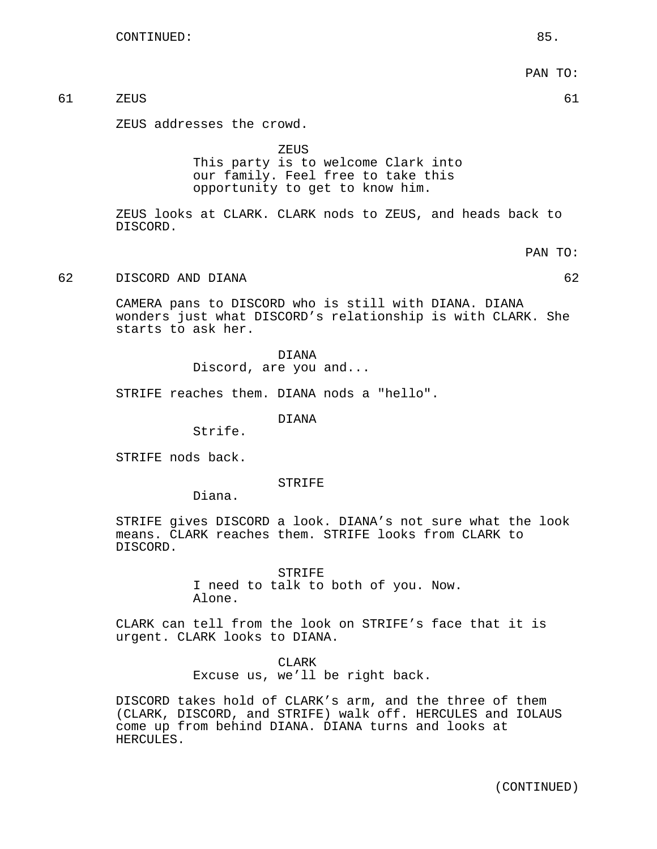PAN TO: 61 ZEUS 61 ZEUS addresses the crowd. **ZEUS** This party is to welcome Clark into our family. Feel free to take this opportunity to get to know him. ZEUS looks at CLARK. CLARK nods to ZEUS, and heads back to DISCORD. PAN TO: 62 DISCORD AND DIANA 62 CAMERA pans to DISCORD who is still with DIANA. DIANA wonders just what DISCORD's relationship is with CLARK. She starts to ask her. DIANA Discord, are you and...

STRIFE reaches them. DIANA nods a "hello".

DIANA

Strife.

STRIFE nods back.

STRIFE

Diana.

STRIFE gives DISCORD a look. DIANA's not sure what the look means. CLARK reaches them. STRIFE looks from CLARK to DISCORD.

> STRIFE I need to talk to both of you. Now. Alone.

CLARK can tell from the look on STRIFE's face that it is urgent. CLARK looks to DIANA.

> **CLARK** Excuse us, we'll be right back.

DISCORD takes hold of CLARK's arm, and the three of them (CLARK, DISCORD, and STRIFE) walk off. HERCULES and IOLAUS come up from behind DIANA. DIANA turns and looks at HERCULES.

(CONTINUED)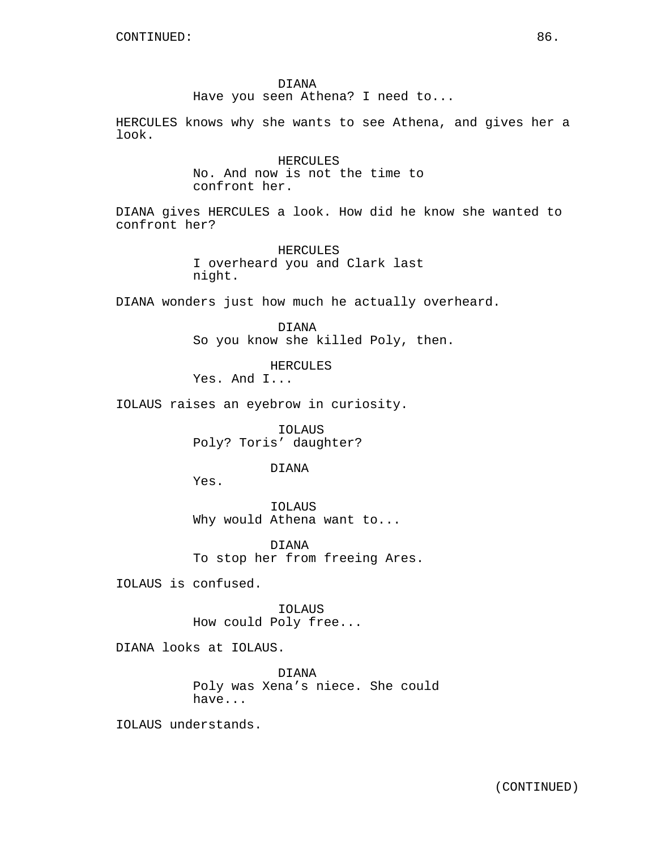DIANA Have you seen Athena? I need to...

HERCULES knows why she wants to see Athena, and gives her a look.

> HERCULES No. And now is not the time to confront her.

DIANA gives HERCULES a look. How did he know she wanted to confront her?

> HERCULES I overheard you and Clark last night.

DIANA wonders just how much he actually overheard.

DIANA So you know she killed Poly, then.

HERCULES

Yes. And I...

IOLAUS raises an eyebrow in curiosity.

IOLAUS Poly? Toris' daughter?

DIANA

Yes.

IOLAUS Why would Athena want to...

DIANA To stop her from freeing Ares.

IOLAUS is confused.

IOLAUS How could Poly free...

DIANA looks at IOLAUS.

DIANA Poly was Xena's niece. She could have...

IOLAUS understands.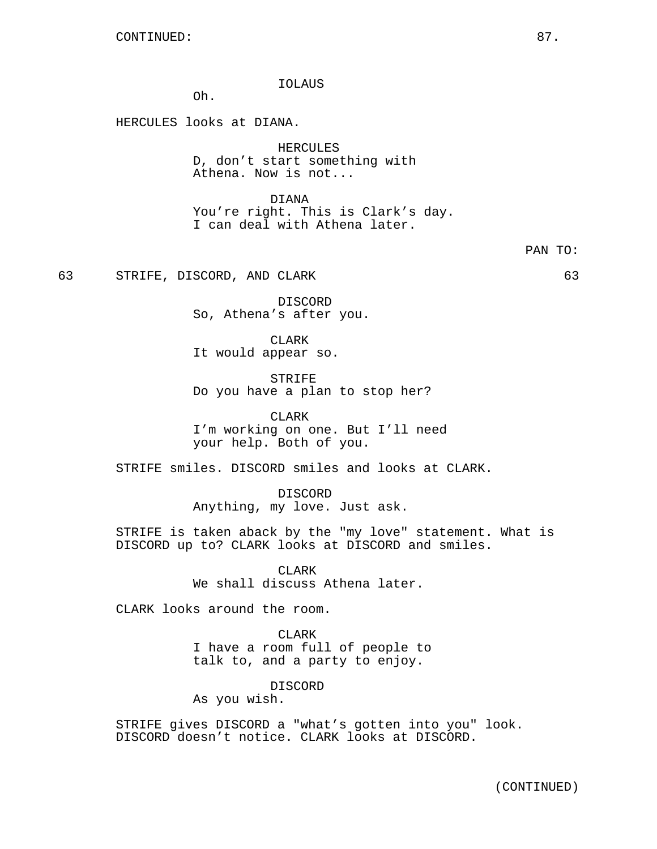IOLAUS

Oh.

HERCULES looks at DIANA.

HERCULES D, don't start something with Athena. Now is not...

DIANA You're right. This is Clark's day. I can deal with Athena later.

63 STRIFE, DISCORD, AND CLARK 63

DISCORD So, Athena's after you.

CLARK It would appear so.

STRIFE Do you have a plan to stop her?

CLARK I'm working on one. But I'll need your help. Both of you.

STRIFE smiles. DISCORD smiles and looks at CLARK.

DISCORD Anything, my love. Just ask.

STRIFE is taken aback by the "my love" statement. What is DISCORD up to? CLARK looks at DISCORD and smiles.

> CLARK We shall discuss Athena later.

CLARK looks around the room.

CLARK I have a room full of people to talk to, and a party to enjoy.

DISCORD

As you wish.

STRIFE gives DISCORD a "what's gotten into you" look. DISCORD doesn't notice. CLARK looks at DISCORD.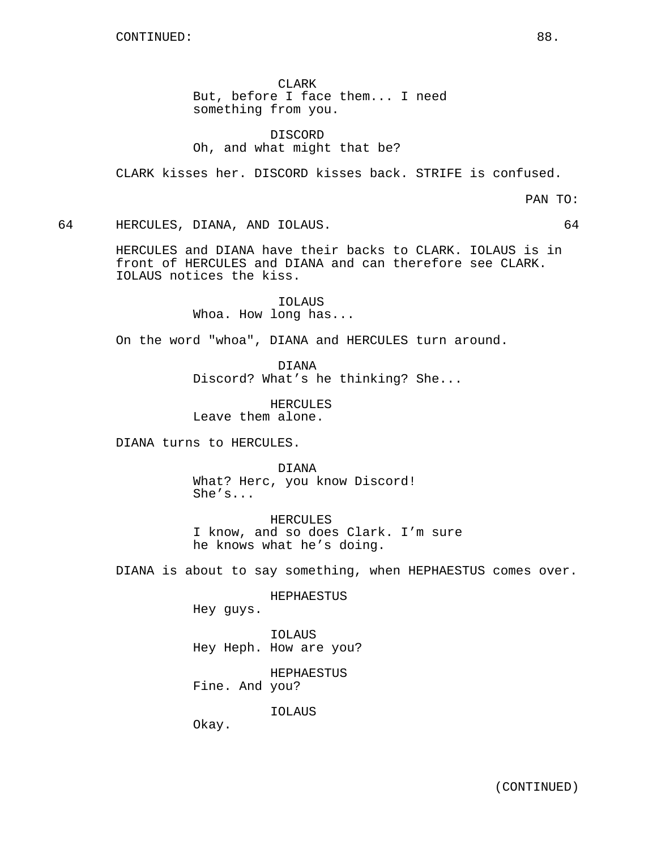CLARK But, before I face them... I need something from you.

DISCORD Oh, and what might that be?

CLARK kisses her. DISCORD kisses back. STRIFE is confused.

PAN TO:

64 HERCULES, DIANA, AND IOLAUS. 64

HERCULES and DIANA have their backs to CLARK. IOLAUS is in front of HERCULES and DIANA and can therefore see CLARK. IOLAUS notices the kiss.

> IOLAUS Whoa. How long has...

On the word "whoa", DIANA and HERCULES turn around.

DIANA Discord? What's he thinking? She...

HERCULES Leave them alone.

DIANA turns to HERCULES.

DIANA What? Herc, you know Discord! She's...

HERCULES I know, and so does Clark. I'm sure he knows what he's doing.

DIANA is about to say something, when HEPHAESTUS comes over.

HEPHAESTUS

Hey guys.

IOLAUS Hey Heph. How are you?

HEPHAESTUS Fine. And you?

IOLAUS

Okay.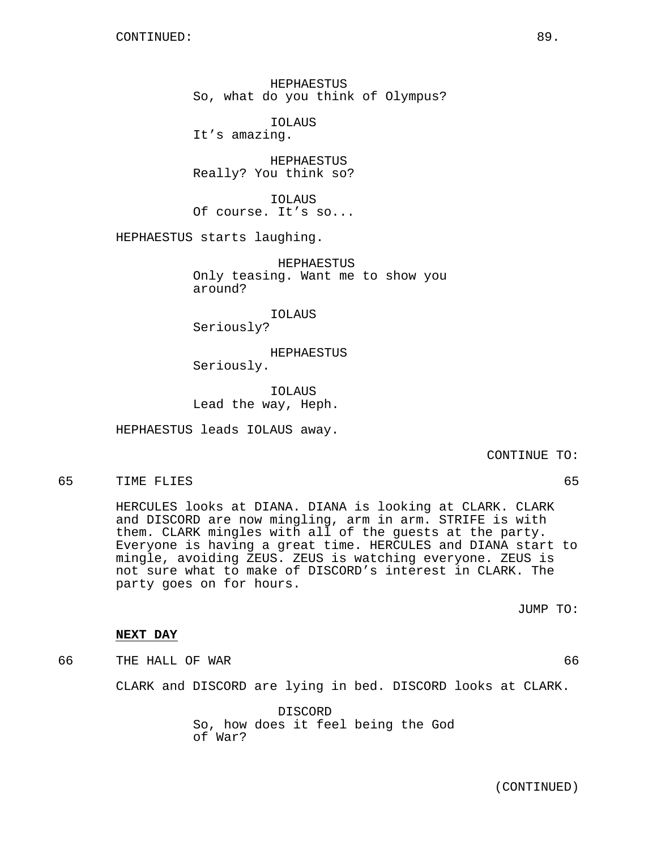HEPHAESTUS So, what do you think of Olympus?

IOLAUS It's amazing.

HEPHAESTUS Really? You think so?

IOLAUS Of course. It's so...

HEPHAESTUS starts laughing.

HEPHAESTUS Only teasing. Want me to show you around?

IOLAUS Seriously?

HEPHAESTUS Seriously.

IOLAUS Lead the way, Heph.

HEPHAESTUS leads IOLAUS away.

CONTINUE TO:

65 TIME FLIES 65

HERCULES looks at DIANA. DIANA is looking at CLARK. CLARK and DISCORD are now mingling, arm in arm. STRIFE is with them. CLARK mingles with all of the guests at the party. Everyone is having a great time. HERCULES and DIANA start to mingle, avoiding ZEUS. ZEUS is watching everyone. ZEUS is not sure what to make of DISCORD's interest in CLARK. The party goes on for hours.

JUMP TO:

## **NEXT DAY**

66 THE HALL OF WAR 66

CLARK and DISCORD are lying in bed. DISCORD looks at CLARK.

DISCORD So, how does it feel being the God of War?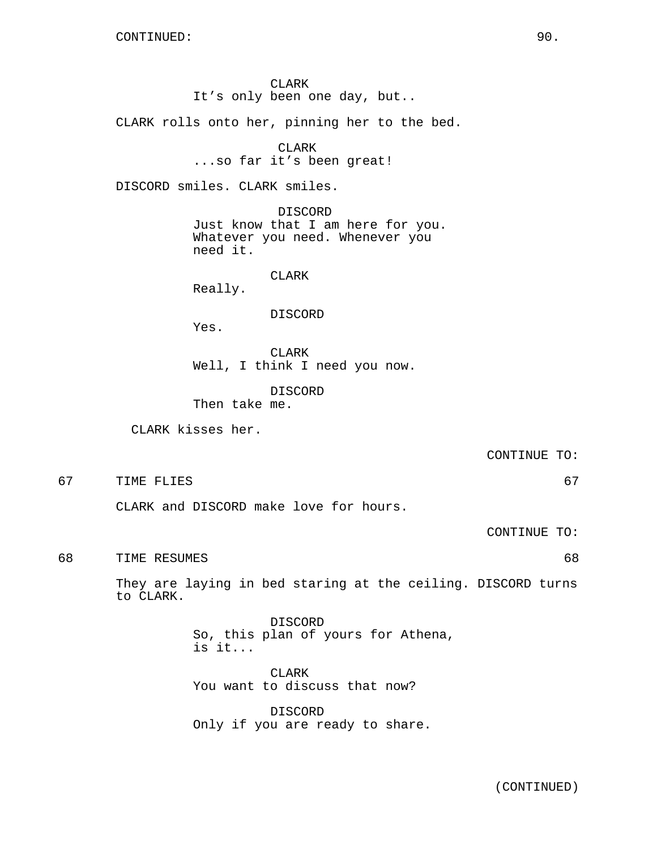CLARK It's only been one day, but..

CLARK rolls onto her, pinning her to the bed.

# CLARK

...so far it's been great!

DISCORD smiles. CLARK smiles.

DISCORD Just know that I am here for you. Whatever you need. Whenever you need it.

CLARK

Really.

DISCORD

Yes.

CLARK Well, I think I need you now.

DISCORD Then take me.

CLARK kisses her.

CONTINUE TO:

67 TIME FLIES 67

CLARK and DISCORD make love for hours.

CONTINUE TO:

68 TIME RESUMES 68

They are laying in bed staring at the ceiling. DISCORD turns to CLARK.

> DISCORD So, this plan of yours for Athena, is it...

CLARK You want to discuss that now?

DISCORD Only if you are ready to share.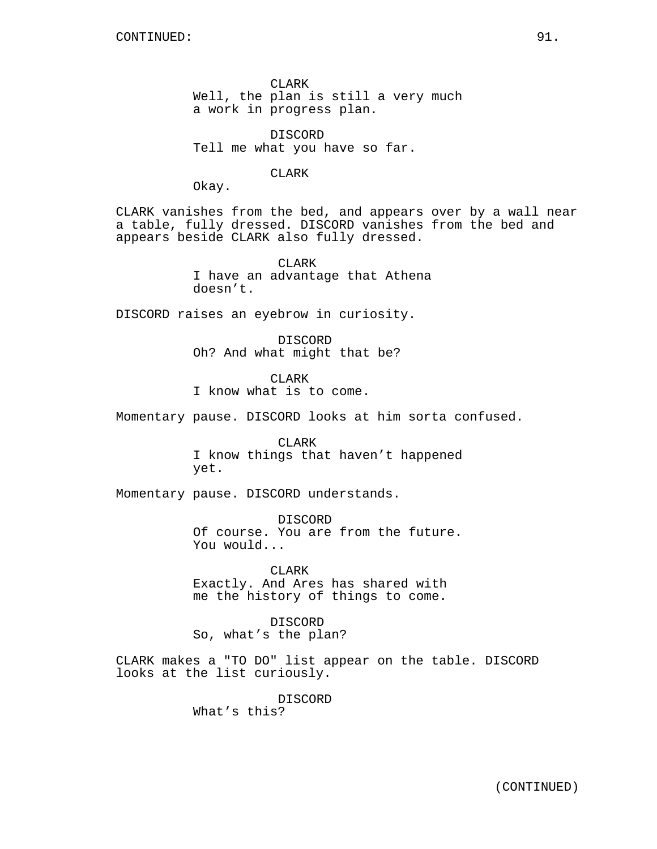CLARK Well, the plan is still a very much a work in progress plan.

DISCORD Tell me what you have so far.

CLARK

Okay.

CLARK vanishes from the bed, and appears over by a wall near a table, fully dressed. DISCORD vanishes from the bed and appears beside CLARK also fully dressed.

> CLARK I have an advantage that Athena doesn't.

DISCORD raises an eyebrow in curiosity.

DISCORD Oh? And what might that be?

CLARK I know what is to come.

Momentary pause. DISCORD looks at him sorta confused.

CLARK I know things that haven't happened yet.

Momentary pause. DISCORD understands.

DISCORD Of course. You are from the future. You would...

CLARK Exactly. And Ares has shared with me the history of things to come.

DISCORD So, what's the plan?

CLARK makes a "TO DO" list appear on the table. DISCORD looks at the list curiously.

> DISCORD What's this?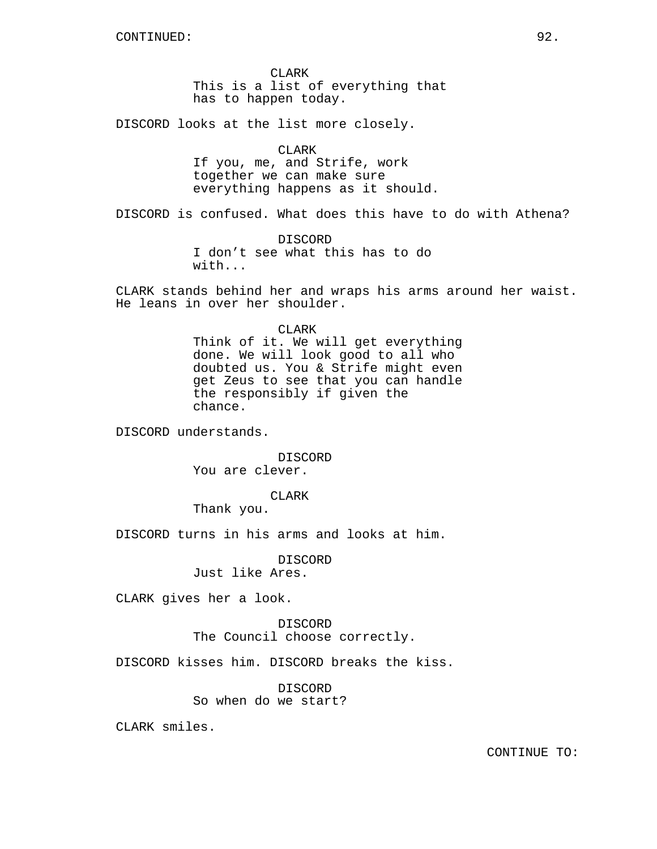CLARK This is a list of everything that has to happen today.

DISCORD looks at the list more closely.

CLARK If you, me, and Strife, work together we can make sure everything happens as it should.

DISCORD is confused. What does this have to do with Athena?

DISCORD I don't see what this has to do with...

CLARK stands behind her and wraps his arms around her waist. He leans in over her shoulder.

## CLARK

Think of it. We will get everything done. We will look good to all who doubted us. You & Strife might even get Zeus to see that you can handle the responsibly if given the chance.

DISCORD understands.

DISCORD You are clever.

CLARK

Thank you.

DISCORD turns in his arms and looks at him.

DISCORD Just like Ares.

CLARK gives her a look.

DISCORD The Council choose correctly.

DISCORD kisses him. DISCORD breaks the kiss.

DISCORD So when do we start?

CLARK smiles.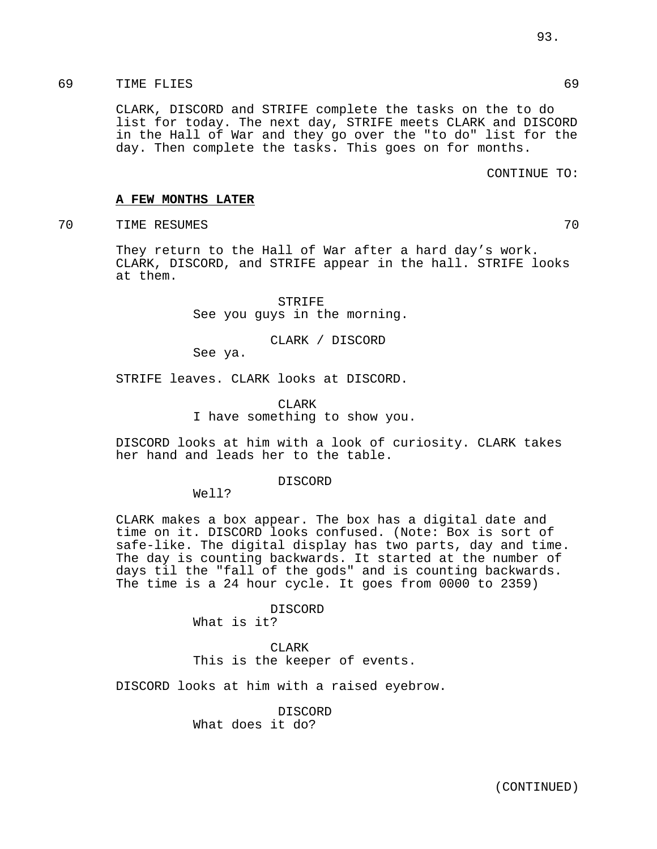CLARK, DISCORD and STRIFE complete the tasks on the to do list for today. The next day, STRIFE meets CLARK and DISCORD in the Hall of War and they go over the "to do" list for the day. Then complete the tasks. This goes on for months.

## CONTINUE TO:

## **A FEW MONTHS LATER**

TRE RESUMES 70

They return to the Hall of War after a hard day's work. CLARK, DISCORD, and STRIFE appear in the hall. STRIFE looks at them.

> STRIFE See you guys in the morning.

> > CLARK / DISCORD

See ya.

STRIFE leaves. CLARK looks at DISCORD.

CLARK I have something to show you.

DISCORD looks at him with a look of curiosity. CLARK takes her hand and leads her to the table.

#### DISCORD

Well?

CLARK makes a box appear. The box has a digital date and time on it. DISCORD looks confused. (Note: Box is sort of safe-like. The digital display has two parts, day and time. The day is counting backwards. It started at the number of days til the "fall of the gods" and is counting backwards. The time is a 24 hour cycle. It goes from 0000 to 2359)

> DISCORD What is it?

## CLARK

This is the keeper of events.

DISCORD looks at him with a raised eyebrow.

DISCORD What does it do?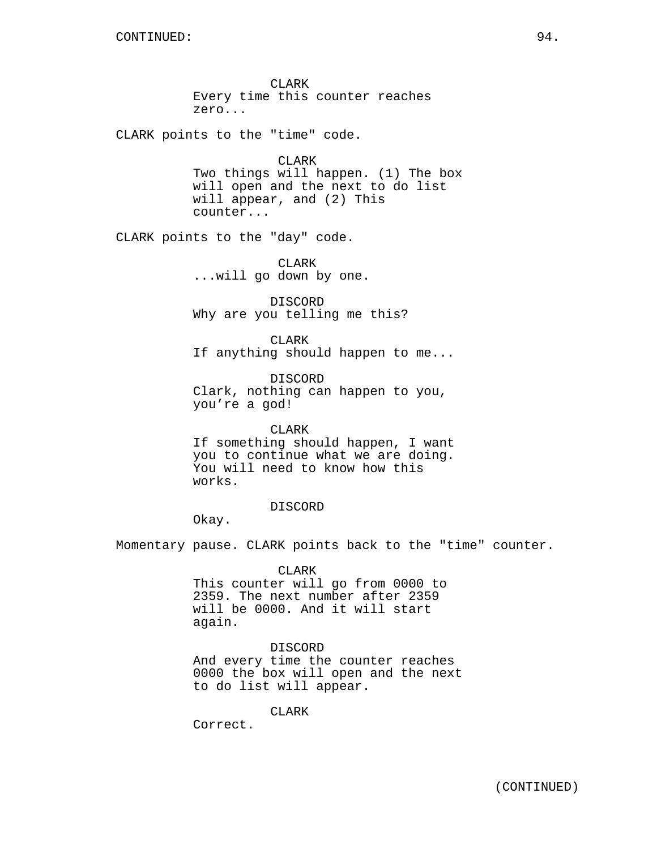CLARK Every time this counter reaches zero...

CLARK points to the "time" code.

CLARK Two things will happen. (1) The box will open and the next to do list will appear, and (2) This counter...

CLARK points to the "day" code.

CLARK ...will go down by one.

DISCORD Why are you telling me this?

CLARK If anything should happen to me...

DISCORD Clark, nothing can happen to you, you're a god!

CLARK If something should happen, I want you to continue what we are doing. You will need to know how this works.

## DISCORD

Okay.

Momentary pause. CLARK points back to the "time" counter.

CLARK This counter will go from 0000 to 2359. The next number after 2359 will be 0000. And it will start again.

## DISCORD

And every time the counter reaches 0000 the box will open and the next to do list will appear.

CLARK

Correct.